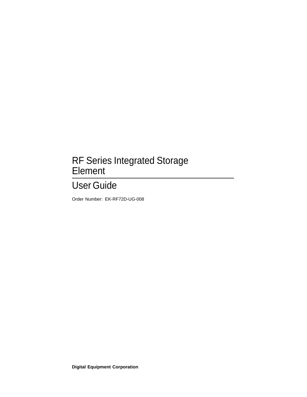## RF Series Integrated Storage Element

# User Guide

Order Number: EK-RF72D-UG-008

**Digital Equipment Corporation**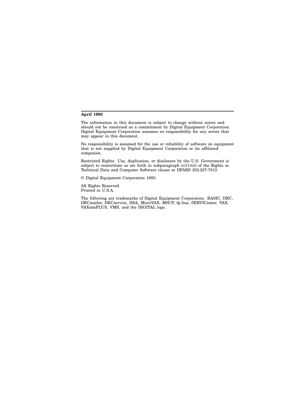#### **April 1993**

The information in this document is subject to change without notice and should not be construed as a commitment by Digital Equipment Corporation. Digital Equipment Corporation assumes no responsibility for any errors that may appear in this document.

No responsibility is assumed for the use or reliability of software on equipment that is not supplied by Digital Equipment Corporation or its affiliated companies.

Restricted Rights: Use, duplication, or disclosure by the U.S. Government is subject to restrictions as set forth in subparagraph (c)(1)(ii) of the Rights in Technical Data and Computer Software clause at DFARS 252.227-7013.

© Digital Equipment Corporation 1993.

All Rights Reserved. Printed in U.S.A.

The following are trademarks of Digital Equipment Corporation: BASIC, DEC, DECmailer, DECservice, DSA, MicroVAX, MSCP, Q–bus, SERVICenter, VAX, VAXsimPLUS, VMS, and the DIGITAL logo.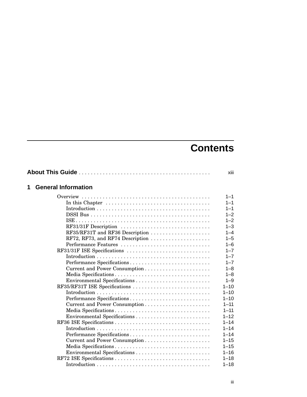# **Contents**

| 1 | <b>General Information</b>                                                                |          |
|---|-------------------------------------------------------------------------------------------|----------|
|   |                                                                                           | $1 - 1$  |
|   | In this Chapter $\dots \dots \dots \dots \dots \dots \dots \dots \dots \dots \dots \dots$ | $1 - 1$  |
|   |                                                                                           | $1 - 1$  |
|   |                                                                                           | $1 - 2$  |
|   |                                                                                           | $1 - 2$  |
|   | RF31/31F Description                                                                      | $1 - 3$  |
|   | RF35/RF31T and RF36 Description                                                           | $1 - 4$  |
|   | RF72, RF73, and RF74 Description                                                          | $1 - 5$  |
|   | Performance Features                                                                      | $1 - 6$  |
|   | RF31/31F ISE Specifications                                                               | $1 - 7$  |
|   |                                                                                           | $1 - 7$  |
|   | Performance Specifications                                                                | $1 - 7$  |
|   | Current and Power Consumption                                                             | $1 - 8$  |
|   | Media Specifications                                                                      | $1 - 8$  |
|   |                                                                                           | $1 - 9$  |
|   | RF35/RF31T ISE Specifications                                                             | $1 - 10$ |
|   |                                                                                           | $1 - 10$ |
|   | Performance Specifications                                                                | $1 - 10$ |
|   | Current and Power Consumption                                                             | $1 - 11$ |
|   | Media Specifications                                                                      | $1 - 11$ |
|   |                                                                                           | $1 - 12$ |
|   |                                                                                           | $1 - 14$ |
|   |                                                                                           | $1 - 14$ |
|   | Performance Specifications                                                                | $1 - 14$ |
|   | Current and Power Consumption                                                             | $1 - 15$ |
|   |                                                                                           | $1 - 15$ |
|   |                                                                                           | $1 - 16$ |
|   |                                                                                           | $1 - 18$ |
|   |                                                                                           | $1 - 18$ |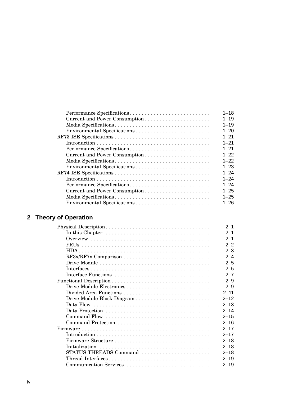| Performance Specifications    | $1 - 18$ |
|-------------------------------|----------|
| Current and Power Consumption | $1 - 19$ |
| Media Specifications          | $1 - 19$ |
|                               | $1 - 20$ |
|                               | $1 - 21$ |
|                               | $1 - 21$ |
| Performance Specifications    | $1 - 21$ |
| Current and Power Consumption | $1 - 22$ |
| Media Specifications          | $1 - 22$ |
|                               | $1 - 23$ |
|                               | $1 - 24$ |
|                               | $1 - 24$ |
| Performance Specifications    | $1 - 24$ |
| Current and Power Consumption | $1 - 25$ |
|                               | $1 - 25$ |
|                               | $1 - 26$ |

## **2 Theory of Operation**

|                                                                                           | $2 - 1$  |
|-------------------------------------------------------------------------------------------|----------|
| In this Chapter $\dots \dots \dots \dots \dots \dots \dots \dots \dots \dots \dots \dots$ | $2 - 1$  |
|                                                                                           | $2 - 1$  |
|                                                                                           | $2 - 2$  |
|                                                                                           | $2 - 3$  |
| RF3x/RF7x Comparison                                                                      | $2 - 4$  |
|                                                                                           | $2 - 5$  |
|                                                                                           | $2 - 5$  |
|                                                                                           | $2 - 7$  |
|                                                                                           | $2 - 9$  |
| Drive Module Electronics                                                                  | $2 - 9$  |
| Divided Area Functions                                                                    | $2 - 11$ |
|                                                                                           | $2 - 12$ |
|                                                                                           | $2 - 13$ |
|                                                                                           | $2 - 14$ |
|                                                                                           | $2 - 15$ |
|                                                                                           | $2 - 16$ |
|                                                                                           | $2 - 17$ |
|                                                                                           | $2 - 17$ |
|                                                                                           | $2 - 18$ |
|                                                                                           | $2 - 18$ |
| STATUS THREADS Command                                                                    | $2 - 18$ |
| Thread Interfaces                                                                         | $2 - 19$ |
| Communication Services                                                                    | $2 - 19$ |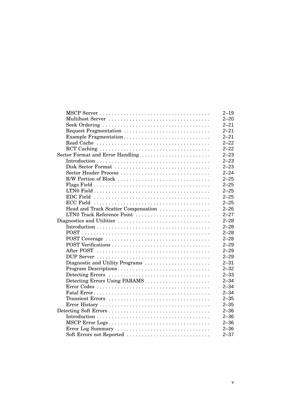|                                     | $2 - 19$ |
|-------------------------------------|----------|
|                                     | $2 - 20$ |
|                                     | $2 - 21$ |
| Request Fragmentation               | $2 - 21$ |
| Example Fragmentation               | $2 - 21$ |
|                                     | $2 - 22$ |
|                                     | $2 - 22$ |
| Sector Format and Error Handling    | $2 - 23$ |
|                                     | $2 - 23$ |
| Disk Sector Format                  | $2 - 23$ |
| Sector Header Process               | $2 - 24$ |
| R/W Portion of Block                | $2 - 25$ |
|                                     | $2 - 25$ |
|                                     | $2 - 25$ |
|                                     | $2 - 25$ |
|                                     | $2 - 25$ |
| Head and Track Scatter Compensation | $2 - 26$ |
| LTN0 Track Reference Point          | $2 - 27$ |
| Diagnostics and Utilities           | $2 - 28$ |
|                                     | $2 - 28$ |
|                                     | $2 - 28$ |
|                                     | $2 - 28$ |
|                                     | $2 - 29$ |
|                                     | $2 - 29$ |
|                                     | $2 - 29$ |
| Diagnostic and Utility Programs     | $2 - 31$ |
| Program Descriptions                | $2 - 32$ |
|                                     | $2 - 33$ |
| Detecting Errors Using PARAMS       | $2 - 34$ |
|                                     | $2 - 34$ |
|                                     | $2 - 34$ |
|                                     | $2 - 35$ |
|                                     | $2 - 35$ |
|                                     | $2 - 36$ |
|                                     | $2 - 36$ |
| MSCP Error Logs                     | $2 - 36$ |
|                                     | $2 - 36$ |
| Soft Errors not Reported            | $2 - 37$ |
|                                     |          |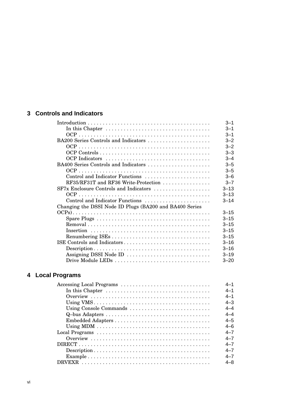#### **3 Controls and Indicators**

|                                                                                           | $3 - 1$  |
|-------------------------------------------------------------------------------------------|----------|
| In this Chapter $\dots \dots \dots \dots \dots \dots \dots \dots \dots \dots \dots \dots$ | $3 - 1$  |
|                                                                                           | $3 - 1$  |
| BA200 Series Controls and Indicators                                                      | $3 - 2$  |
|                                                                                           | $3 - 2$  |
|                                                                                           | $3 - 3$  |
|                                                                                           | $3 - 4$  |
| BA400 Series Controls and Indicators                                                      | $3 - 5$  |
|                                                                                           | $3 - 5$  |
| Control and Indicator Functions                                                           | $3 - 6$  |
| RF35/RF31T and RF36 Write-Protection                                                      | $3 - 7$  |
| SF7x Enclosure Controls and Indicators                                                    | $3 - 13$ |
|                                                                                           | $3 - 13$ |
| Control and Indicator Functions                                                           | $3 - 14$ |
| Changing the DSSI Node ID Plugs (BA200 and BA400 Series                                   |          |
|                                                                                           | $3 - 15$ |
|                                                                                           | $3 - 15$ |
|                                                                                           | $3 - 15$ |
|                                                                                           | $3 - 15$ |
|                                                                                           | $3 - 15$ |
| ISE Controls and Indicators                                                               | $3 - 16$ |
|                                                                                           | $3 - 16$ |
| Assigning DSSI Node ID                                                                    | $3 - 19$ |
| Drive Module LEDs                                                                         | $3 - 20$ |

## **4 Local Programs**

| Accessing Local Programs                                                                  | 4-1     |
|-------------------------------------------------------------------------------------------|---------|
| In this Chapter $\dots \dots \dots \dots \dots \dots \dots \dots \dots \dots \dots \dots$ | 4-1     |
|                                                                                           | 4-1     |
|                                                                                           | $4 - 3$ |
| Using Console Commands                                                                    | 4–4     |
|                                                                                           | 4–4     |
|                                                                                           | 4–5     |
|                                                                                           | 4–6     |
|                                                                                           | 4–7     |
|                                                                                           | $4 - 7$ |
|                                                                                           | 4–7     |
|                                                                                           | 4–7     |
|                                                                                           | 4–7     |
|                                                                                           | 4–8     |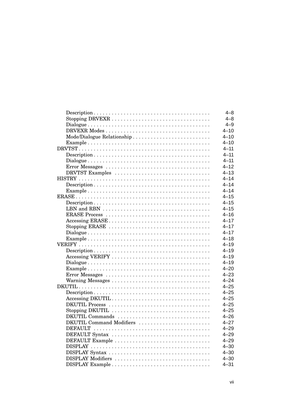|                            | $4 - 8$  |
|----------------------------|----------|
|                            | 4–8      |
|                            | $4 - 9$  |
|                            | $4 - 10$ |
| Mode/Dialogue Relationship | $4 - 10$ |
|                            | $4 - 10$ |
|                            | $4 - 11$ |
|                            | $4 - 11$ |
|                            | $4 - 11$ |
|                            | $4 - 12$ |
| DRVTST Examples            | $4 - 13$ |
|                            | $4 - 14$ |
|                            | $4 - 14$ |
|                            | $4 - 14$ |
|                            | $4 - 15$ |
|                            | $4 - 15$ |
|                            | $4 - 15$ |
|                            | $4 - 16$ |
|                            | $4 - 17$ |
| Stopping ERASE             | $4 - 17$ |
|                            | $4 - 17$ |
|                            | $4 - 18$ |
|                            | $4 - 19$ |
|                            | $4 - 19$ |
| Accessing VERIFY           | $4 - 19$ |
|                            | $4 - 19$ |
|                            | $4 - 20$ |
|                            | $4 - 23$ |
| Warning Messages           | $4 - 24$ |
|                            | $4 - 25$ |
|                            | $4 - 25$ |
| Accessing DKUTIL           | $4 - 25$ |
|                            | $4 - 25$ |
| Stopping DKUTIL            | $4 - 25$ |
| DKUTIL Commands            | $4 - 26$ |
| DKUTIL Command Modifiers   | $4 - 27$ |
|                            | $4 - 29$ |
| DEFAULT Syntax             | $4 - 29$ |
| DEFAULT Example            | $4 - 29$ |
|                            | $4 - 30$ |
| DISPLAY Syntax             | $4 - 30$ |
| DISPLAY Modifiers          | $4 - 30$ |
| DISPLAY Example            | $4 - 31$ |
|                            |          |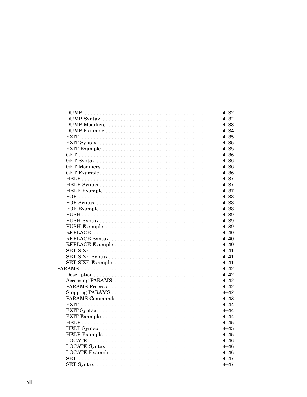|                  | $4 - 32$ |
|------------------|----------|
|                  | $4 - 32$ |
| DUMP Modifiers   | $4 - 33$ |
|                  | $4 - 34$ |
|                  | $4 - 35$ |
|                  | $4 - 35$ |
|                  | $4 - 35$ |
|                  | $4 - 36$ |
|                  | $4 - 36$ |
|                  | $4 - 36$ |
|                  | $4 - 36$ |
|                  | $4 - 37$ |
|                  | $4 - 37$ |
|                  | $4 - 37$ |
|                  | $4 - 38$ |
|                  | $4 - 38$ |
|                  | $4 - 38$ |
|                  | $4 - 39$ |
|                  | $4 - 39$ |
|                  | $4 - 39$ |
|                  | $4 - 40$ |
| REPLACE Syntax   | $4 - 40$ |
|                  | $4 - 40$ |
|                  | $4 - 41$ |
| SET SIZE Syntax  | $4 - 41$ |
| SET SIZE Example | $4 - 41$ |
|                  | $4 - 42$ |
|                  | $4 - 42$ |
| Accessing PARAMS | $4 - 42$ |
|                  | $4 - 42$ |
|                  | $4 - 42$ |
|                  | $4 - 43$ |
|                  | $4 - 44$ |
|                  | $4 - 44$ |
|                  | $4 - 44$ |
|                  | $4 - 45$ |
|                  | $4 - 45$ |
|                  | $4 - 45$ |
|                  | $4 - 46$ |
|                  | $4 - 46$ |
|                  | $4 - 46$ |
| LOCATE Example   | $4 - 47$ |
|                  |          |
|                  | $4 - 47$ |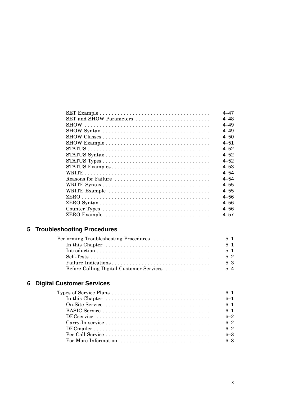|                         | 4–47     |
|-------------------------|----------|
| SET and SHOW Parameters | $4 - 48$ |
|                         | $4 - 49$ |
|                         | 4–49     |
|                         | $4 - 50$ |
|                         | $4 - 51$ |
|                         | $4 - 52$ |
|                         | $4 - 52$ |
|                         | $4 - 52$ |
|                         | $4 - 53$ |
|                         | $4 - 54$ |
| Reasons for Failure     | $4 - 54$ |
|                         | $4 - 55$ |
| WRITE Example           | $4 - 55$ |
|                         | $4 - 56$ |
|                         | $4 - 56$ |
|                         | $4 - 56$ |
|                         | 4–57     |
|                         |          |

## **5 Troubleshooting Procedures**

| Performing Troubleshooting Procedures                                               | $5 - 1$ |
|-------------------------------------------------------------------------------------|---------|
| In this Chapter $\dots \dots \dots \dots \dots \dots \dots \dots \dots \dots \dots$ | $5 - 1$ |
|                                                                                     | $5 - 1$ |
|                                                                                     | $5 - 2$ |
|                                                                                     | $5 - 3$ |
| Before Calling Digital Customer Services                                            | $5 - 4$ |

## **6 Digital Customer Services**

| Types of Service Plans $\dots \dots \dots \dots \dots \dots \dots \dots \dots \dots \dots$ | $6 - 1$ |
|--------------------------------------------------------------------------------------------|---------|
| In this Chapter $\dots \dots \dots \dots \dots \dots \dots \dots \dots \dots \dots$        | $6 - 1$ |
|                                                                                            | $6 - 1$ |
|                                                                                            | $6 - 1$ |
|                                                                                            | $6 - 2$ |
|                                                                                            | $6 - 2$ |
|                                                                                            | $6 - 2$ |
|                                                                                            | $6 - 3$ |
| For More Information $\dots\dots\dots\dots\dots\dots\dots\dots\dots\dots$                  | $6 - 3$ |
|                                                                                            |         |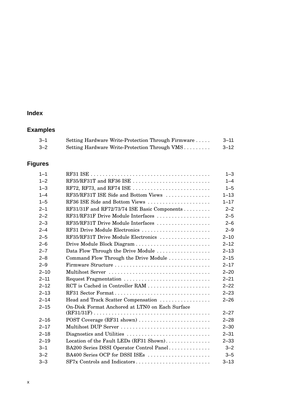## **Index**

## **Examples**

| $3 - 1$ | Setting Hardware Write-Protection Through Firmware | 3–11 |
|---------|----------------------------------------------------|------|
| $3 - 2$ | Setting Hardware Write-Protection Through VMS      | 3–12 |

## **Figures**

| $1 - 1$  |                                                                                    | $1 - 3$  |
|----------|------------------------------------------------------------------------------------|----------|
| $1 - 2$  | RF35/RF31T and RF36 ISE                                                            | $1 - 4$  |
| $1 - 3$  | RF72, RF73, and RF74 ISE $\dots\dots\dots\dots\dots\dots\dots\dots\dots\dots\dots$ | $1 - 5$  |
| $1 - 4$  | RF35/RF31T ISE Side and Bottom Views                                               | $1 - 13$ |
| $1 - 5$  | RF36 ISE Side and Bottom Views                                                     | $1 - 17$ |
| $2 - 1$  | RF31/31F and RF72/73/74 ISE Basic Components                                       | $2 - 2$  |
| $2 - 2$  | RF31/RF31F Drive Module Interfaces                                                 | $2 - 5$  |
| $2 - 3$  | RF35/RF31T Drive Module Interfaces                                                 | $2 - 6$  |
| $2 - 4$  | RF31 Drive Module Electronics                                                      | $2 - 9$  |
| $2 - 5$  | RF35/RF31T Drive Module Electronics                                                | $2 - 10$ |
| $2 - 6$  |                                                                                    | $2 - 12$ |
| $2 - 7$  | Data Flow Through the Drive Module                                                 | $2 - 13$ |
| $2 - 8$  | Command Flow Through the Drive Module                                              | $2 - 15$ |
| $2 - 9$  |                                                                                    | $2 - 17$ |
| $2 - 10$ |                                                                                    | $2 - 20$ |
| $2 - 11$ | Request Fragmentation                                                              | $2 - 21$ |
| $2 - 12$ |                                                                                    | $2 - 22$ |
| $2 - 13$ | RF31 Sector Format                                                                 | $2 - 23$ |
| $2 - 14$ | Head and Track Scatter Compensation                                                | $2 - 26$ |
| $2 - 15$ | On-Disk Format Anchored at LTN0 on Each Surface                                    |          |
|          |                                                                                    | $2 - 27$ |
| $2 - 16$ | POST Coverage (RF31 shown)                                                         | $2 - 28$ |
| $2 - 17$ | Multihost DUP Server                                                               | $2 - 30$ |
| $2 - 18$ | Diagnostics and Utilities                                                          | $2 - 31$ |
| $2 - 19$ | Location of the Fault LEDs (RF31 Shown)                                            | $2 - 33$ |
| $3 - 1$  | BA200 Series DSSI Operator Control Panel                                           | $3 - 2$  |
| $3 - 2$  | BA400 Series OCP for DSSI ISEs                                                     | $3 - 5$  |
| $3 - 3$  | SF7x Controls and Indicators                                                       | $3 - 13$ |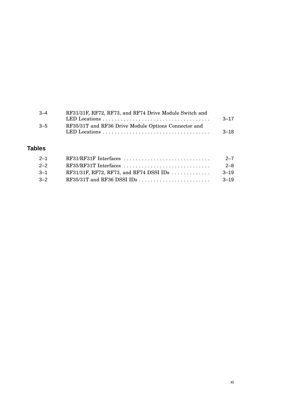| $-4$    | RF31/31F, RF72, RF73, and RF74 Drive Module Switch and |           |
|---------|--------------------------------------------------------|-----------|
|         |                                                        | $3 - 17$  |
| $3 - 5$ | RF35/31T and RF36 Drive Module Options Connector and   |           |
|         |                                                        | $-3 - 18$ |

#### **Tables**

| $2 - 1$ |                                                                | $2 - 7$  |
|---------|----------------------------------------------------------------|----------|
| $2 - 2$ |                                                                | $2 - 8$  |
| $-3-1$  | RF31/31F, RF72, RF73, and RF74 DSSI IDs $\ldots \ldots \ldots$ | $-3-19$  |
| $-2$    |                                                                | $3 - 19$ |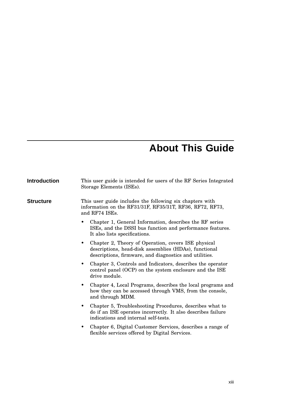# **About This Guide**

| <b>Introduction</b> | This user guide is intended for users of the RF Series Integrated<br>Storage Elements (ISEs).                                                                                       |  |  |
|---------------------|-------------------------------------------------------------------------------------------------------------------------------------------------------------------------------------|--|--|
| <b>Structure</b>    | This user guide includes the following six chapters with<br>information on the RF31/31F, RF35/31T, RF36, RF72, RF73,<br>and RF74 ISEs.                                              |  |  |
|                     | Chapter 1, General Information, describes the RF series<br>ISEs, and the DSSI bus function and performance features.<br>It also lists specifications.                               |  |  |
|                     | Chapter 2, Theory of Operation, covers ISE physical<br>$\bullet$<br>descriptions, head-disk assemblies (HDAs), functional<br>descriptions, firmware, and diagnostics and utilities. |  |  |
|                     | Chapter 3, Controls and Indicators, describes the operator<br>$\bullet$<br>control panel (OCP) on the system enclosure and the ISE<br>drive module.                                 |  |  |
|                     | Chapter 4, Local Programs, describes the local programs and<br>$\bullet$<br>how they can be accessed through VMS, from the console,<br>and through MDM.                             |  |  |
|                     | Chapter 5, Troubleshooting Procedures, describes what to<br>$\bullet$<br>do if an ISE operates incorrectly. It also describes failure<br>indications and internal self-tests.       |  |  |
|                     | Chapter 6, Digital Customer Services, describes a range of<br>$\bullet$<br>flexible services offered by Digital Services.                                                           |  |  |
|                     |                                                                                                                                                                                     |  |  |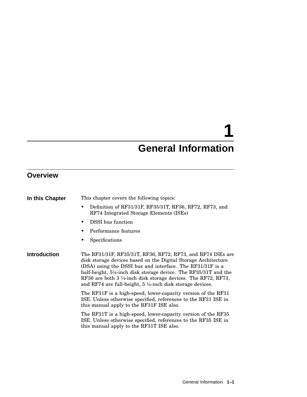# **1**

# **General Information**

## **Overview**

| In this Chapter     | This chapter covers the following topics:                                                                                                                                                                                                                                                                                                                                                                                                                                                                                                                                                                                                                                                                                                                                       |  |  |
|---------------------|---------------------------------------------------------------------------------------------------------------------------------------------------------------------------------------------------------------------------------------------------------------------------------------------------------------------------------------------------------------------------------------------------------------------------------------------------------------------------------------------------------------------------------------------------------------------------------------------------------------------------------------------------------------------------------------------------------------------------------------------------------------------------------|--|--|
|                     | Definition of RF31/31F, RF35/31T, RF36, RF72, RF73, and<br>٠<br>RF74 Integrated Storage Elements (ISEs)                                                                                                                                                                                                                                                                                                                                                                                                                                                                                                                                                                                                                                                                         |  |  |
|                     | <b>DSSI</b> bus function                                                                                                                                                                                                                                                                                                                                                                                                                                                                                                                                                                                                                                                                                                                                                        |  |  |
|                     | Performance features                                                                                                                                                                                                                                                                                                                                                                                                                                                                                                                                                                                                                                                                                                                                                            |  |  |
|                     | Specifications                                                                                                                                                                                                                                                                                                                                                                                                                                                                                                                                                                                                                                                                                                                                                                  |  |  |
| <b>Introduction</b> | The RF31/31F, RF35/31T, RF36, RF72, RF73, and RF74 ISEs are<br>disk storage devices based on the Digital Storage Architecture<br>(DSA) using the DSSI bus and interface. The RF31/31F is a<br>half-height, 5¼-inch disk storage device. The RF35/31T and the<br>RF36 are both 3 $\frac{1}{2}$ -inch disk storage devices. The RF72, RF73,<br>and RF74 are full-height, $5\frac{1}{4}$ -inch disk storage devices.<br>The RF31F is a high-speed, lower-capacity version of the RF31<br>ISE. Unless otherwise specified, references to the RF31 ISE in<br>this manual apply to the RF31F ISE also.<br>The RF31T is a high-speed, lower-capacity version of the RF35<br>ISE. Unless otherwise specified, references to the RF35 ISE in<br>this manual apply to the RF31T ISE also. |  |  |
|                     |                                                                                                                                                                                                                                                                                                                                                                                                                                                                                                                                                                                                                                                                                                                                                                                 |  |  |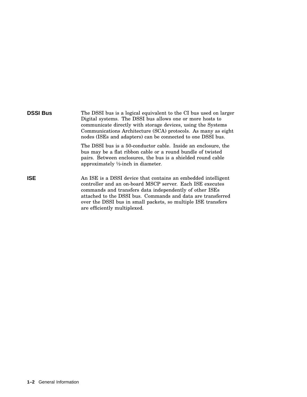| <b>DSSI Bus</b> | The DSSI bus is a logical equivalent to the CI bus used on larger<br>Digital systems. The DSSI bus allows one or more hosts to<br>communicate directly with storage devices, using the Systems<br>Communications Architecture (SCA) protocols. As many as eight<br>nodes (ISEs and adapters) can be connected to one DSSI bus.                        |
|-----------------|-------------------------------------------------------------------------------------------------------------------------------------------------------------------------------------------------------------------------------------------------------------------------------------------------------------------------------------------------------|
|                 | The DSSI bus is a 50-conductor cable. Inside an enclosure, the<br>bus may be a flat ribbon cable or a round bundle of twisted<br>pairs. Between enclosures, the bus is a shielded round cable<br>approximately $\frac{1}{2}$ -inch in diameter.                                                                                                       |
| <b>ISE</b>      | An ISE is a DSSI device that contains an embedded intelligent<br>controller and an on-board MSCP server. Each ISE executes<br>commands and transfers data independently of other ISEs<br>attached to the DSSI bus. Commands and data are transferred<br>over the DSSI bus in small packets, so multiple ISE transfers<br>are efficiently multiplexed. |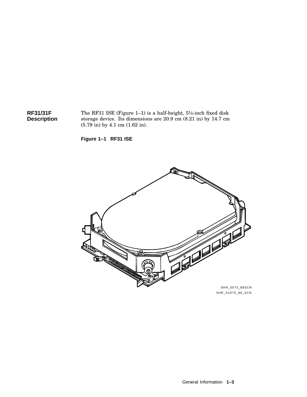**RF31/31F Description** The RF31 ISE (Figure 1–1) is a half-height, 5¼-inch fixed disk storage device. Its dimensions are 20.9 cm (8.21 in) by 14.7 cm (5.79 in) by 4.1 cm (1.62 in).

**Figure 1–1 RF31 ISE**

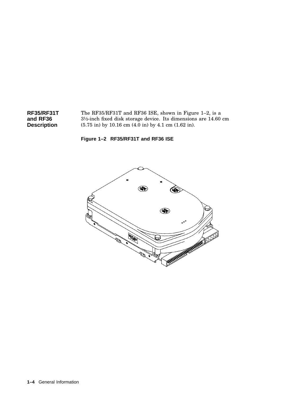



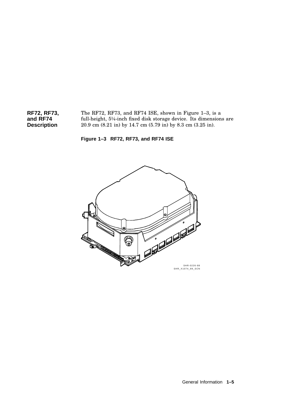**RF72, RF73, and RF74 Description** The RF72, RF73, and RF74 ISE, shown in Figure 1–3, is a full-height, 5¼-inch fixed disk storage device. Its dimensions are 20.9 cm (8.21 in) by 14.7 cm (5.79 in) by 8.3 cm (3.25 in).



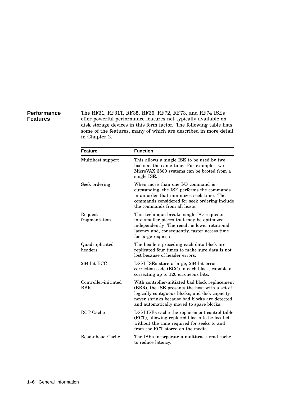#### **Performance Features**

The RF31, RF31T, RF35, RF36, RF72, RF73, and RF74 ISEs offer powerful performance features not typically available on disk storage devices in this form factor. The following table lists some of the features, many of which are described in more detail in Chapter 2.

| <b>Feature</b>                     | <b>Function</b>                                                                                                                                                                                                                                  |
|------------------------------------|--------------------------------------------------------------------------------------------------------------------------------------------------------------------------------------------------------------------------------------------------|
| Multihost support                  | This allows a single ISE to be used by two<br>hosts at the same time. For example, two<br>MicroVAX 3800 systems can be booted from a<br>single ISE.                                                                                              |
| Seek ordering                      | When more than one I/O command is<br>outstanding, the ISE performs the commands<br>in an order that minimizes seek time. The<br>commands considered for seek ordering include<br>the commands from all hosts.                                    |
| Request<br>fragmentation           | This technique breaks single I/O requests<br>into smaller pieces that may be optimized<br>independently. The result is lower rotational<br>latency and, consequently, faster access time<br>for large requests.                                  |
| Quadruplicated<br>headers          | The headers preceding each data block are<br>replicated four times to make sure data is not<br>lost because of header errors.                                                                                                                    |
| 264-bit ECC                        | DSSI ISEs store a large, 264-bit error<br>correction code (ECC) in each block, capable of<br>correcting up to 120 erroneous bits.                                                                                                                |
| Controller-initiated<br><b>BBR</b> | With controller-initiated bad block replacement<br>(BBR), the ISE presents the host with a set of<br>logically contiguous blocks, and disk capacity<br>never shrinks because bad blocks are detected<br>and automatically moved to spare blocks. |
| <b>RCT</b> Cache                   | DSSI ISEs cache the replacement control table<br>(RCT), allowing replaced blocks to be located<br>without the time required for seeks to and<br>from the RCT stored on the media.                                                                |
| Read-ahead Cache                   | The ISEs incorporate a multitrack read cache<br>to reduce latency.                                                                                                                                                                               |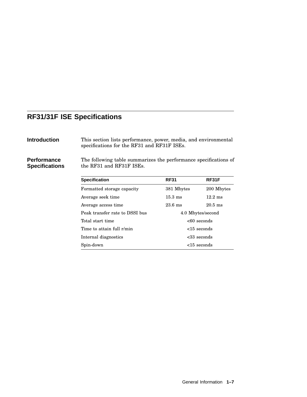## **RF31/31F ISE Specifications**

**Introduction** This section lists performance, power, media, and environmental specifications for the RF31 and RF31F ISEs.

**Performance Specifications** The following table summarizes the performance specifications of the RF31 and RF31F ISEs.

| <b>Specification</b>           | <b>RF31</b>       | RF31F             |
|--------------------------------|-------------------|-------------------|
| Formatted storage capacity     | 381 Mbytes        | 200 Mbytes        |
| Average seek time              | $15.3 \text{ ms}$ | $12.2 \text{ ms}$ |
| Average access time.           | $23.6$ ms         | $20.5$ ms         |
| Peak transfer rate to DSSI bus | 4.0 Mbytes/second |                   |
| Total start time               | $<60$ seconds     |                   |
| Time to attain full r/min      | $<$ 15 seconds    |                   |
| Internal diagnostics           | $<33$ seconds     |                   |
| Spin-down                      | $<$ 15 seconds    |                   |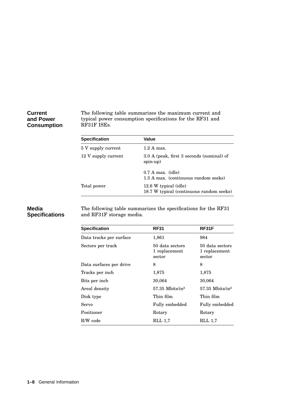#### **Current and Power Consumption**

The following table summarizes the maximum current and typical power consumption specifications for the RF31 and RF31F ISEs.

| <b>Specification</b> | Value                                                             |  |
|----------------------|-------------------------------------------------------------------|--|
| 5 V supply current   | $1.2$ A max.                                                      |  |
| 12 V supply current  | 3.0 A (peak, first 3 seconds (nominal) of<br>$spin-up)$           |  |
|                      | $0.7$ A max. (idle)<br>1.3 A max. (continuous random seeks)       |  |
| Total power          | 12.6 W typical (idle)<br>18.7 W typical (continuous random seeks) |  |

#### **Media Specifications**

The following table summarizes the specifications for the RF31 and RF31F storage media.

| <b>Specification</b>    | <b>RF31</b>                                | RF31F                                      |
|-------------------------|--------------------------------------------|--------------------------------------------|
| Data tracks per surface | 1,861                                      | 984                                        |
| Sectors per track       | 50 data sectors<br>1 replacement<br>sector | 50 data sectors<br>1 replacement<br>sector |
| Data surfaces per drive | 8                                          | 8                                          |
| Tracks per inch         | 1,875                                      | 1,875                                      |
| Bits per inch           | 30,064                                     | 30,064                                     |
| Areal density           | $57.35$ Mbits/in <sup>2</sup>              | $57.35$ Mbits/in <sup>2</sup>              |
| Disk type               | Thin film                                  | Thin film                                  |
| Servo                   | Fully embedded                             | Fully embedded                             |
| Positioner              | Rotary                                     | Rotary                                     |
| R/W code                | RLL 1.7                                    | <b>RLL 1.7</b>                             |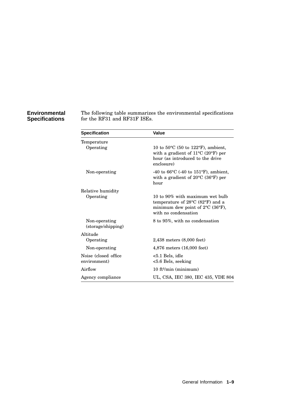#### **Environmental Specifications**

The following table summarizes the environmental specifications for the RF31 and RF31F ISEs.

| <b>Specification</b>                  | Value                                                                                                                                                     |
|---------------------------------------|-----------------------------------------------------------------------------------------------------------------------------------------------------------|
| Temperature                           |                                                                                                                                                           |
| Operating                             | 10 to $50^{\circ}$ C (50 to 122 $^{\circ}$ F), ambient,<br>with a gradient of $11^{\circ}$ C (20°F) per<br>hour (as introduced to the drive<br>enclosure) |
| Non-operating                         | -40 to 66 $\rm{^{\circ}C}$ (-40 to 151 $\rm{^{\circ}F}$ ), ambient,<br>with a gradient of $20^{\circ}$ C (36°F) per<br>hour                               |
| Relative humidity                     |                                                                                                                                                           |
| Operating                             | 10 to 90% with maximum wet bulb<br>temperature of 28°C (82°F) and a<br>minimum dew point of $2^{\circ}C$ (36 $^{\circ}F$ ),<br>with no condensation       |
| Non-operating<br>(storage/shipping)   | 8 to 95%, with no condensation                                                                                                                            |
| Altitude                              |                                                                                                                                                           |
| Operating                             | $2,438$ meters $(8,000$ feet)                                                                                                                             |
| Non-operating                         | 4,876 meters (16,000 feet)                                                                                                                                |
| Noise (closed office)<br>environment) | $< 5.1$ Bels, idle<br>$< 5.6$ Bels, seeking                                                                                                               |
| Airflow                               | $10$ ft <sup>3</sup> /min (minimum)                                                                                                                       |
| Agency compliance                     | UL, CSA, IEC 380, IEC 435, VDE 804                                                                                                                        |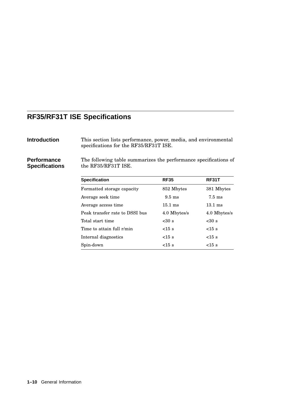## **RF35/RF31T ISE Specifications**

**Introduction** This section lists performance, power, media, and environmental specifications for the RF35/RF31T ISE.

**Performance Specifications** The following table summarizes the performance specifications of the RF35/RF31T ISE.

| <b>Specification</b>           | <b>RF35</b>       | <b>RF31T</b>      |
|--------------------------------|-------------------|-------------------|
| Formatted storage capacity     | 852 Mbytes        | 381 Mbytes        |
| Average seek time              | $9.5 \text{ ms}$  | $7.5 \text{ ms}$  |
| Average access time            | $15.1 \text{ ms}$ | $13.1 \text{ ms}$ |
| Peak transfer rate to DSSI bus | 4.0 Mbytes/s      | 4.0 Mbytes/s      |
| Total start time               | <30s              | $30 s$            |
| Time to attain full r/min      | $<15$ s           | $<15$ s           |
| Internal diagnostics           | $<15$ s           | $<15$ s           |
| Spin-down                      | $<15$ s           | $<15$ s           |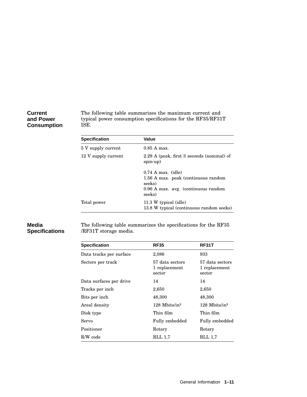#### **Current and Power Consumption**

The following table summarizes the maximum current and typical power consumption specifications for the RF35/RF31T ISE.

| <b>Specification</b> | Value                                                                                                                  |
|----------------------|------------------------------------------------------------------------------------------------------------------------|
| 5 V supply current   | $0.85$ A max.                                                                                                          |
| 12 V supply current  | 2.29 A (peak, first 3 seconds (nominal) of<br>$spin-up)$                                                               |
|                      | $0.74$ A max. (idle)<br>1.56 A max. peak (continuous random<br>seeks)<br>0.96 A max. avg. (continuous random<br>seeks) |
| Total power          | 11.3 W typical (idle)<br>13.8 W typical (continuous random seeks)                                                      |

#### **Media Specifications**

The following table summarizes the specifications for the RF35 /RF31T storage media.

| <b>RF35</b>                                | RF31T                                      |
|--------------------------------------------|--------------------------------------------|
| 2,086                                      | 933                                        |
| 57 data sectors<br>1 replacement<br>sector | 57 data sectors<br>1 replacement<br>sector |
| 14                                         | 14                                         |
| 2,650                                      | 2,650                                      |
| 48,300                                     | 48,300                                     |
| $128$ Mbits/in <sup>2</sup>                | $128$ Mbits/in <sup>2</sup>                |
| Thin film                                  | Thin film                                  |
| Fully embedded                             | Fully embedded                             |
| Rotary                                     | Rotary                                     |
| RLL 1.7                                    | RLL 1,7                                    |
|                                            |                                            |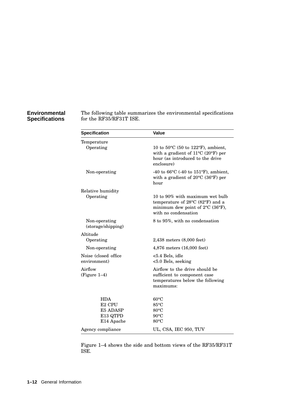#### **Environmental Specifications**

The following table summarizes the environmental specifications for the RF35/RF31T ISE.

| <b>Specification</b>                  | Value                                                                                                                                                     |
|---------------------------------------|-----------------------------------------------------------------------------------------------------------------------------------------------------------|
| Temperature<br>Operating              | 10 to $50^{\circ}$ C (50 to 122 $^{\circ}$ F), ambient,<br>with a gradient of $11^{\circ}$ C (20°F) per<br>hour (as introduced to the drive<br>enclosure) |
| Non-operating                         | -40 to 66 $\rm{^{\circ}C}$ (-40 to 151 $\rm{^{\circ}F}$ ), ambient,<br>with a gradient of $20^{\circ}$ C (36°F) per<br>hour                               |
| Relative humidity                     |                                                                                                                                                           |
| Operating                             | 10 to 90% with maximum wet bulb<br>temperature of 28°C (82°F) and a<br>minimum dew point of $2^{\circ}C$ (36°F),<br>with no condensation                  |
| Non-operating<br>(storage/shipping)   | 8 to 95%, with no condensation                                                                                                                            |
| Altitude                              |                                                                                                                                                           |
| Operating                             | $2,438$ meters $(8,000 \text{ feet})$                                                                                                                     |
| Non-operating                         | 4,876 meters (16,000 feet)                                                                                                                                |
| Noise (closed office)<br>environment) | <5.4 Bels, idle<br>$< 5.0$ Bels, seeking                                                                                                                  |
| Airflow<br>$(Figure 1-4)$             | Airflow to the drive should be<br>sufficient to component case<br>temperatures below the following<br>maximums:                                           |
| <b>HDA</b><br>E2 CPU                  | $60^{\circ}$ C<br>$85^{\circ}$ C                                                                                                                          |
| E5 ADASP                              | $80^{\circ}$ C                                                                                                                                            |
| E13 QTPD                              | $90^{\circ}$ C                                                                                                                                            |
| E14 Apache                            | $80^{\circ}$ C                                                                                                                                            |
| Agency compliance                     | UL, CSA, IEC 950, TUV                                                                                                                                     |

Figure 1–4 shows the side and bottom views of the RF35/RF31T ISE.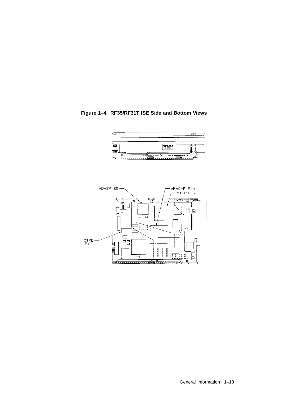#### **Figure 1–4 RF35/RF31T ISE Side and Bottom Views**



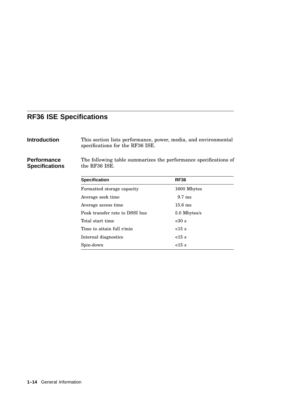## **RF36 ISE Specifications**

|--|

**Introduction** This section lists performance, power, media, and environmental specifications for the RF36 ISE.

**Performance Specifications** The following table summarizes the performance specifications of the RF36 ISE.

| <b>Specification</b>           | <b>RF36</b>       |
|--------------------------------|-------------------|
| Formatted storage capacity     | 1600 Mbytes       |
| Average seek time              | $9.7 \text{ ms}$  |
| Average access time            | $15.6 \text{ ms}$ |
| Peak transfer rate to DSSI bus | 5.0 Mbytes/s      |
| Total start time               | <30s              |
| Time to attain full r/min      | $<15$ s           |
| Internal diagnostics           | $<15$ s           |
| Spin-down                      | $<15$ s           |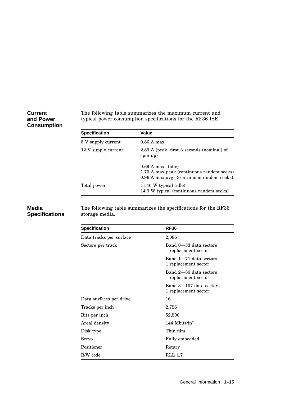#### **Current and Power Consumption**

The following table summarizes the maximum current and typical power consumption specifications for the RF36 ISE.

| <b>Specification</b> | Value                                                                                                          |
|----------------------|----------------------------------------------------------------------------------------------------------------|
| 5 V supply current   | $0.86$ A max.                                                                                                  |
| 12 V supply current  | 2.89 A (peak, first 3 seconds (nominal) of<br>$spin-up)$                                                       |
|                      | $0.69$ A max. (idle)<br>1.70 A max peak (continuous random seeks)<br>0.96 A max avg. (continuous random seeks) |
| Total power          | 11.46 W typical (idle)<br>14.9 W typical (continuous random seeks)                                             |

#### **Media Specifications**

The following table summarizes the specifications for the RF36 storage media.

| <b>Specification</b>    | <b>RF36</b>                                     |
|-------------------------|-------------------------------------------------|
| Data tracks per surface | 2,086                                           |
| Sectors per track       | Band 0—53 data sectors<br>1 replacement sector  |
|                         | Band 1-71 data sectors<br>1 replacement sector  |
|                         | Band 2-80 data sectors<br>1 replacement sector  |
|                         | Band 3-107 data sectors<br>1 replacement sector |
| Data surfaces per drive | 16                                              |
| Tracks per inch         | 2,756                                           |
| Bits per inch           | 52,500                                          |
| Areal density           | 144 Mbits/in $2$                                |
| Disk type               | Thin film                                       |
| Servo                   | Fully embedded                                  |
| Positioner              | Rotary                                          |
| R/W code                | RLL 1.7                                         |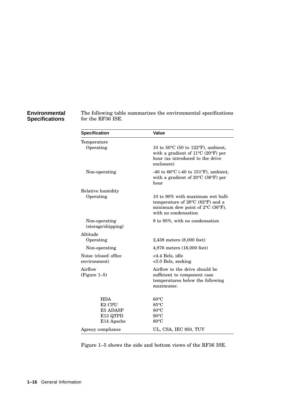#### **Environmental Specifications**

The following table summarizes the environmental specifications for the RF36 ISE.

| <b>Specification</b>                                                   | Value                                                                                                                                                         |
|------------------------------------------------------------------------|---------------------------------------------------------------------------------------------------------------------------------------------------------------|
| Temperature                                                            |                                                                                                                                                               |
| Operating                                                              | 10 to 50°C (50 to 122°F), ambient,<br>with a gradient of $11^{\circ}$ C (20°F) per<br>hour (as introduced to the drive<br>enclosure)                          |
| Non-operating                                                          | -40 to 66 $\rm{^{\circ}C}$ (-40 to 151 $\rm{^{\circ}F}$ ), ambient,<br>with a gradient of $20^{\circ}$ C (36°F) per<br>hour                                   |
| Relative humidity                                                      |                                                                                                                                                               |
| Operating                                                              | 10 to 90% with maximum wet bulb<br>temperature of $28^{\circ}$ C (82 $^{\circ}$ F) and a<br>minimum dew point of $2^{\circ}C$ (36°F),<br>with no condensation |
| Non-operating<br>(storage/shipping)                                    | 8 to 95%, with no condensation                                                                                                                                |
| Altitude                                                               |                                                                                                                                                               |
| Operating                                                              | $2,438$ meters $(8,000 \text{ feet})$                                                                                                                         |
| Non-operating                                                          | 4,876 meters (16,000 feet)                                                                                                                                    |
| Noise (closed office<br>environment)                                   | <4.4 Bels, idle<br><5.0 Bels, seeking                                                                                                                         |
| Airflow<br>$(Figure 1-5)$                                              | Airflow to the drive should be<br>sufficient to component case<br>temperatures below the following<br>maximums:                                               |
| <b>HDA</b><br>E <sub>2</sub> CPU<br>E5 ADASP<br>E13 QTPD<br>E14 Apache | $60^{\circ}$ C<br>$85^{\circ}$ C<br>$80^{\circ}$ C<br>$90^{\circ}$ C<br>$80^{\circ}$ C                                                                        |
| Agency compliance                                                      | UL, CSA, IEC 950, TUV                                                                                                                                         |

Figure 1–5 shows the side and bottom views of the RF36 ISE.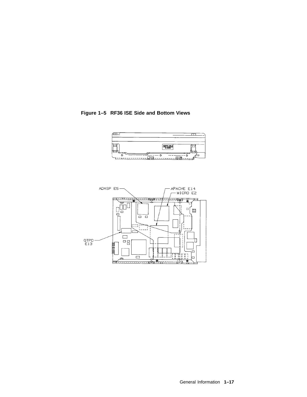



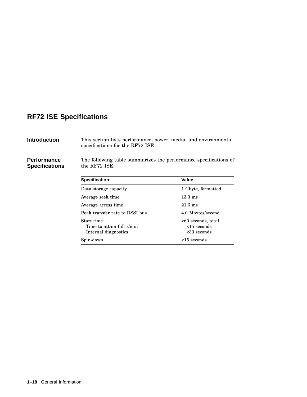## **RF72 ISE Specifications**

|  | Introduction |
|--|--------------|
|--|--------------|

This section lists performance, power, media, and environmental specifications for the RF72 ISE.

**Performance Specifications** The following table summarizes the performance specifications of the RF72 ISE.

| <b>Specification</b>                                            | Value                                                 |  |
|-----------------------------------------------------------------|-------------------------------------------------------|--|
| Data storage capacity                                           | 1 Gbyte, formatted                                    |  |
| Average seek time                                               | $13.3 \text{ ms}$                                     |  |
| Average access time                                             | $21.6 \text{ ms}$                                     |  |
| Peak transfer rate to DSSI bus                                  | 4.0 Mbytes/second                                     |  |
| Start time<br>Time to attain full r/min<br>Internal diagnostics | <60 seconds, total<br>$<$ 15 seconds<br>$<33$ seconds |  |
| Spin-down                                                       | $<$ 15 seconds                                        |  |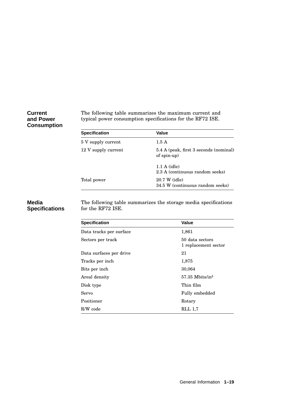#### **Current and Power Consumption**

The following table summarizes the maximum current and typical power consumption specifications for the RF72 ISE.

| <b>Specification</b> | Value                                                 |
|----------------------|-------------------------------------------------------|
| 5 V supply current   | 1.5A                                                  |
| 12 V supply current  | 5.4 A (peak, first 3 seconds (nominal)<br>of spin-up) |
|                      | $1.1 A$ (idle)<br>2.3 A (continuous random seeks)     |
| Total power          | 20.7 W (idle)<br>34.5 W (continuous random seeks)     |

#### **Media Specifications**

The following table summarizes the storage media specifications for the RF72 ISE.

| <b>Specification</b>    | Value                                   |
|-------------------------|-----------------------------------------|
| Data tracks per surface | 1,861                                   |
| Sectors per track       | 50 data sectors<br>1 replacement sector |
| Data surfaces per drive | 21                                      |
| Tracks per inch         | 1,875                                   |
| Bits per inch           | 30,064                                  |
| Areal density           | $57.35$ Mbits/in <sup>2</sup>           |
| Disk type               | Thin film                               |
| Servo                   | Fully embedded                          |
| Positioner              | Rotary                                  |
| R/W code                | RLL 1,7                                 |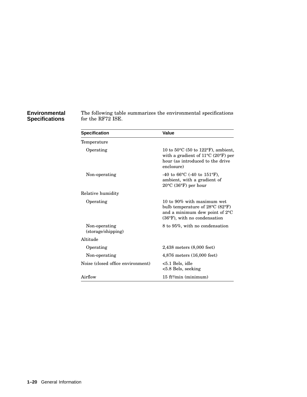#### **Environmental Specifications**

The following table summarizes the environmental specifications for the RF72 ISE.

| <b>Specification</b>                | Value                                                                                                                                                          |
|-------------------------------------|----------------------------------------------------------------------------------------------------------------------------------------------------------------|
| Temperature                         |                                                                                                                                                                |
| Operating                           | 10 to $50^{\circ}$ C (50 to 122°F), ambient,<br>with a gradient of $11^{\circ}$ C (20°F) per<br>hour (as introduced to the drive<br>enclosure)                 |
| Non-operating                       | -40 to 66 $\rm{^{\circ}C}$ (-40 to 151 $\rm{^{\circ}F}$ ),<br>ambient, with a gradient of<br>$20^{\circ}$ C (36 $^{\circ}$ F) per hour                         |
| Relative humidity                   |                                                                                                                                                                |
| Operating                           | 10 to 90% with maximum wet<br>bulb temperature of $28^{\circ}$ C (82 $^{\circ}$ F)<br>and a minimum dew point of 2°C<br>$(36^{\circ}F)$ , with no condensation |
| Non-operating<br>(storage/shipping) | 8 to 95%, with no condensation                                                                                                                                 |
| Altitude                            |                                                                                                                                                                |
| Operating                           | 2,438 meters (8,000 feet)                                                                                                                                      |
| Non-operating                       | $4,876$ meters $(16,000$ feet)                                                                                                                                 |
| Noise (closed office environment)   | $< 5.1$ Bels, idle<br>$< 5.8$ Bels, seeking                                                                                                                    |
| Airflow                             | $15$ ft <sup>3</sup> /min (minimum)                                                                                                                            |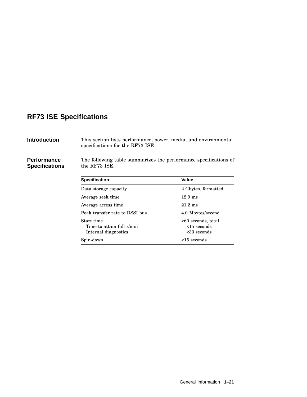## **RF73 ISE Specifications**

| Introduction |  |
|--------------|--|
|              |  |

This section lists performance, power, media, and environmental specifications for the RF73 ISE.

**Performance Specifications** The following table summarizes the performance specifications of the RF73 ISE.

| <b>Specification</b>                                            | Value                                               |
|-----------------------------------------------------------------|-----------------------------------------------------|
| Data storage capacity                                           | 2 Gbytes, formatted                                 |
| Average seek time                                               | $12.9 \text{ ms}$                                   |
| Average access time.                                            | $21.2 \text{ ms}$                                   |
| Peak transfer rate to DSSI bus                                  | 4.0 Mbytes/second                                   |
| Start time<br>Time to attain full r/min<br>Internal diagnostics | <60 seconds, total<br>$<$ 15 seconds<br><33 seconds |
| Spin-down                                                       | $<$ 15 seconds                                      |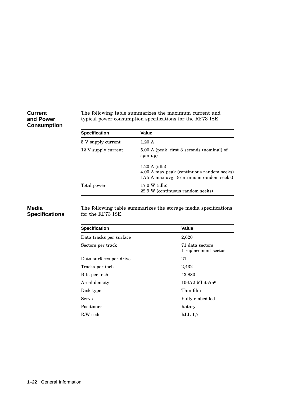#### **Current and Power Consumption**

The following table summarizes the maximum current and typical power consumption specifications for the RF73 ISE.

| <b>Specification</b> | Value                                                                                                             |
|----------------------|-------------------------------------------------------------------------------------------------------------------|
| 5 V supply current   | $1.20 \text{ A}$                                                                                                  |
| 12 V supply current  | 5.00 A (peak, first 3 seconds (nominal) of<br>$spin-up)$                                                          |
|                      | $1.20 \text{ A}$ (idle)<br>4.00 A max peak (continuous random seeks)<br>1.75 A max avg. (continuous random seeks) |
| Total power          | 17.0 W (idle)<br>22.9 W (continuous random seeks)                                                                 |

#### **Media Specifications**

The following table summarizes the storage media specifications for the RF73 ISE.

| <b>Specification</b>    | Value                                   |
|-------------------------|-----------------------------------------|
| Data tracks per surface | 2,620                                   |
| Sectors per track       | 71 data sectors<br>1 replacement sector |
| Data surfaces per drive | 21                                      |
| Tracks per inch         | 2,432                                   |
| Bits per inch           | 43,880                                  |
| Areal density           | $106.72$ Mbits/in <sup>2</sup>          |
| Disk type               | Thin film                               |
| Servo                   | Fully embedded                          |
| Positioner              | Rotary                                  |
| R/W code                | <b>RLL</b> 1.7                          |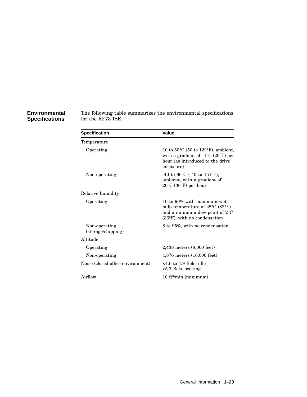#### **Environmental Specifications**

The following table summarizes the environmental specifications for the RF73 ISE.

| <b>Specification</b>                | Value                                                                                                                                                     |
|-------------------------------------|-----------------------------------------------------------------------------------------------------------------------------------------------------------|
| Temperature                         |                                                                                                                                                           |
| Operating                           | 10 to $50^{\circ}$ C (50 to 122 $^{\circ}$ F), ambient,<br>with a gradient of $11^{\circ}$ C (20°F) per<br>hour (as introduced to the drive<br>enclosure) |
| Non-operating                       | -40 to 66 $\rm{^{\circ}C}$ (-40 to 151 $\rm{^{\circ}F}$ ),<br>ambient, with a gradient of<br>$20^{\circ}$ C (36 $^{\circ}$ F) per hour                    |
| Relative humidity                   |                                                                                                                                                           |
| Operating                           | 10 to 90% with maximum wet<br>bulb temperature of 28°C (82°F)<br>and a minimum dew point of $2^{\circ}C$<br>$(36^{\circ}F)$ , with no condensation        |
| Non-operating<br>(storage/shipping) | 8 to 95%, with no condensation                                                                                                                            |
| Altitude                            |                                                                                                                                                           |
| Operating                           | $2,438$ meters $(8,000$ feet)                                                                                                                             |
| Non-operating                       | 4,876 meters (16,000 feet)                                                                                                                                |
| Noise (closed office environment)   | $<4.6$ to 4.9 Bels, idle<br>$< 5.7$ Bels, seeking                                                                                                         |
| Airflow                             | $10$ ft <sup>3</sup> /min (minimum)                                                                                                                       |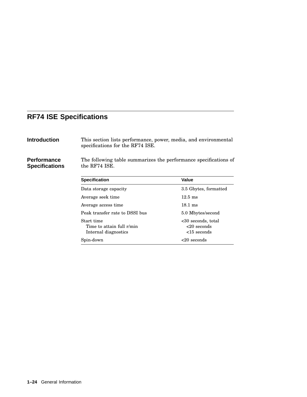## **RF74 ISE Specifications**

This section lists performance, power, media, and environmental specifications for the RF74 ISE.

**Performance Specifications** The following table summarizes the performance specifications of the RF74 ISE.

| <b>Specification</b>                                            | Value                                                   |
|-----------------------------------------------------------------|---------------------------------------------------------|
| Data storage capacity                                           | 3.5 Gbytes, formatted                                   |
| Average seek time                                               | $12.5 \text{ ms}$                                       |
| Average access time.                                            | $18.1 \text{ ms}$                                       |
| Peak transfer rate to DSSI bus                                  | 5.0 Mbytes/second                                       |
| Start time<br>Time to attain full r/min<br>Internal diagnostics | $<30$ seconds, total<br>$<20$ seconds<br>$<$ 15 seconds |
| Spin-down                                                       | $<$ 20 seconds                                          |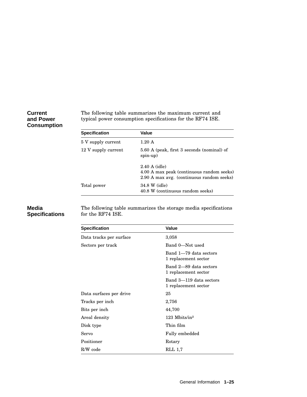#### **Current and Power Consumption**

The following table summarizes the maximum current and typical power consumption specifications for the RF74 ISE.

| <b>Specification</b> | Value                                                                                                             |
|----------------------|-------------------------------------------------------------------------------------------------------------------|
| 5 V supply current   | $1.20 \text{ A}$                                                                                                  |
| 12 V supply current  | 5.60 A (peak, first 3 seconds (nominal) of<br>$spin-up)$                                                          |
|                      | $2.40 \text{ A}$ (idle)<br>4.00 A max peak (continuous random seeks)<br>2.90 A max avg. (continuous random seeks) |
| Total power          | 34.8 W (idle)<br>40.8 W (continuous random seeks)                                                                 |

#### **Media Specifications**

The following table summarizes the storage media specifications for the RF74 ISE.

| <b>Specification</b>    | <b>Value</b>                                    |
|-------------------------|-------------------------------------------------|
| Data tracks per surface | 3,058                                           |
| Sectors per track       | Band 0-Not used                                 |
|                         | Band 1-79 data sectors<br>1 replacement sector  |
|                         | Band 2-89 data sectors<br>1 replacement sector  |
|                         | Band 3-119 data sectors<br>1 replacement sector |
| Data surfaces per drive | 25                                              |
| Tracks per inch         | 2,756                                           |
| Bits per inch           | 44,700                                          |
| Areal density           | $123$ Mbits/in <sup>2</sup>                     |
| Disk type               | Thin film                                       |
| Servo                   | Fully embedded                                  |
| Positioner              | Rotary                                          |
| R/W code                | <b>RLL 1,7</b>                                  |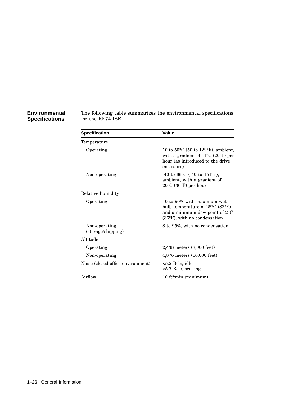#### **Environmental Specifications**

The following table summarizes the environmental specifications for the RF74 ISE.

| <b>Specification</b>                | Value                                                                                                                                                               |
|-------------------------------------|---------------------------------------------------------------------------------------------------------------------------------------------------------------------|
| Temperature                         |                                                                                                                                                                     |
| Operating                           | 10 to 50 $\rm{^{\circ}C}$ (50 to 122 $\rm{^{\circ}F}$ ), ambient,<br>with a gradient of $11^{\circ}$ C (20°F) per<br>hour (as introduced to the drive<br>enclosure) |
| Non-operating                       | -40 to 66 $\rm{^{\circ}C}$ (-40 to 151 $\rm{^{\circ}F}$ ),<br>ambient, with a gradient of<br>$20^{\circ}$ C (36 $^{\circ}$ F) per hour                              |
| Relative humidity                   |                                                                                                                                                                     |
| Operating                           | 10 to 90% with maximum wet<br>bulb temperature of $28^{\circ}$ C (82 $^{\circ}$ F)<br>and a minimum dew point of 2°C<br>$(36^{\circ}F)$ , with no condensation      |
| Non-operating<br>(storage/shipping) | 8 to 95%, with no condensation                                                                                                                                      |
| Altitude                            |                                                                                                                                                                     |
| Operating                           | 2,438 meters (8,000 feet)                                                                                                                                           |
| Non-operating                       | $4,876$ meters $(16,000$ feet)                                                                                                                                      |
| Noise (closed office environment)   | $< 5.2$ Bels, idle<br>$< 5.7$ Bels, seeking                                                                                                                         |
| Airflow                             | $10$ ft <sup>3</sup> /min (minimum)                                                                                                                                 |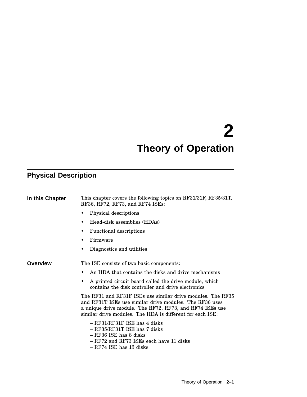# **2 Theory of Operation**

## **Physical Description**

| In this Chapter | This chapter covers the following topics on RF31/31F, RF35/31T,<br>RF36, RF72, RF73, and RF74 ISEs:                                                                                                                                             |  |  |
|-----------------|-------------------------------------------------------------------------------------------------------------------------------------------------------------------------------------------------------------------------------------------------|--|--|
|                 | Physical descriptions                                                                                                                                                                                                                           |  |  |
|                 | Head-disk assemblies (HDAs)                                                                                                                                                                                                                     |  |  |
|                 | <b>Functional descriptions</b>                                                                                                                                                                                                                  |  |  |
|                 | Firmware                                                                                                                                                                                                                                        |  |  |
|                 | Diagnostics and utilities                                                                                                                                                                                                                       |  |  |
| <b>Overview</b> | The ISE consists of two basic components:                                                                                                                                                                                                       |  |  |
|                 | An HDA that contains the disks and drive mechanisms                                                                                                                                                                                             |  |  |
|                 | A printed circuit board called the drive module, which<br>contains the disk controller and drive electronics                                                                                                                                    |  |  |
|                 | The RF31 and RF31F ISEs use similar drive modules. The RF35<br>and RF31T ISEs use similar drive modules. The RF36 uses<br>a unique drive module. The RF72, RF73, and RF74 ISEs use<br>similar drive modules. The HDA is different for each ISE: |  |  |
|                 | $-$ RF31/RF31F ISE has 4 disks<br>$-$ RF35/RF31T ISE has 7 disks<br>$-$ RF36 ISE has 8 disks<br>– RF72 and RF73 ISEs each have 11 disks<br>$-$ RF74 ISE has 13 disks                                                                            |  |  |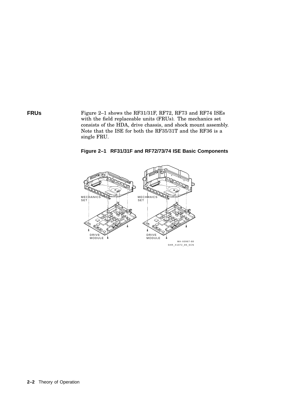**FRUS** Figure 2-1 shows the RF31/31F, RF72, RF73 and RF74 ISEs with the field replaceable units (FRUs). The mechanics set consists of the HDA, drive chassis, and shock mount assembly. Note that the ISE for both the RF35/31T and the RF36 is a single FRU.

**Figure 2–1 RF31/31F and RF72/73/74 ISE Basic Components**

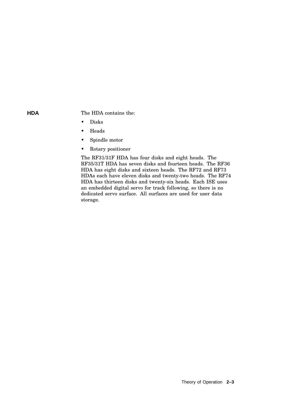**HDA** The HDA contains the:

- Disks
- Heads
- Spindle motor
- Rotary positioner

The RF31/31F HDA has four disks and eight heads. The RF35/31T HDA has seven disks and fourteen heads. The RF36 HDA has eight disks and sixteen heads. The RF72 and RF73 HDAs each have eleven disks and twenty-two heads. The RF74 HDA has thirteen disks and twenty-six heads. Each ISE uses an embedded digital servo for track following, so there is no dedicated servo surface. All surfaces are used for user data storage.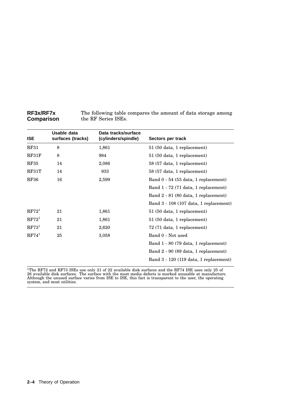| <b>RF3x/RF7x</b> | The following table compares the amount of data storage among |
|------------------|---------------------------------------------------------------|
| Comparison       | the RF Series ISEs.                                           |

| <b>ISE</b>        | Usable data<br>surfaces (tracks) | Data tracks/surface<br>(cylinders/spindle) | Sectors per track                      |
|-------------------|----------------------------------|--------------------------------------------|----------------------------------------|
| RF31              | 8                                | 1,861                                      | 51 (50 data, 1 replacement)            |
| RF31F             | 8                                | 984                                        | 51 (50 data, 1 replacement)            |
| <b>RF35</b>       | 14                               | 2,086                                      | 58 (57 data, 1 replacement)            |
| RF31T             | 14                               | 933                                        | 58 (57 data, 1 replacement)            |
| <b>RF36</b>       | 16                               | 2,599                                      | Band 0 - 54 (53 data, 1 replacement)   |
|                   |                                  |                                            | Band 1 - 72 (71 data, 1 replacement)   |
|                   |                                  |                                            | Band 2 - 81 (80 data, 1 replacement)   |
|                   |                                  |                                            | Band 3 - 108 (107 data, 1 replacement) |
| RF72 <sup>1</sup> | 21                               | 1,861                                      | 51 (50 data, 1 replacement)            |
| RF72 <sup>1</sup> | 21                               | 1,861                                      | 51 (50 data, 1 replacement)            |
| $\mathrm{RF}73^1$ | 21                               | 2,620                                      | 72 (71 data, 1 replacement)            |
| RF74 <sup>1</sup> | 25                               | 3,058                                      | Band 0 - Not used                      |
|                   |                                  |                                            | Band 1 - 80 (79 data, 1 replacement)   |
|                   |                                  |                                            | Band 2 - 90 (89 data, 1 replacement)   |
|                   |                                  |                                            | Band 3 - 120 (119 data, 1 replacement) |

<sup>1</sup>The RF72 and RF73 ISEs use only 21 of 22 available disk surfaces and the RF74 ISE uses only 25 of 26 available disk surfaces. The surface with the most media defects is marked unusable at manufacture.<br>Although the unus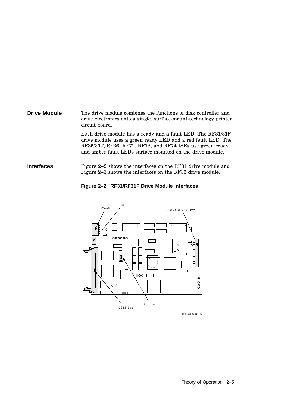**Drive Module** The drive module combines the functions of disk controller and drive electronics onto a single, surface-mount-technology printed circuit board.

Each drive module has a ready and a fault LED. The RF31/31F drive module uses a green ready LED and a red fault LED. The RF35/31T, RF36, RF72, RF73, and RF74 ISEs use green ready and amber fault LEDs surface mounted on the drive module.

**Interfaces** Figure 2–2 shows the interfaces on the RF31 drive module and Figure 2–3 shows the interfaces on the RF35 drive module.





SHR\_X1050B\_89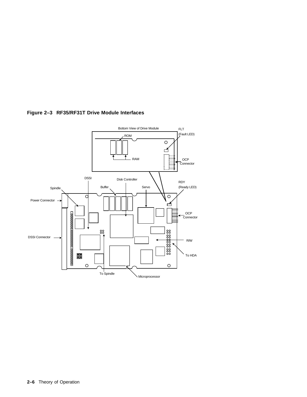

### **Figure 2–3 RF35/RF31T Drive Module Interfaces**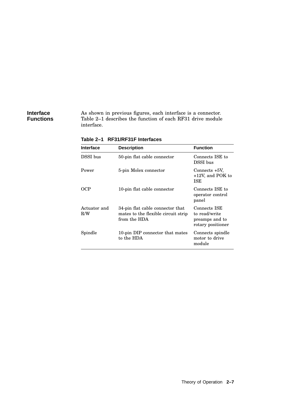#### **Interface Functions**

As shown in previous figures, each interface is a connector. Table 2–1 describes the function of each RF31 drive module interface.

**Table 2–1 RF31/RF31F Interfaces**

| <b>Interface</b>    | <b>Description</b>                                                                      | <b>Function</b>                                                      |
|---------------------|-----------------------------------------------------------------------------------------|----------------------------------------------------------------------|
| DSSI bus            | 50-pin flat cable connector                                                             | Connects ISE to<br>DSSI bus                                          |
| Power               | 5-pin Molex connector                                                                   | Connects +5V.<br>$+12V$ , and POK to<br><b>ISE</b>                   |
| OCP                 | 10-pin flat cable connector                                                             | Connects ISE to<br>operator control<br>panel                         |
| Actuator and<br>R/W | 34-pin flat cable connector that<br>mates to the flexible circuit strip<br>from the HDA | Connects ISE<br>to read/write<br>preamps and to<br>rotary positioner |
| Spindle             | 10-pin DIP connector that mates<br>to the HDA                                           | Connects spindle<br>motor to drive<br>module                         |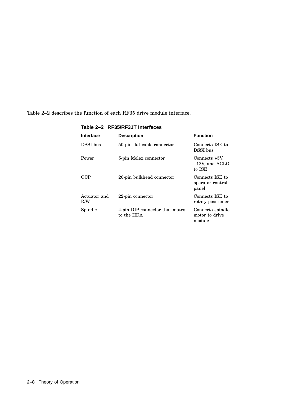Table 2–2 describes the function of each RF35 drive module interface.

| <b>Interface</b>    | <b>Description</b>                           | <b>Function</b>                                 |
|---------------------|----------------------------------------------|-------------------------------------------------|
| DSSI bus            | 50-pin flat cable connector                  | Connects ISE to<br>DSSI bus                     |
| Power               | 5-pin Molex connector                        | Connects $+5V$ ,<br>$+12V$ , and ACLO<br>to ISE |
| OCP                 | 20-pin bulkhead connector                    | Connects ISE to<br>operator control<br>panel    |
| Actuator and<br>R/W | 22-pin connector                             | Connects ISE to<br>rotary positioner            |
| Spindle             | 4-pin DIP connector that mates<br>to the HDA | Connects spindle<br>motor to drive<br>module    |

**Table 2–2 RF35/RF31T Interfaces**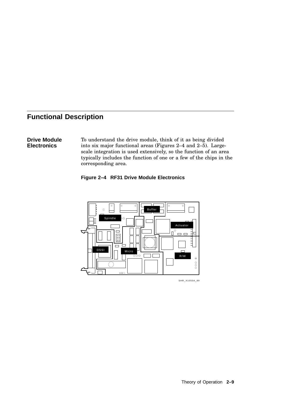## **Functional Description**

#### **Drive Module Electronics**

To understand the drive module, think of it as being divided into six major functional areas (Figures 2–4 and 2–5). Largescale integration is used extensively, so the function of an area typically includes the function of one or a few of the chips in the corresponding area.





SHR\_X1050A\_89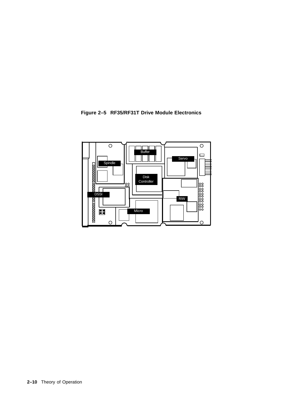

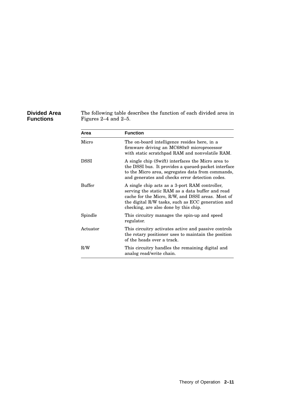#### **Divided Area Functions**

The following table describes the function of each divided area in Figures 2–4 and 2–5.

| Area     | <b>Function</b>                                                                                                                                                                                                                                       |  |
|----------|-------------------------------------------------------------------------------------------------------------------------------------------------------------------------------------------------------------------------------------------------------|--|
| Micro    | The on-board intelligence resides here, in a<br>firmware driving an MC680x0 microprocessor<br>with static scratchpad RAM and nonvolatile RAM.                                                                                                         |  |
| DSSI     | A single chip (Swift) interfaces the Micro area to<br>the DSSI bus. It provides a queued-packet interface<br>to the Micro area, segregates data from commands,<br>and generates and checks error detection codes.                                     |  |
| Buffer   | A single chip acts as a 3-port RAM controller,<br>serving the static RAM as a data buffer and read<br>cache for the Micro, R/W, and DSSI areas. Most of<br>the digital R/W tasks, such as ECC generation and<br>checking, are also done by this chip. |  |
| Spindle  | This circuitry manages the spin-up and speed<br>regulator.                                                                                                                                                                                            |  |
| Actuator | This circuitry activates active and passive controls<br>the rotary positioner uses to maintain the position<br>of the heads over a track.                                                                                                             |  |
| R/W      | This circuitry handles the remaining digital and<br>analog read/write chain.                                                                                                                                                                          |  |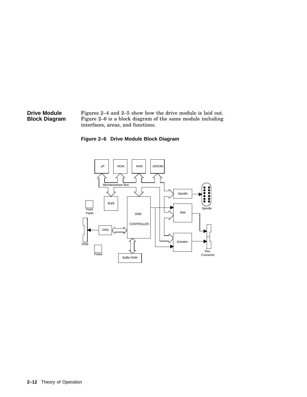#### **Drive Module Block Diagram** Figures 2–4 and 2–5 show how the drive module is laid out. Figure 2–6 is a block diagram of the same module including interfaces, areas, and functions.

### **Figure 2–6 Drive Module Block Diagram**

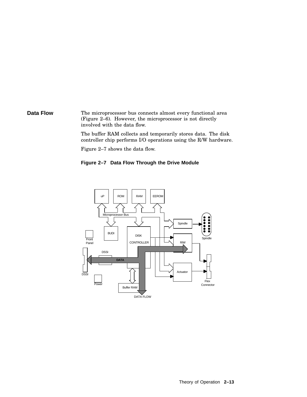**Data Flow** The microprocessor bus connects almost every functional area (Figure 2–6). However, the microprocessor is not directly involved with the data flow.

> The buffer RAM collects and temporarily stores data. The disk controller chip performs I/O operations using the R/W hardware.

Figure 2–7 shows the data flow.

#### **Figure 2–7 Data Flow Through the Drive Module**

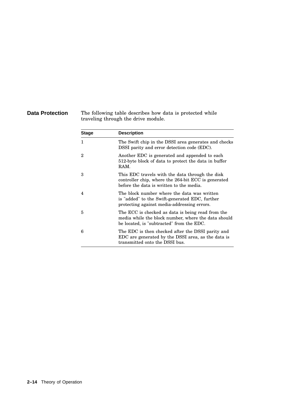**Data Protection** The following table describes how data is protected while traveling through the drive module.

| <b>Stage</b>             | <b>Description</b>                                                                                                                                    |
|--------------------------|-------------------------------------------------------------------------------------------------------------------------------------------------------|
| 1                        | The Swift chip in the DSSI area generates and checks<br>DSSI parity and error detection code (EDC).                                                   |
| 2                        | Another EDC is generated and appended to each<br>512-byte block of data to protect the data in buffer<br>RAM.                                         |
| 3                        | This EDC travels with the data through the disk<br>controller chip, where the 264-bit ECC is generated<br>before the data is written to the media.    |
| $\overline{\mathcal{A}}$ | The block number where the data was written<br>is "added" to the Swift-generated EDC, further<br>protecting against media-addressing errors.          |
| 5                        | The ECC is checked as data is being read from the<br>media while the block number, where the data should<br>be located, is "subtracted" from the EDC. |
| 6                        | The EDC is then checked after the DSSI parity and<br>EDC are generated by the DSSI area, as the data is<br>transmitted onto the DSSI bus.             |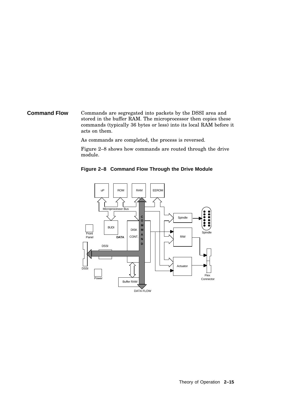#### **Command Flow** Commands are segregated into packets by the DSSI area and stored in the buffer RAM. The microprocessor then copies these commands (typically 36 bytes or less) into its local RAM before it acts on them.

As commands are completed, the process is reversed.

Figure 2–8 shows how commands are routed through the drive module.



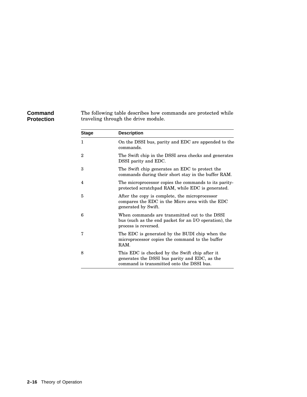#### **Command Protection**

The following table describes how commands are protected while traveling through the drive module.

| <b>Stage</b> | <b>Description</b>                                                                                                                           |
|--------------|----------------------------------------------------------------------------------------------------------------------------------------------|
| 1            | On the DSSI bus, parity and EDC are appended to the<br>commands.                                                                             |
| 2            | The Swift chip in the DSSI area checks and generates<br>DSSI parity and EDC.                                                                 |
| 3            | The Swift chip generates an EDC to protect the<br>commands during their short stay in the buffer RAM.                                        |
| 4            | The microprocessor copies the commands to its parity-<br>protected scratchpad RAM, while EDC is generated.                                   |
| 5            | After the copy is complete, the microprocessor<br>compares the EDC in the Micro area with the EDC<br>generated by Swift.                     |
| 6            | When commands are transmitted out to the DSSI<br>bus (such as the end packet for an I/O operation), the<br>process is reversed.              |
| 7            | The EDC is generated by the BUDI chip when the<br>microprocessor copies the command to the buffer<br>RAM.                                    |
| 8            | This EDC is checked by the Swift chip after it<br>generates the DSSI bus parity and EDC, as the<br>command is transmitted onto the DSSI bus. |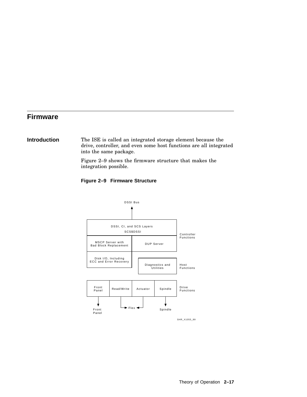## **Firmware**

#### **Introduction** The ISE is called an integrated storage element because the drive, controller, and even some host functions are all integrated into the same package.

Figure 2–9 shows the firmware structure that makes the integration possible.



#### **Figure 2–9 Firmware Structure**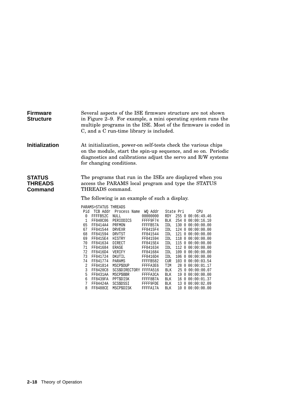| <b>Firmware</b><br><b>Structure</b>        |                                                                                                                                                                                                                               |                       | C, and a C run-time library is included. |                      |                          | Several aspects of the ISE firmware structure are not shown<br>in Figure 2–9. For example, a mini operating system runs the<br>multiple programs in the ISE. Most of the firmware is coded in |
|--------------------------------------------|-------------------------------------------------------------------------------------------------------------------------------------------------------------------------------------------------------------------------------|-----------------------|------------------------------------------|----------------------|--------------------------|-----------------------------------------------------------------------------------------------------------------------------------------------------------------------------------------------|
| <b>Initialization</b>                      | At initialization, power-on self-tests check the various chips<br>on the module, start the spin-up sequence, and so on. Periodic<br>diagnostics and calibrations adjust the servo and R/W systems<br>for changing conditions. |                       |                                          |                      |                          |                                                                                                                                                                                               |
| <b>STATUS</b><br><b>THREADS</b><br>Command | The programs that run in the ISEs are displayed when you<br>access the PARAMS local program and type the STATUS<br>THREADS command.<br>The following is an example of such a display.                                         |                       |                                          |                      |                          |                                                                                                                                                                                               |
|                                            |                                                                                                                                                                                                                               |                       |                                          |                      |                          |                                                                                                                                                                                               |
|                                            |                                                                                                                                                                                                                               | PARAMS>STATUS THREADS |                                          |                      |                          |                                                                                                                                                                                               |
|                                            |                                                                                                                                                                                                                               |                       | Pid TCB Addr Process Name WQ Addr        |                      |                          | State Pri<br>CPU                                                                                                                                                                              |
|                                            | 0                                                                                                                                                                                                                             | FFFFB52C              | NULL                                     | 00000000             |                          | RDY 255 0 00:06:49.46                                                                                                                                                                         |
|                                            | 1<br>65                                                                                                                                                                                                                       | FF840C06<br>FF8414A4  | PERIODICS<br>PRFMON                      | FFFF9F74<br>FFFFB57A | IDL                      | BLK 254 0 00:00:16.10<br>130 0 00:00:00.00                                                                                                                                                    |
|                                            | 67                                                                                                                                                                                                                            | FF841544              | DRVEXR                                   | FF8415F4             | <b>IDL</b>               | 124 0 00:00:00.00                                                                                                                                                                             |
|                                            | 68                                                                                                                                                                                                                            | FF841594              | DRVTST                                   | FF841544             |                          | IDL 121 0 00:00:00.00                                                                                                                                                                         |
|                                            | 69                                                                                                                                                                                                                            | FF8415E4              | HISTRY                                   | FF841594             |                          | IDL 118 0 00:00:00.00                                                                                                                                                                         |
|                                            | 70                                                                                                                                                                                                                            | FF841634              | DIRECT                                   | FF8415E4             |                          | IDL 115 0 00:00:00.00                                                                                                                                                                         |
|                                            | 71                                                                                                                                                                                                                            | FF841684              | ERASE                                    | FF841634             | IDL                      | 112 0 00:00:00.00                                                                                                                                                                             |
|                                            | 72                                                                                                                                                                                                                            | FF8416D4              | VERIFY                                   | FF841684             | IDL                      | 109 0 00:00:00.00                                                                                                                                                                             |
|                                            | 73                                                                                                                                                                                                                            | FF841724              | DKUTIL                                   | FF8416D4             | IDL                      | 106 0 00:00:00.00                                                                                                                                                                             |
|                                            | 74                                                                                                                                                                                                                            | FF841774              | PARAMS                                   | FFFFB582             | CUR                      | 103 0 00:00:03.54                                                                                                                                                                             |
|                                            | 2                                                                                                                                                                                                                             | FF841814 MSCP\$DUP    |                                          | FFFFA3E6             | TIM                      | 28 0 00:00:01.17                                                                                                                                                                              |
|                                            | 3                                                                                                                                                                                                                             | FF8420C8              | SCS\$DIRECTORY FFFFA516                  |                      | BLK                      | 25 0 00:00:00.07                                                                                                                                                                              |
|                                            | 5                                                                                                                                                                                                                             | FF8431AA              | MSCP\$BBR                                | FFFFA3CA             | BLK                      | 19 0 00:00:00.00                                                                                                                                                                              |
|                                            | 6<br>7                                                                                                                                                                                                                        | FF8439FA              | PPT\$DISK<br>SCS\$DSSI                   | FFFF8B7A             | <b>BLK</b><br><b>BLK</b> | 16 0 00:00:01.37<br>13 0 00:00:02.09                                                                                                                                                          |
|                                            |                                                                                                                                                                                                                               | FF84424A              |                                          | FFFF9FDE             |                          |                                                                                                                                                                                               |

8 FF8488CE MSCP\$DISK FFFFA17A BLK 10 0 00:00:00.00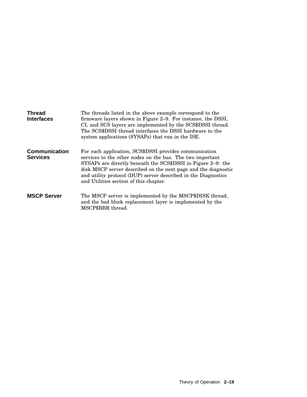| <b>Thread</b><br><b>Interfaces</b>      | The threads listed in the above example correspond to the<br>firmware layers shown in Figure 2–9. For instance, the DSSI,<br>CI, and SCS layers are implemented by the SCS\$DSSI thread.<br>The SCS\$DSSI thread interfaces the DSSI hardware to the<br>system applications (SYSAPs) that run in the ISE.                                                         |
|-----------------------------------------|-------------------------------------------------------------------------------------------------------------------------------------------------------------------------------------------------------------------------------------------------------------------------------------------------------------------------------------------------------------------|
| <b>Communication</b><br><b>Services</b> | For each application, SCS\$DSSI provides communication<br>services to the other nodes on the bus. The two important<br>SYSAPs are directly beneath the SCS\$DSSI in Figure 2–9: the<br>disk MSCP server described on the next page and the diagnostic<br>and utility protocol (DUP) server described in the Diagnostics<br>and Utilities section of this chapter. |
| <b>MSCP Server</b>                      | The MSCP server is implemented by the MSCP\$DISK thread,<br>and the bad block replacement layer is implemented by the<br>MSCP\$BBR thread.                                                                                                                                                                                                                        |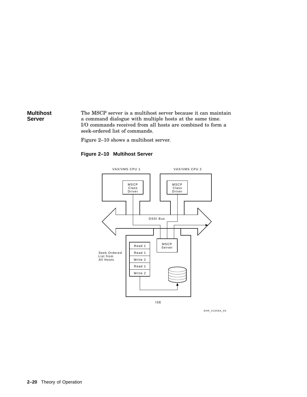#### **Multihost Server** The MSCP server is a multihost server because it can maintain a command dialogue with multiple hosts at the same time. I/O commands received from all hosts are combined to form a seek-ordered list of commands.

Figure 2–10 shows a multihost server.

#### **Figure 2–10 Multihost Server**



SHR\_X1056A\_93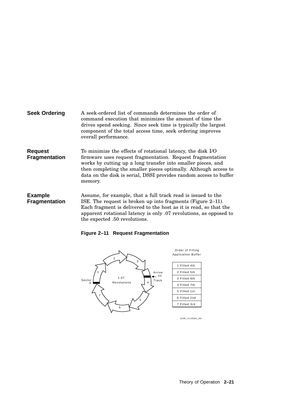| Seek Ordering | A seek-ordered list of commands determines the order of        |
|---------------|----------------------------------------------------------------|
|               | command execution that minimizes the amount of time the        |
|               | drives spend seeking. Since seek time is typically the largest |
|               | component of the total access time, seek ordering improves     |
|               | overall performance.                                           |

**Request Fragmentation** To minimize the effects of rotational latency, the disk I/O firmware uses request fragmentation. Request fragmentation works by cutting up a long transfer into smaller pieces, and then completing the smaller pieces optimally. Although access to data on the disk is serial, DSSI provides random access to buffer memory.

**Example Fragmentation** Assume, for example, that a full track read is issued to the ISE. The request is broken up into fragments (Figure 2–11). Each fragment is delivered to the host as it is read, so that the apparent rotational latency is only .07 revolutions, as opposed to the expected .50 revolutions.

**Figure 2–11 Request Fragmentation**



SHR\_X1058A\_89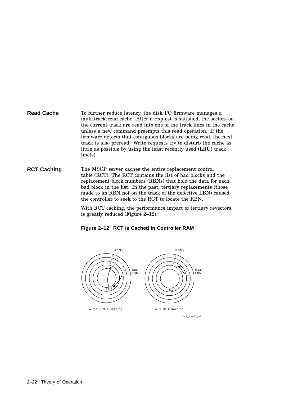#### **Read Cache** To further reduce latency, the disk I/O firmware manages a multitrack read cache. After a request is satisfied, the sectors on the current track are read into one of the track lines in the cache unless a new command preempts this read operation. If the firmware detects that contiguous blocks are being read, the next track is also preread. Write requests try to disturb the cache as little as possible by using the least recently used (LRU) track line(s).

#### **RCT Caching** The MSCP server caches the entire replacement control table (RCT). The RCT contains the list of bad blocks and the replacement block numbers (RBNs) that hold the data for each bad block in the list. In the past, tertiary replacements (those made to an RBN not on the track of the defective LBN) caused the controller to seek to the RCT to locate the RBN.

With RCT caching, the performance impact of tertiary revectors is greatly reduced (Figure 2–12).

**Figure 2–12 RCT is Cached in Controller RAM**



SHR\_X1057\_89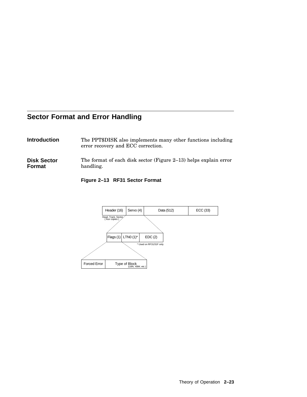## **Sector Format and Error Handling**

| <b>Introduction</b> | The PPT\$DISK also implements many other functions including |
|---------------------|--------------------------------------------------------------|
|                     | error recovery and ECC correction.                           |

**Disk Sector Format** The format of each disk sector (Figure 2–13) helps explain error handling.

**Figure 2–13 RF31 Sector Format**

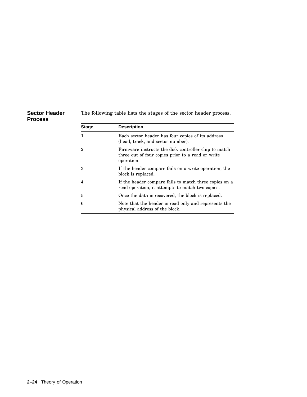| <b>Sector Header</b><br><b>Process</b> |              | The following table lists the stages of the sector header process.                                                      |  |  |  |
|----------------------------------------|--------------|-------------------------------------------------------------------------------------------------------------------------|--|--|--|
|                                        | <b>Stage</b> | <b>Description</b>                                                                                                      |  |  |  |
|                                        | 1            | Each sector header has four copies of its address<br>(head, track, and sector number).                                  |  |  |  |
|                                        | $\mathbf 2$  | Firmware instructs the disk controller chip to match<br>three out of four copies prior to a read or write<br>operation. |  |  |  |
|                                        | 3            | If the header compare fails on a write operation, the<br>block is replaced.                                             |  |  |  |
|                                        | 4            | If the header compare fails to match three copies on a<br>read operation, it attempts to match two copies.              |  |  |  |
|                                        | 5            | Once the data is recovered, the block is replaced.                                                                      |  |  |  |
|                                        | 6            | Note that the header is read only and represents the<br>physical address of the block.                                  |  |  |  |

#### **2–24** Theory of Operation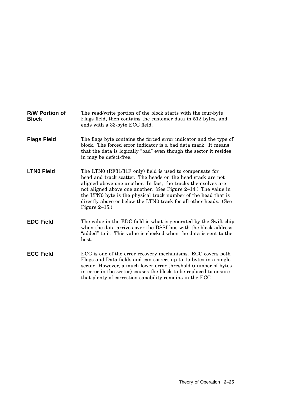| <b>R/W Portion of</b><br><b>Block</b> | The read/write portion of the block starts with the four-byte<br>Flags field, then contains the customer data in 512 bytes, and<br>ends with a 33-byte ECC field.                                                                                                                                                                                                                                                    |
|---------------------------------------|----------------------------------------------------------------------------------------------------------------------------------------------------------------------------------------------------------------------------------------------------------------------------------------------------------------------------------------------------------------------------------------------------------------------|
| <b>Flags Field</b>                    | The flags byte contains the forced error indicator and the type of<br>block. The forced error indicator is a bad data mark. It means<br>that the data is logically "bad" even though the sector it resides<br>in may be defect-free.                                                                                                                                                                                 |
| <b>LTNO Field</b>                     | The LTN0 (RF31/31F only) field is used to compensate for<br>head and track scatter. The heads on the head stack are not<br>aligned above one another. In fact, the tracks themselves are<br>not aligned above one another. (See Figure 2-14.) The value in<br>the LTN0 byte is the physical track number of the head that is<br>directly above or below the LTN0 track for all other heads. (See<br>Figure $2-15.$ ) |
| <b>EDC Field</b>                      | The value in the EDC field is what is generated by the Swift chip<br>when the data arrives over the DSSI bus with the block address<br>"added" to it. This value is checked when the data is sent to the<br>host.                                                                                                                                                                                                    |
| <b>ECC Field</b>                      | ECC is one of the error recovery mechanisms. ECC covers both<br>Flags and Data fields and can correct up to 15 bytes in a single<br>sector. However, a much lower error threshold (number of bytes<br>in error in the sector) causes the block to be replaced to ensure<br>that plenty of correction capability remains in the ECC.                                                                                  |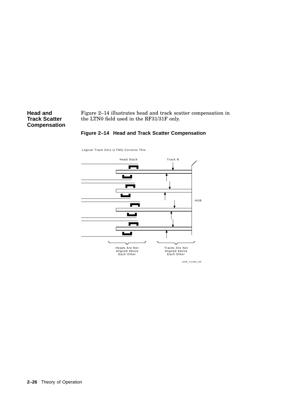**Head and Track Scatter Compensation** Figure 2–14 illustrates head and track scatter compensation in the LTN0 field used in the RF31/31F only.





Logical Track Zero (LTN0) Corrects This:

SHR\_X1060\_89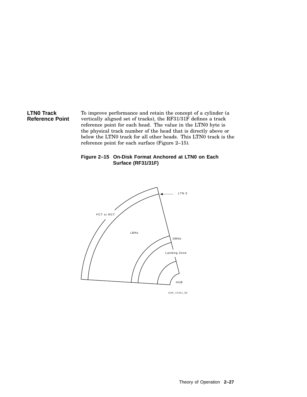#### **LTN0 Track Reference Point**

To improve performance and retain the concept of a cylinder (a vertically aligned set of tracks), the RF31/31F defines a track reference point for each head. The value in the LTN0 byte is the physical track number of the head that is directly above or below the LTN0 track for all other heads. This LTN0 track is the reference point for each surface (Figure 2–15).

#### **Figure 2–15 On-Disk Format Anchored at LTN0 on Each Surface (RF31/31F)**

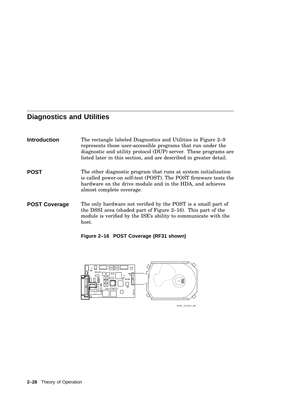## **Diagnostics and Utilities**

| <b>Introduction</b>  | The rectangle labeled Diagnostics and Utilities in Figure 2–9<br>represents those user-accessible programs that run under the<br>diagnostic and utility protocol (DUP) server. These programs are<br>listed later in this section, and are described in greater detail. |
|----------------------|-------------------------------------------------------------------------------------------------------------------------------------------------------------------------------------------------------------------------------------------------------------------------|
| POST                 | The other diagnostic program that runs at system initialization<br>is called power-on self-test (POST). The POST firmware tests the<br>hardware on the drive module and in the HDA, and achieves<br>almost complete coverage.                                           |
| <b>POST Coverage</b> | The only hardware not verified by the POST is a small part of<br>the DSSI area (shaded part of Figure 2–16). This part of the<br>module is verified by the ISE's ability to communicate with the<br>host.                                                               |

**Figure 2–16 POST Coverage (RF31 shown)**

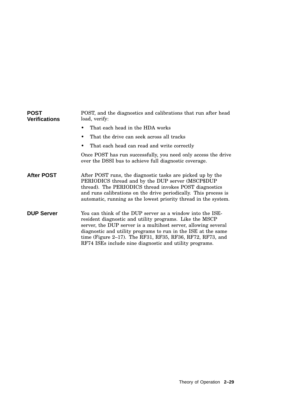| <b>POST</b><br><b>Verifications</b> | POST, and the diagnostics and calibrations that run after head<br>load, verify:                                                                                                                                                                                                                                                                                                 |
|-------------------------------------|---------------------------------------------------------------------------------------------------------------------------------------------------------------------------------------------------------------------------------------------------------------------------------------------------------------------------------------------------------------------------------|
|                                     | That each head in the HDA works                                                                                                                                                                                                                                                                                                                                                 |
|                                     | That the drive can seek across all tracks<br>٠                                                                                                                                                                                                                                                                                                                                  |
|                                     | That each head can read and write correctly                                                                                                                                                                                                                                                                                                                                     |
|                                     | Once POST has run successfully, you need only access the drive<br>over the DSSI bus to achieve full diagnostic coverage.                                                                                                                                                                                                                                                        |
| <b>After POST</b>                   | After POST runs, the diagnostic tasks are picked up by the<br>PERIODICS thread and by the DUP server (MSCP\$DUP<br>thread). The PERIODICS thread invokes POST diagnostics<br>and runs calibrations on the drive periodically. This process is<br>automatic, running as the lowest priority thread in the system.                                                                |
| <b>DUP Server</b>                   | You can think of the DUP server as a window into the ISE-<br>resident diagnostic and utility programs. Like the MSCP<br>server, the DUP server is a multihost server, allowing several<br>diagnostic and utility programs to run in the ISE at the same<br>time (Figure 2-17). The RF31, RF35, RF36, RF72, RF73, and<br>RF74 ISEs include nine diagnostic and utility programs. |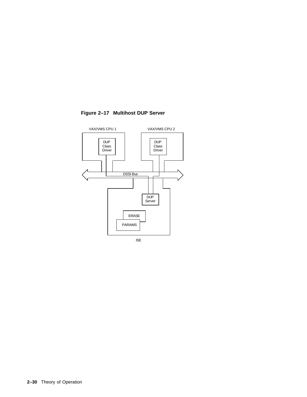

**Figure 2–17 Multihost DUP Server**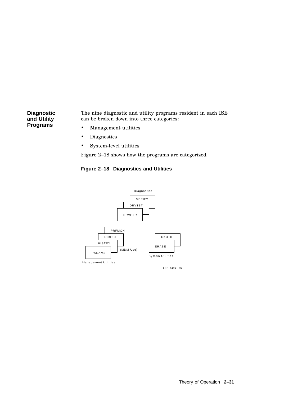**Diagnostic and Utility Programs**

The nine diagnostic and utility programs resident in each ISE can be broken down into three categories:

- Management utilities
- Diagnostics
- System-level utilities

Figure 2–18 shows how the programs are categorized.





SHR\_X1064\_89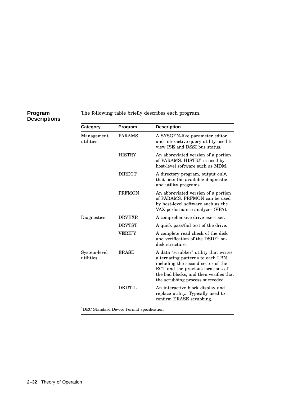#### **Program Descriptions**

The following table briefly describes each program.

| Category                  | Program       | <b>Description</b>                                                                                                                                                                                                                  |
|---------------------------|---------------|-------------------------------------------------------------------------------------------------------------------------------------------------------------------------------------------------------------------------------------|
| Management<br>utilities   | <b>PARAMS</b> | A SYSGEN-like parameter editor<br>and interactive query utility used to<br>view ISE and DSSI bus status.                                                                                                                            |
|                           | <b>HISTRY</b> | An abbreviated version of a portion<br>of PARAMS. HISTRY is used by<br>host-level software such as MDM.                                                                                                                             |
|                           | <b>DIRECT</b> | A directory program, output only,<br>that lists the available diagnostic<br>and utility programs.                                                                                                                                   |
|                           | <b>PRFMON</b> | An abbreviated version of a portion<br>of PARAMS. PRFMON can be used<br>by host-level software such as the<br>VAX performance analyzer (VPA).                                                                                       |
| Diagnostics               | <b>DRVEXR</b> | A comprehensive drive exerciser.                                                                                                                                                                                                    |
|                           | <b>DRVTST</b> | A quick pass/fail test of the drive.                                                                                                                                                                                                |
|                           | <b>VERIFY</b> | A complete read check of the disk<br>and verification of the DSDF <sup>1</sup> on-<br>disk structure.                                                                                                                               |
| System-level<br>utilities | <b>ERASE</b>  | A data "scrubber" utility that writes<br>alternating patterns to each LBN,<br>including the second sector of the<br>RCT and the previous locations of<br>the bad blocks, and then verifies that<br>the scrubbing process succeeded. |
|                           | DKUTHL        | An interactive block display and<br>replace utility. Typically used to<br>confirm ERASE scrubbing.                                                                                                                                  |

<sup>1</sup>DEC Standard Device Format specification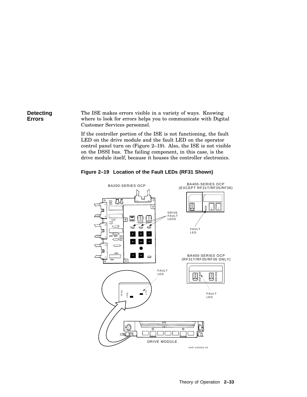#### **Detecting Errors** The ISE makes errors visible in a variety of ways. Knowing where to look for errors helps you to communicate with Digital Customer Services personnel.

If the controller portion of the ISE is not functioning, the fault LED on the drive module and the fault LED on the operator control panel turn on (Figure 2–19). Also, the ISE is not visible on the DSSI bus. The failing component, in this case, is the drive module itself, because it houses the controller electronics.



DRIVE MODULE

 $\Box$  $\Box$ 

12 3

ॼ

**Figure 2–19 Location of the Fault LEDs (RF31 Shown)**

SHR-X0059A-93

Ωù.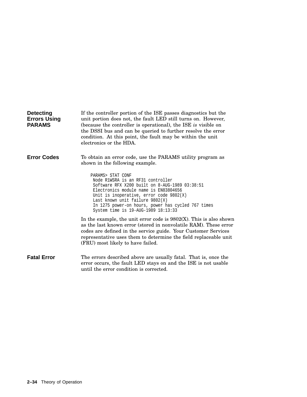| <b>Detecting</b><br><b>Errors Using</b><br><b>PARAMS</b> | If the controller portion of the ISE passes diagnostics but the<br>unit portion does not, the fault LED still turns on. However,<br>(because the controller is operational), the ISE is visible on<br>the DSSI bus and can be queried to further resolve the error<br>condition. At this point, the fault may be within the unit<br>electronics or the HDA. |
|----------------------------------------------------------|-------------------------------------------------------------------------------------------------------------------------------------------------------------------------------------------------------------------------------------------------------------------------------------------------------------------------------------------------------------|
| <b>Error Codes</b>                                       | To obtain an error code, use the PARAMS utility program as<br>shown in the following example.                                                                                                                                                                                                                                                               |
|                                                          | PARAMS> STAT CONF<br>Node R1WSRA is an RF31 controller<br>Software RFX X200 built on 8-AUG-1989 03:38:51<br>Electronics module name is EN83804656<br>Unit is inoperative, error code $9802(X)$<br>Last known unit failure 9802(X)<br>In 1275 power-on hours, power has cycled 767 times<br>System time is 19-AUG-1989 18:13:33                              |
|                                                          | In the example, the unit error code is $9802(X)$ . This is also shown<br>as the last known error (stored in nonvolatile RAM). These error<br>codes are defined in the service guide. Your Customer Services<br>representative uses them to determine the field replaceable unit<br>(FRU) most likely to have failed.                                        |
| <b>Fatal Error</b>                                       | The errors described above are usually fatal. That is, once the<br>error occurs, the fault LED stays on and the ISE is not usable<br>until the error condition is corrected.                                                                                                                                                                                |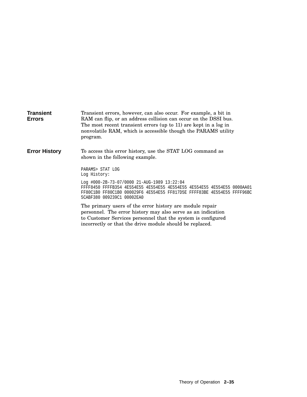| <b>Transient</b><br><b>Errors</b> | Transient errors, however, can also occur. For example, a bit in<br>RAM can flip, or an address collision can occur on the DSSI bus.<br>The most recent transient errors (up to 11) are kept in a log in<br>nonvolatile RAM, which is accessible though the PARAMS utility<br>program. |
|-----------------------------------|----------------------------------------------------------------------------------------------------------------------------------------------------------------------------------------------------------------------------------------------------------------------------------------|
| <b>Error History</b>              | To access this error history, use the STAT LOG command as<br>shown in the following example.                                                                                                                                                                                           |
|                                   | PARAMS> STAT LOG<br>Log History:                                                                                                                                                                                                                                                       |
|                                   | Log #000-2B-73-07/0000 21-AUG-1989 13:22:04<br>FF80C1B0 FF80C1B0 000029F6 4E554E55 FF817D5E FFFF83BE 4E554E55 FFFF96BC<br>5CABF380 009239C1 00002EA0                                                                                                                                   |
|                                   | The primary users of the error history are module repair<br>personnel. The error history may also serve as an indication<br>to Customer Services personnel that the system is configured                                                                                               |

incorrectly or that the drive module should be replaced.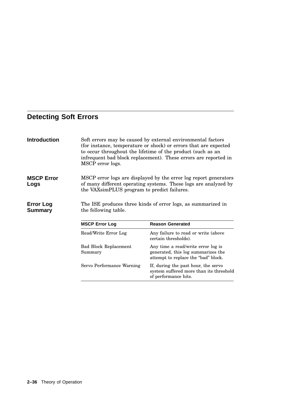# **Detecting Soft Errors**

| <b>Introduction</b>                | MSCP error logs.                                                                                                                                                                   | Soft errors may be caused by external environmental factors<br>(for instance, temperature or shock) or errors that are expected<br>to occur throughout the lifetime of the product (such as an<br>infrequent bad block replacement). These errors are reported in |  |
|------------------------------------|------------------------------------------------------------------------------------------------------------------------------------------------------------------------------------|-------------------------------------------------------------------------------------------------------------------------------------------------------------------------------------------------------------------------------------------------------------------|--|
| <b>MSCP Error</b><br>Logs          | MSCP error logs are displayed by the error log report generators<br>of many different operating systems. These logs are analyzed by<br>the VAXsimPLUS program to predict failures. |                                                                                                                                                                                                                                                                   |  |
| <b>Error Log</b><br><b>Summary</b> | The ISE produces three kinds of error logs, as summarized in<br>the following table.                                                                                               |                                                                                                                                                                                                                                                                   |  |
|                                    | <b>MSCP Error Log</b>                                                                                                                                                              | <b>Reason Generated</b>                                                                                                                                                                                                                                           |  |
|                                    | Read/Write Error Log                                                                                                                                                               | Any failure to read or write (above<br>certain thresholds).                                                                                                                                                                                                       |  |
|                                    | <b>Bad Block Replacement</b><br>Summary                                                                                                                                            | Any time a read/write error log is<br>generated, this log summarizes the<br>attempt to replace the "bad" block.                                                                                                                                                   |  |
|                                    | Servo Performance Warning                                                                                                                                                          | If, during the past hour, the servo<br>system suffered more than its threshold<br>of performance hits.                                                                                                                                                            |  |
|                                    |                                                                                                                                                                                    |                                                                                                                                                                                                                                                                   |  |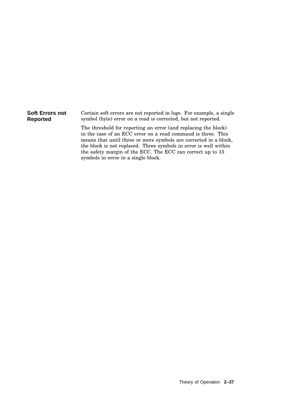| Soft Errors not | Certain soft errors are not reported in logs. For example, a single                                                                                                                                                                                                                                                                                                         |
|-----------------|-----------------------------------------------------------------------------------------------------------------------------------------------------------------------------------------------------------------------------------------------------------------------------------------------------------------------------------------------------------------------------|
| Reported        | symbol (byte) error on a read is corrected, but not reported.                                                                                                                                                                                                                                                                                                               |
|                 | The threshold for reporting an error (and replacing the block)<br>in the case of an ECC error on a read command is three. This<br>means that until three or more symbols are corrected in a block,<br>the block is not replaced. Three symbols in error is well within<br>the safety margin of the ECC. The ECC can correct up to 15<br>symbols in error in a single block. |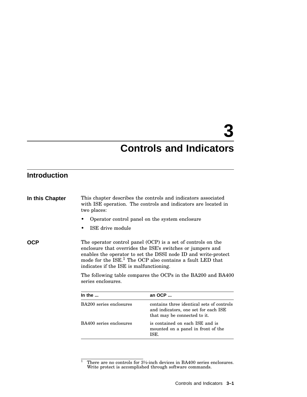# **3**

# **Controls and Indicators**

# **Introduction**

| two places:                                                                                                                                                                                                                                                                                                                                                                                            | This chapter describes the controls and indicators associated<br>with ISE operation. The controls and indicators are located in |  |
|--------------------------------------------------------------------------------------------------------------------------------------------------------------------------------------------------------------------------------------------------------------------------------------------------------------------------------------------------------------------------------------------------------|---------------------------------------------------------------------------------------------------------------------------------|--|
|                                                                                                                                                                                                                                                                                                                                                                                                        | Operator control panel on the system enclosure                                                                                  |  |
| ISE drive module<br>٠                                                                                                                                                                                                                                                                                                                                                                                  |                                                                                                                                 |  |
| The operator control panel (OCP) is a set of controls on the<br>enclosure that overrides the ISE's switches or jumpers and<br>enables the operator to set the DSSI node ID and write-protect<br>mode for the ISE. <sup>1</sup> The OCP also contains a fault LED that<br>indicates if the ISE is malfunctioning.<br>The following table compares the OCPs in the BA200 and BA400<br>series enclosures. |                                                                                                                                 |  |
| In the $\ldots$                                                                                                                                                                                                                                                                                                                                                                                        | an OCP                                                                                                                          |  |
| BA200 series enclosures                                                                                                                                                                                                                                                                                                                                                                                | contains three identical sets of controls<br>and indicators, one set for each ISE<br>that may be connected to it.               |  |
| BA400 series enclosures                                                                                                                                                                                                                                                                                                                                                                                | is contained on each ISE and is<br>mounted on a panel in front of the<br>ISE.                                                   |  |
|                                                                                                                                                                                                                                                                                                                                                                                                        |                                                                                                                                 |  |

<sup>&</sup>lt;sup>1</sup> There are no controls for  $3\frac{1}{2}$ -inch devices in BA400 series enclosures. Write protect is accomplished through software commands.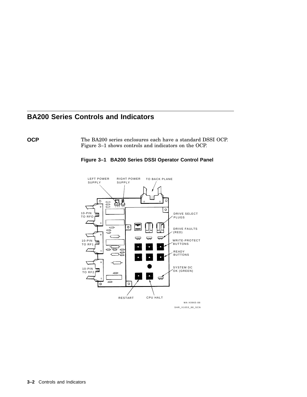# **BA200 Series Controls and Indicators**

**OCP** The BA200 series enclosures each have a standard DSSI OCP. Figure 3–1 shows controls and indicators on the OCP.



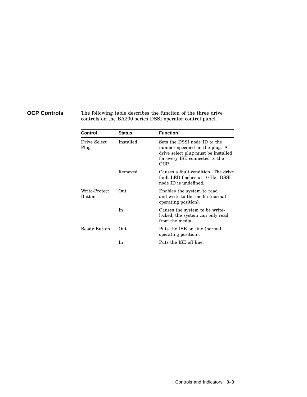**OCP Controls** The following table describes the function of the three drive controls on the BA200 series DSSI operator control panel.

| Control                        | <b>Status</b> | <b>Function</b>                                                                                                                                  |  |
|--------------------------------|---------------|--------------------------------------------------------------------------------------------------------------------------------------------------|--|
| Drive Select<br>Plug           | Installed     | Sets the DSSI node ID to the<br>number specified on the plug. A<br>drive select plug must be installed<br>for every ISE connected to the<br>OCP. |  |
|                                | Removed       | Causes a fault condition. The drive<br>fault LED flashes at 10 Hz. DSSI<br>node ID is undefined.                                                 |  |
| Write-Protect<br><b>Button</b> | Out           | Enables the system to read<br>and write to the media (normal<br>operating position).                                                             |  |
|                                | In            | Causes the system to be write-<br>locked, the system can only read<br>from the media.                                                            |  |
| Ready Button                   | Out           | Puts the ISE on line (normal<br>operating position).                                                                                             |  |
|                                | In            | Puts the ISE off line.                                                                                                                           |  |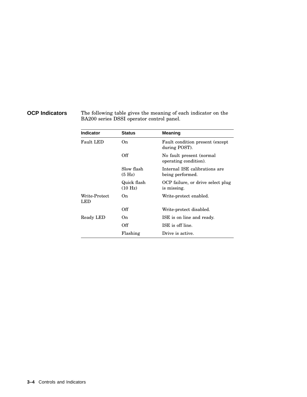**OCP Indicators** The following table gives the meaning of each indicator on the BA200 series DSSI operator control panel.

| <b>Indicator</b>     | <b>Status</b>                     | <b>Meaning</b>                                    |
|----------------------|-----------------------------------|---------------------------------------------------|
| <b>Fault LED</b>     | On.                               | Fault condition present (except)<br>during POST). |
|                      | Off                               | No fault present (normal<br>operating condition). |
|                      | Slow flash<br>(5 H <sub>Z</sub> ) | Internal ISE calibrations are<br>being performed. |
|                      | Quick flash<br>(10 Hz)            | OCP failure, or drive select plug<br>is missing.  |
| Write-Protect<br>LED | On.                               | Write-protect enabled.                            |
|                      | Off                               | Write-protect disabled.                           |
| Ready LED            | On.                               | ISE is on line and ready.                         |
|                      | Off                               | ISE is off line.                                  |
|                      | Flashing                          | Drive is active.                                  |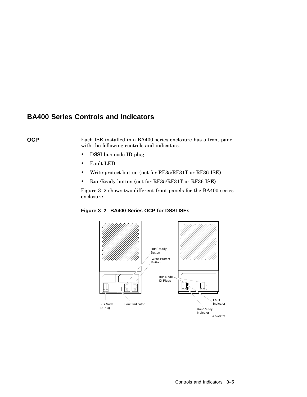# **BA400 Series Controls and Indicators**

**OCP** Each ISE installed in a BA400 series enclosure has a front panel with the following controls and indicators.

- DSSI bus node ID plug
- Fault LED
- Write-protect button (not for RF35/RF31T or RF36 ISE)
- Run/Ready button (not for RF35/RF31T or RF36 ISE)

Figure 3–2 shows two different front panels for the BA400 series enclosure.

**Figure 3–2 BA400 Series OCP for DSSI ISEs**

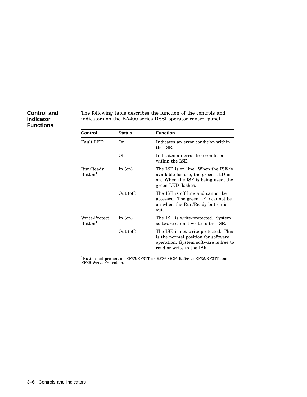### **Control and Indicator Functions**

The following table describes the function of the controls and indicators on the BA400 series DSSI operator control panel.

| Control                              | <b>Status</b> | <b>Function</b>                                                                                                                                   |
|--------------------------------------|---------------|---------------------------------------------------------------------------------------------------------------------------------------------------|
| Fault LED                            | On.           | Indicates an error condition within<br>the ISE.                                                                                                   |
|                                      | Off           | Indicates an error-free condition<br>within the ISE.                                                                                              |
| Run/Ready<br>Button <sup>1</sup>     | In $($ on $)$ | The ISE is on line. When the ISE is<br>available for use, the green LED is<br>on. When the ISE is being used, the<br>green LED flashes.           |
|                                      | Out (off)     | The ISE is off line and cannot be<br>accessed. The green LED cannot be<br>on when the Run/Ready button is<br>out.                                 |
| Write-Protect<br>Button <sup>1</sup> | In $($ on $)$ | The ISE is write-protected. System<br>software cannot write to the ISE.                                                                           |
|                                      | Out (off)     | The ISE is not write-protected. This<br>is the normal position for software<br>operation. System software is free to<br>read or write to the ISE. |

<sup>1</sup>Button not present on RF35/RF31T or RF36 OCP. Refer to RF35/RF31T and<br>RF36 Write-Protection.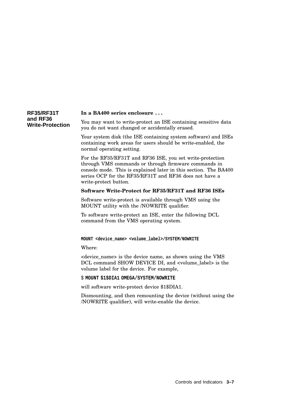| <b>RF35/RF31T</b>       | In a BA400 series enclosure                                    |
|-------------------------|----------------------------------------------------------------|
| and RF36                | You may want to write-protect an ISE containing sensitive data |
| <b>Write-Protection</b> | you do not want changed or accidentally erased.                |

Your system disk (the ISE containing system software) and ISEs containing work areas for users should be write-enabled, the normal operating setting.

For the RF35/RF31T and RF36 ISE, you set write-protection through VMS commands or through firmware commands in console mode. This is explained later in this section. The BA400 series OCP for the RF35/RF31T and RF36 does not have a write-protect button.

#### **Software Write-Protect for RF35/RF31T and RF36 ISEs**

Software write-protect is available through VMS using the MOUNT utility with the /NOWRITE qualifier.

To software write-protect an ISE, enter the following DCL command from the VMS operating system.

#### **MOUNT <device\_name> <volume\_label>/SYSTEM/NOWRITE**

Where:

<device\_name> is the device name, as shown using the VMS DCL command SHOW DEVICE DI, and <volume\_label> is the volume label for the device. For example,

\$ **MOUNT \$1\$DIA1 OMEGA/SYSTEM/NOWRITE**

will software write-protect device \$1\$DIA1.

Dismounting, and then remounting the device (without using the /NOWRITE qualifier), will write-enable the device.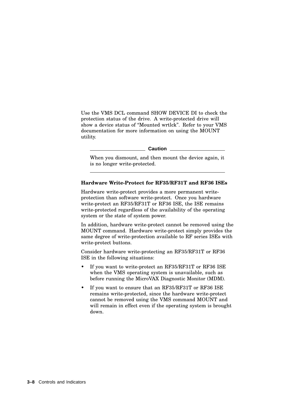Use the VMS DCL command SHOW DEVICE DI to check the protection status of the drive. A write-protected drive will show a device status of ''Mounted wrtlck''. Refer to your VMS documentation for more information on using the MOUNT utility.

**Caution**

When you dismount, and then mount the device again, it is no longer write-protected.

#### **Hardware Write-Protect for RF35/RF31T and RF36 ISEs**

Hardware write-protect provides a more permanent writeprotection than software write-protect. Once you hardware write-protect an RF35/RF31T or RF36 ISE, the ISE remains write-protected regardless of the availability of the operating system or the state of system power.

In addition, hardware write-protect cannot be removed using the MOUNT command. Hardware write-protect simply provides the same degree of write-protection available to RF series ISEs with write-protect buttons.

Consider hardware write-protecting an RF35/RF31T or RF36 ISE in the following situations:

- If you want to write-protect an RF35/RF31T or RF36 ISE when the VMS operating system is unavailable, such as before running the MicroVAX Diagnostic Monitor (MDM).
- If you want to ensure that an RF35/RF31T or RF36 ISE remains write-protected, since the hardware write-protect cannot be removed using the VMS command MOUNT and will remain in effect even if the operating system is brought down.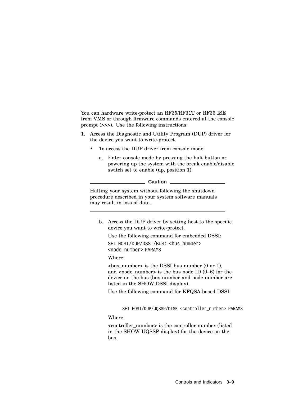You can hardware write-protect an RF35/RF31T or RF36 ISE from VMS or through firmware commands entered at the console prompt (>>>). Use the following instructions:

- 1. Access the Diagnostic and Utility Program (DUP) driver for the device you want to write-protect.
	- To access the DUP driver from console mode:
		- a. Enter console mode by pressing the halt button or powering up the system with the break enable/disable switch set to enable (up, position 1).

| Caution |
|---------|
|---------|

Halting your system without following the shutdown procedure described in your system software manuals may result in loss of data.

b. Access the DUP driver by setting host to the specific device you want to write-protect.

Use the following command for embedded DSSI:

SET HOST/DUP/DSSI/BUS: <br/> <br/>bus number> <node\_number> PARAMS

Where:

 $\langle$ bus number> is the DSSI bus number (0 or 1), and  $\langle$  and  $\rangle$  number  $\langle$  is the bus node ID (0–6) for the device on the bus (bus number and node number are listed in the SHOW DSSI display).

Use the following command for KFQSA-based DSSI:

SET HOST/DUP/UQSSP/DISK <controller\_number> PARAMS

Where:

<controller\_number> is the controller number (listed in the SHOW UQSSP display) for the device on the bus.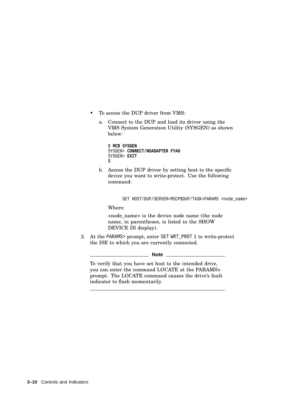- To access the DUP driver from VMS:
	- a. Connect to the DUP and load its driver using the VMS System Generation Utility (SYSGEN) as shown below:

```
$ MCR SYSGEN
SYSGEN> CONNECT/NOADAPTER FYA0
SYSGEN> EXIT
\ddot{\rm S}
```
b. Access the DUP driver by setting host to the specific device you want to write-protect. Use the following command:

SET HOST/DUP/SERVER=MSCP\$DUP/TASK=PARAMS <node\_name>

Where:

<node\_name> is the device node name (the node name, in parentheses, is listed in the SHOW DEVICE DI display).

2. At the PARAMS> prompt, enter SET WRT\_PROT 1 to write-protect the ISE to which you are currently connected.

**Note**

To verify that you have set host to the intended drive, you can enter the command LOCATE at the PARAMS> prompt. The LOCATE command causes the drive's fault indicator to flash momentarily.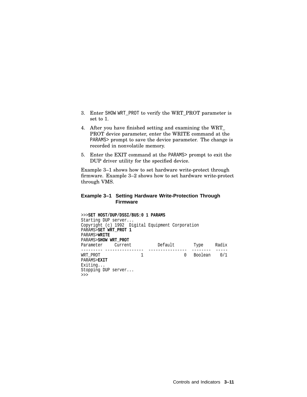- 3. Enter SHOW WRT\_PROT to verify the WRT\_PROT parameter is set to 1.
- 4. After you have finished setting and examining the WRT\_ PROT device parameter, enter the WRITE command at the PARAMS> prompt to save the device parameter. The change is recorded in nonvolatile memory.
- 5. Enter the EXIT command at the PARAMS> prompt to exit the DUP driver utility for the specified device.

Example 3–1 shows how to set hardware write-protect through firmware. Example 3–2 shows how to set hardware write-protect through VMS.

#### **Example 3–1 Setting Hardware Write-Protection Through Firmware**

>>>**SET HOST/DUP/DSSI/BUS:0 1 PARAMS** Starting DUP server... Copyright (c) 1992 Digital Equipment Corporation PARAMS>**SET WRT\_PROT 1** PARAMS>**WRITE** PARAMS>**SHOW WRT\_PROT** Parameter Current Default Type Radix --------- ---------------- ---------------- -------- ----- WRT\_PROT 1 0 Boolean 0/1 PARAMS>**EXIT** Exiting... Stopping DUP server... >>>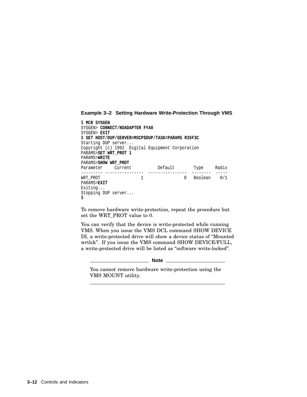#### **Example 3–2 Setting Hardware Write-Protection Through VMS**

| S MCR SYSGEN                                     |  |                                                     |   |             |       |
|--------------------------------------------------|--|-----------------------------------------------------|---|-------------|-------|
| SYSGEN> CONNECT/NOADAPTER FYA0                   |  |                                                     |   |             |       |
| SYSGEN> EXIT                                     |  |                                                     |   |             |       |
|                                                  |  | \$ SET HOST/DUP/SERVER=MSCP\$DUP/TASK=PARAMS R35F3C |   |             |       |
| Starting DUP server                              |  |                                                     |   |             |       |
| Copyright (c) 1992 Digital Equipment Corporation |  |                                                     |   |             |       |
| PARAMS>SET WRT PROT 1                            |  |                                                     |   |             |       |
| PARAMS>WRITE                                     |  |                                                     |   |             |       |
| PARAMS>SHOW WRT PROT                             |  |                                                     |   |             |       |
| Parameter Current                                |  | Default                                             |   | Type        | Radix |
|                                                  |  |                                                     |   |             |       |
| WRT PROT                                         |  |                                                     | 0 | Boolean 0/1 |       |
| PARAMS>EXIT                                      |  |                                                     |   |             |       |
| Exiting                                          |  |                                                     |   |             |       |
| Stopping DUP server                              |  |                                                     |   |             |       |
| \$                                               |  |                                                     |   |             |       |

To remove hardware write-protection, repeat the procedure but set the WRT\_PROT value to 0.

You can verify that the device is write-protected while running VMS. When you issue the VMS DCL command SHOW DEVICE DI, a write-protected drive will show a device status of ''Mounted wrtlck''. If you issue the VMS command SHOW DEVICE/FULL, a write-protected drive will be listed as ''software write-locked''.

**Note**

You cannot remove hardware write-protection using the VMS MOUNT utility.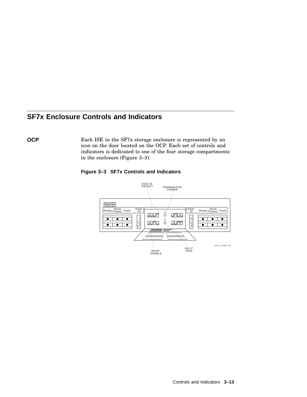# **SF7x Enclosure Controls and Indicators**

**OCP** Each ISE in the SF7x storage enclosure is represented by an icon on the door located on the OCP. Each set of controls and indicators is dedicated to one of the four storage compartments in the enclosure (Figure 3–3).



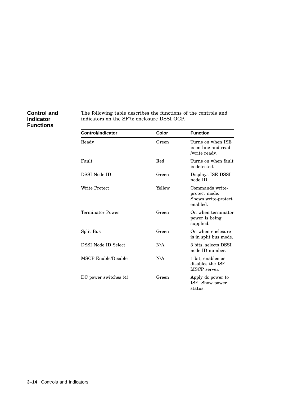### **Control and Indicator Functions**

The following table describes the functions of the controls and indicators on the SF7x enclosure DSSI OCP.

| <b>Control/Indicator</b> | Color  | <b>Function</b>                                                     |
|--------------------------|--------|---------------------------------------------------------------------|
| Ready                    | Green  | Turns on when ISE<br>is on line and read<br>/write ready.           |
| Fault                    | Red    | Turns on when fault<br>is detected.                                 |
| DSSI Node ID             | Green  | Displays ISE DSSI<br>node ID.                                       |
| Write Protect            | Yellow | Commands write-<br>protect mode.<br>Shows write-protect<br>enabled. |
| Terminator Power         | Green  | On when terminator<br>power is being<br>supplied.                   |
| Split Bus                | Green  | On when enclosure<br>is in split bus mode.                          |
| DSSI Node ID Select      | N/A    | 3 bits, selects DSSI<br>node ID number.                             |
| MSCP Enable/Disable      | N/A    | 1 bit, enables or<br>disables the ISE<br>MSCP server.               |
| DC power switches (4)    | Green  | Apply dc power to<br>ISE. Show power<br>status.                     |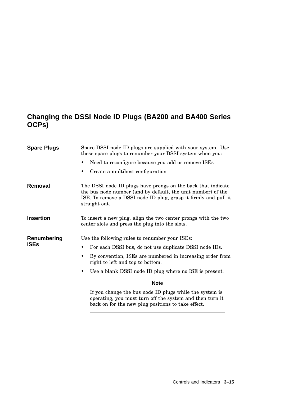## **Changing the DSSI Node ID Plugs (BA200 and BA400 Series OCPs)**

| <b>Spare Plugs</b> | Spare DSSI node ID plugs are supplied with your system. Use<br>these spare plugs to renumber your DSSI system when you:                                                                                          |  |  |
|--------------------|------------------------------------------------------------------------------------------------------------------------------------------------------------------------------------------------------------------|--|--|
|                    | Need to reconfigure because you add or remove ISEs                                                                                                                                                               |  |  |
|                    | Create a multihost configuration<br>٠                                                                                                                                                                            |  |  |
| Removal            | The DSSI node ID plugs have prongs on the back that indicate<br>the bus node number (and by default, the unit number) of the<br>ISE. To remove a DSSI node ID plug, grasp it firmly and pull it<br>straight out. |  |  |
| <b>Insertion</b>   | To insert a new plug, align the two center prongs with the two<br>center slots and press the plug into the slots.                                                                                                |  |  |
| Renumbering        | Use the following rules to renumber your ISEs:                                                                                                                                                                   |  |  |
| <b>ISEs</b>        | For each DSSI bus, do not use duplicate DSSI node IDs.                                                                                                                                                           |  |  |
|                    | By convention, ISEs are numbered in increasing order from<br>right to left and top to bottom.                                                                                                                    |  |  |
|                    | Use a blank DSSI node ID plug where no ISE is present.                                                                                                                                                           |  |  |
|                    | _______ Note __________                                                                                                                                                                                          |  |  |
|                    | If you change the bus node ID plugs while the system is<br>operating, you must turn off the system and then turn it<br>back on for the new plug positions to take effect.                                        |  |  |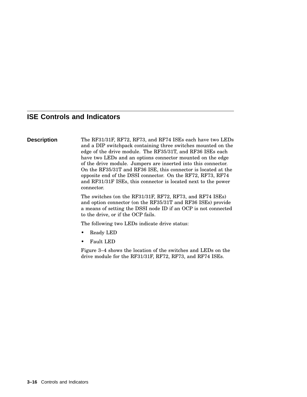## **ISE Controls and Indicators**

**Description** The RF31/31F, RF72, RF73, and RF74 ISEs each have two LEDs and a DIP switchpack containing three switches mounted on the edge of the drive module. The RF35/31T, and RF36 ISEs each have two LEDs and an options connector mounted on the edge of the drive module. Jumpers are inserted into this connector. On the RF35/31T and RF36 ISE, this connector is located at the opposite end of the DSSI connector. On the RF72, RF73, RF74 and RF31/31F ISEs, this connector is located next to the power connector.

> The switches (on the RF31/31F, RF72, RF73, and RF74 ISEs) and option connector (on the RF35/31T and RF36 ISEs) provide a means of setting the DSSI node ID if an OCP is not connected to the drive, or if the OCP fails.

The following two LEDs indicate drive status:

- Ready LED
- Fault LED

Figure 3–4 shows the location of the switches and LEDs on the drive module for the RF31/31F, RF72, RF73, and RF74 ISEs.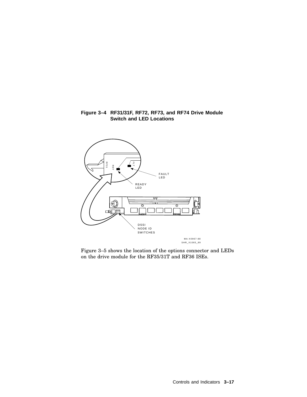#### **Figure 3–4 RF31/31F, RF72, RF73, and RF74 Drive Module Switch and LED Locations**



Figure 3–5 shows the location of the options connector and LEDs on the drive module for the RF35/31T and RF36 ISEs.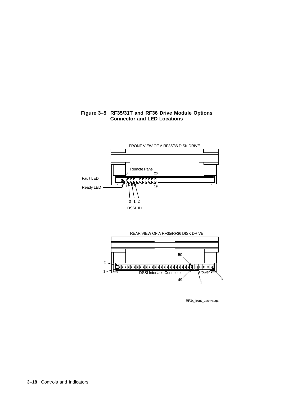### **Figure 3–5 RF35/31T and RF36 Drive Module Options Connector and LED Locations**





RF3x\_front\_back−rags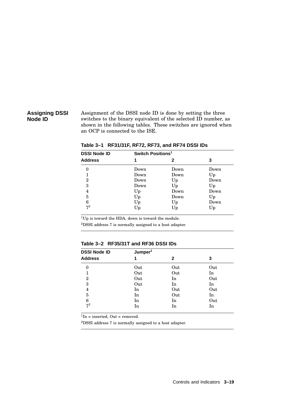### **Assigning DSSI Node ID**

Assignment of the DSSI node ID is done by setting the three switches to the binary equivalent of the selected ID number, as shown in the following tables. These switches are ignored when an OCP is connected to the ISE.

| <b>DSSI Node ID</b> | Switch Positions <sup>1</sup> |      |      |  |  |
|---------------------|-------------------------------|------|------|--|--|
| <b>Address</b>      | 1                             | 2    | 3    |  |  |
| 0                   | Down                          | Down | Down |  |  |
|                     | Down                          | Down | Up   |  |  |
| $\overline{2}$      | Down                          | Up   | Down |  |  |
| 3                   | Down                          | Up   | Up   |  |  |
| 4                   | Up                            | Down | Down |  |  |
| 5                   | Up                            | Down | Up   |  |  |
| 6                   | Up                            | Up   | Down |  |  |
| $7^2$               | Up                            | Up   | Up   |  |  |

**Table 3–1 RF31/31F, RF72, RF73, and RF74 DSSI IDs**

<sup>1</sup>Up is toward the HDA, down is toward the module.

<sup>2</sup>DSSI address 7 is normally assigned to a host adapter.

#### **Table 3–2 RF35/31T and RF36 DSSI IDs**

| <b>DSSI Node ID</b> | Jumper <sup>1</sup> |     |     |
|---------------------|---------------------|-----|-----|
| <b>Address</b>      | 1                   | 2   | 3   |
| $\theta$            | Out                 | Out | Out |
| 1                   | Out                 | Out | In  |
| $\overline{2}$      | Out                 | In  | Out |
| 3                   | Out                 | In  | In  |
| 4                   | In                  | Out | Out |
| 5                   | In                  | Out | In  |
| 6                   | In                  | In  | Out |
| $7^2$               | In                  | In  | In  |

 ${}^{1}\text{In}$  = inserted, Out = removed.

<sup>2</sup>DSSI address 7 is normally assigned to a host adapter.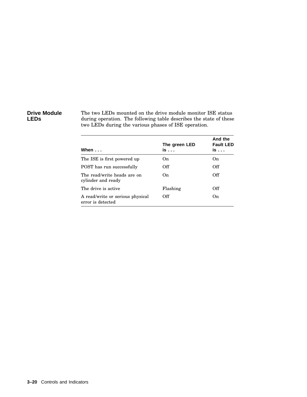### **Drive Module LEDs**

The two LEDs mounted on the drive module monitor ISE status during operation. The following table describes the state of these two LEDs during the various phases of ISE operation.

| When $\ldots$                                         | The green LED<br>is | And the<br><b>Fault LED</b><br>is |
|-------------------------------------------------------|---------------------|-----------------------------------|
| The ISE is first powered up                           | On.                 | On                                |
| POST has run successfully                             | Off                 | Off                               |
| The read/write heads are on<br>cylinder and ready     | On.                 | Off                               |
| The drive is active                                   | Flashing            | Off                               |
| A read/write or serious physical<br>error is detected | Off                 | On                                |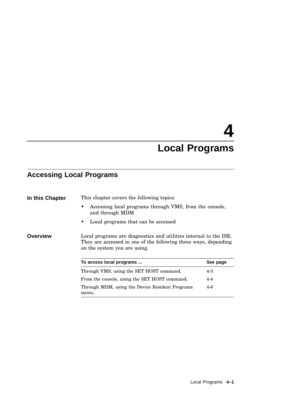# **4 Local Programs**

# **Accessing Local Programs**

| In this Chapter | This chapter covers the following topics:                                                                                                                            |          |
|-----------------|----------------------------------------------------------------------------------------------------------------------------------------------------------------------|----------|
|                 | Accessing local programs through VMS, from the console,<br>and through MDM                                                                                           |          |
|                 | Local programs that can be accessed                                                                                                                                  |          |
| Overview        | Local programs are diagnostics and utilities internal to the ISE.<br>They are accessed in one of the following three ways, depending<br>on the system you are using. |          |
|                 | To access local programs                                                                                                                                             | See page |
|                 | Through VMS, using the SET HOST command,                                                                                                                             | $4 - 3$  |
|                 | From the console, using the SET HOST command,                                                                                                                        | $4 - 4$  |
|                 | Through MDM, using the Device Resident Programs                                                                                                                      | $4-6$    |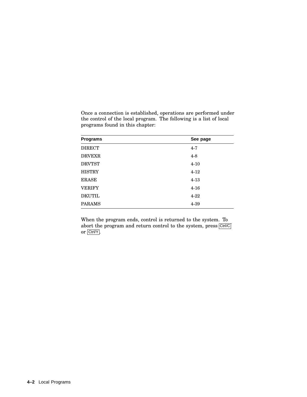| <b>Programs</b> | See page |
|-----------------|----------|
| <b>DIRECT</b>   | $4 - 7$  |
| <b>DRVEXR</b>   | $4 - 8$  |
| <b>DRVTST</b>   | $4 - 10$ |
| <b>HISTRY</b>   | $4 - 12$ |
| <b>ERASE</b>    | $4 - 13$ |
| <b>VERIFY</b>   | $4 - 16$ |
| <b>DKUTIL</b>   | $4 - 22$ |
| <b>PARAMS</b>   | $4 - 39$ |

Once a connection is established, operations are performed under the control of the local program. The following is a list of local programs found in this chapter:

When the program ends, control is returned to the system. To abort the program and return control to the system, press Ctrl/C or Ctrl/Y .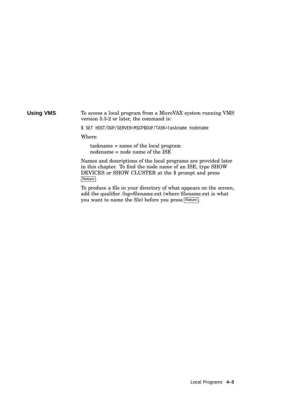#### **Using VMS** To access a local program from a MicroVAX system running VMS version 5.3-2 or later, the command is:

\$ SET HOST/DUP/SERVER=MSCP\$DUP/TASK=taskname nodename

Where:

taskname = name of the local program nodename = node name of the ISE

Names and descriptions of the local programs are provided later in this chapter. To find the node name of an ISE, type SHOW DEVICES or SHOW CLUSTER at the \$ prompt and press Return .

To produce a file in your directory of what appears on the screen, add the qualifier /log=filename.ext (where filename.ext is what you want to name the file) before you press Return.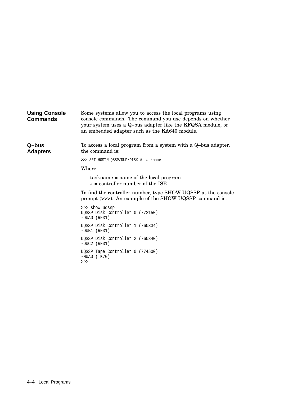| <b>Using Console</b><br><b>Commands</b> | Some systems allow you to access the local programs using<br>console commands. The command you use depends on whether<br>your system uses a Q-bus adapter like the KFQSA module, or<br>an embedded adapter such as the KA640 module. |
|-----------------------------------------|--------------------------------------------------------------------------------------------------------------------------------------------------------------------------------------------------------------------------------------|
| Q–bus<br><b>Adapters</b>                | To access a local program from a system with a Q-bus adapter,<br>the command is:                                                                                                                                                     |
|                                         | >>> SET HOST/UQSSP/DUP/DISK # taskname                                                                                                                                                                                               |
|                                         | Where:                                                                                                                                                                                                                               |
|                                         | taskname = name of the local program<br>$# =$ controller number of the ISE                                                                                                                                                           |
|                                         | To find the controller number, type SHOW UQSSP at the console<br>prompt (>>>). An example of the SHOW UQSSP command is:                                                                                                              |
|                                         | >>> show ugssp<br>UOSSP Disk Controller 0 (772150)<br>$-DUAO (RF31)$                                                                                                                                                                 |
|                                         | UOSSP Disk Controller 1 (760334)<br>$-DUB1$ (RF31)                                                                                                                                                                                   |
|                                         | UOSSP Disk Controller 2 (760340)<br>$-DUC2$ (RF31)                                                                                                                                                                                   |
|                                         | UQSSP Tape Controller 0 (774500)<br>$-MUAO$ (TK70)<br>>>>                                                                                                                                                                            |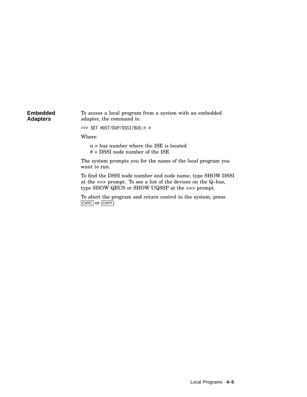#### **Embedded Adapters** To access a local program from a system with an embedded adapter, the command is:

>>> SET HOST/DUP/DSSI/BUS:n #

Where:

n = bus number where the ISE is located

# = DSSI node number of the ISE

The system prompts you for the name of the local program you want to run.

To find the DSSI node number and node name, type SHOW DSSI at the >>> prompt. To see a list of the devices on the Q–bus, type SHOW QBUS or SHOW UQSSP at the >>> prompt.

To abort the program and return control to the system, press Ctrl/C or Ctrl/Y.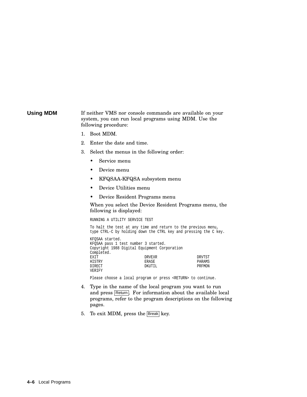#### **Using MDM** If neither VMS nor console commands are available on your system, you can run local programs using MDM. Use the following procedure:

- 1. Boot MDM.
- 2. Enter the date and time.
- 3. Select the menus in the following order:
	- Service menu
	- Device menu
	- KFQSAA-KFQSA subsystem menu
	- Device Utilities menu
	- Device Resident Programs menu

When you select the Device Resident Programs menu, the following is displayed:

RUNNING A UTILITY SERVICE TEST

To halt the test at any time and return to the previous menu, type CTRL-C by holding down the CTRL key and pressing the C key.

| KFOSAA started.<br>KFOSAA pass 1 test number 3 started.<br>Copyright 1988 Digital Equipment Corporation |               |        |
|---------------------------------------------------------------------------------------------------------|---------------|--------|
|                                                                                                         |               |        |
| Completed.                                                                                              |               |        |
| EXIT                                                                                                    | <b>DRVEXR</b> | DRVTST |
| HISTRY                                                                                                  | ERASE         | PARAMS |
| <b>DIRECT</b>                                                                                           | DKUTIL        | PRFMON |
| VERIFY                                                                                                  |               |        |

Please choose a local program or press <RETURN> to continue.

- 4. Type in the name of the local program you want to run and press Return. For information about the available local programs, refer to the program descriptions on the following pages.
- 5. To exit MDM, press the Break key.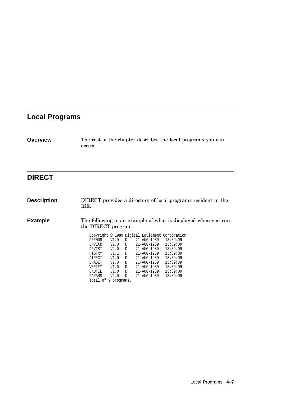# **Local Programs**

| <b>Overview</b> | The rest of the chapter describes the local programs you can |
|-----------------|--------------------------------------------------------------|
|                 | access.                                                      |

# **DIRECT**

| <b>Description</b> | ISE.                 |      |              |             | DIRECT provides a directory of local programs resident in the |
|--------------------|----------------------|------|--------------|-------------|---------------------------------------------------------------|
| <b>Example</b>     | the DIRECT program.  |      |              |             | The following is an example of what is displayed when you run |
|                    |                      |      |              |             | Copyright © 1989 Digital Equipment Corporation                |
|                    | PRFMON               | V1.0 | D            | 21-AUG-1989 | 13:39:09                                                      |
|                    | DRVEXR               | V2.0 | <sup>D</sup> | 21-AUG-1989 | 13:39:09                                                      |
|                    | DRVTST               | V2.0 | D.           | 21-AUG-1989 | 13:39:09                                                      |
|                    | HISTRY               | V1.1 | D            | 21-AUG-1989 | 13:39:09                                                      |
|                    | DIRECT               | V1.0 | <sup>D</sup> | 21-AUG-1989 | 13:39:09                                                      |
|                    | ERASE                | V2.0 | D            | 21-AUG-1989 | 13:39:09                                                      |
|                    | VERIFY               | V1.0 | D            | 21-AUG-1989 | 13:39:09                                                      |
|                    | DKUTIL               | V1.0 | D            | 21-AUG-1989 | 13:39:09                                                      |
|                    | PARAMS               | V2.0 | D            | 21-AUG-1989 | 13:39:09                                                      |
|                    | Total of 9 programs. |      |              |             |                                                               |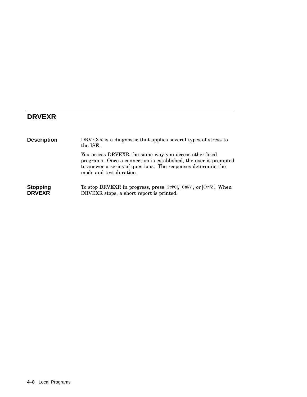## **DRVEXR**

| <b>Description</b>               | DRVEXR is a diagnostic that applies several types of stress to<br>the ISE.                                                                                                                                           |
|----------------------------------|----------------------------------------------------------------------------------------------------------------------------------------------------------------------------------------------------------------------|
|                                  | You access DRVEXR the same way you access other local<br>programs. Once a connection is established, the user is prompted<br>to answer a series of questions. The responses determine the<br>mode and test duration. |
| <b>Stopping</b><br><b>DRVEXR</b> | To stop DRVEXR in progress, press Ctrl/C, Ctrl/Y, or Ctrl/Z.<br>When<br>DRVEXR stops, a short report is printed.                                                                                                     |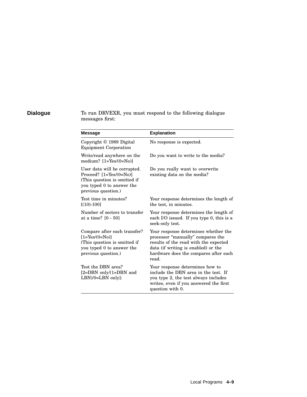## **Dialogue** To run DRVEXR, you must respond to the following dialogue messages first:

| <b>Message</b>                                                                                                                                    | <b>Explanation</b>                                                                                                                                                                                          |
|---------------------------------------------------------------------------------------------------------------------------------------------------|-------------------------------------------------------------------------------------------------------------------------------------------------------------------------------------------------------------|
| Copyright © 1989 Digital<br><b>Equipment Corporation</b>                                                                                          | No response is expected.                                                                                                                                                                                    |
| Write/read anywhere on the<br>medium? $[1 = Yes/(0 = No)]$                                                                                        | Do you want to write to the media?                                                                                                                                                                          |
| User data will be corrupted.<br>Proceed? $[1 = Yes/(0 = No)]$<br>(This question is omitted if<br>you typed 0 to answer the<br>previous question.) | Do you really want to overwrite<br>existing data on the media?                                                                                                                                              |
| Test time in minutes?<br>$[(10)-100]$                                                                                                             | Your response determines the length of<br>the test, in minutes.                                                                                                                                             |
| Number of sectors to transfer<br>at a time? [0 - 50]                                                                                              | Your response determines the length of<br>each I/O issued. If you type 0, this is a<br>seek-only test.                                                                                                      |
| Compare after each transfer?<br>$[1 = Yes/(0 = No)]$<br>(This question is omitted if<br>you typed 0 to answer the<br>previous question.)          | Your response determines whether the<br>processor "manually" compares the<br>results of the read with the expected<br>data (if writing is enabled) or the<br>hardware does the compares after each<br>read. |
| Test the DBN area?<br>$[2=DBN$ only/ $(1=DBN$ and<br>$LBN/0=LBN$ only]:                                                                           | Your response determines how to<br>include the DBN area in the test. If<br>you type 2, the test always includes<br>writes, even if you answered the first<br>question with 0.                               |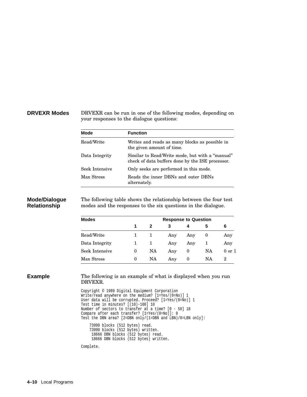#### **DRVEXR Modes** DRVEXR can be run in one of the following modes, depending on your responses to the dialogue questions:

| Mode           | <b>Function</b>                                                                                     |  |  |  |
|----------------|-----------------------------------------------------------------------------------------------------|--|--|--|
| Read/Write     | Writes and reads as many blocks as possible in<br>the given amount of time.                         |  |  |  |
| Data Integrity | Similar to Read/Write mode, but with a "manual"<br>check of data buffers done by the ISE processor. |  |  |  |
| Seek Intensive | Only seeks are performed in this mode.                                                              |  |  |  |
| Max Stress     | Reads the inner DBNs and outer DBNs<br>alternately.                                                 |  |  |  |

#### **Mode/Dialogue Relationship**

The following table shows the relationship between the four test modes and the responses to the six questions in the dialogue.

| <b>Modes</b>   | <b>Response to Question</b> |    |     |     |    |            |  |
|----------------|-----------------------------|----|-----|-----|----|------------|--|
|                | 1                           | 2  | 3   |     | 5  | 6          |  |
| Read/Write     |                             |    | Any | Any | 0  | Any        |  |
| Data Integrity | 1                           |    | Any | Any |    | Any        |  |
| Seek Intensive | 0                           | NA | Any | 0   | NA | $0$ or $1$ |  |
| Max Stress     | 0                           | NA | Any | 0   | NA | 2          |  |

**Example** The following is an example of what is displayed when you run DRVEXR.

```
Copyright © 1989 Digital Equipment Corporation
Write/read anywhere on the medium? [1=Yes/(0=No)] 1
User data will be corrupted. Proceed? [1=Yes/(0=No)] 1
Test time in minutes? [(10)-100] 10
Number of sectors to transfer at a time? [0 - 50] 18
Compare after each transfer? [1=Yes/(0=No)]: 0
Test the DBN area? [2=DBN only/(1=DBN and LBN)/0=LBN only]:
   73990 blocks (512 bytes) read.
   73990 blocks (512 bytes) written.
    18666 DBN blocks (512 bytes) read.
    18666 DBN blocks (512 bytes) written.
```
Complete.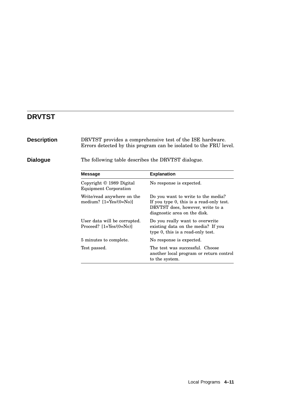## **DRVTST**

**Description** DRVTST provides a comprehensive test of the ISE hardware. Errors detected by this program can be isolated to the FRU level. **Dialogue** The following table describes the DRVTST dialogue. **Message Explanation** Copyright © 1989 Digital Equipment Corporation No response is expected. Write/read anywhere on the medium? [1=Yes/(0=No)] Do you want to write to the media? If you type 0, this is a read-only test. DRVTST does, however, write to a diagnostic area on the disk. User data will be corrupted. Proceed? [1=Yes/(0=No)] Do you really want to overwrite existing data on the media? If you type 0, this is a read-only test. 5 minutes to complete. No response is expected. Test passed. The test was successful. Choose another local program or return control to the system.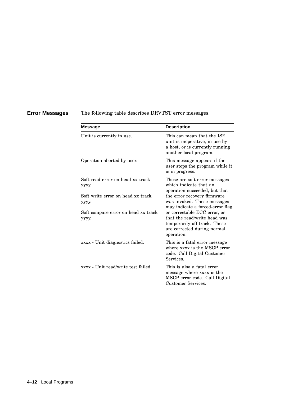**Error Messages** The following table describes DRVTST error messages.

| <b>Message</b>                               | <b>Description</b>                                                                                                                        |
|----------------------------------------------|-------------------------------------------------------------------------------------------------------------------------------------------|
| Unit is currently in use.                    | This can mean that the ISE<br>unit is inoperative, in use by<br>a host, or is currently running<br>another local program.                 |
| Operation aborted by user.                   | This message appears if the<br>user stops the program while it<br>is in progress.                                                         |
| Soft read error on head xx track<br>уууу.    | These are soft error messages<br>which indicate that an<br>operation succeeded, but that                                                  |
| Soft write error on head xx track<br>уууу.   | the error recovery firmware<br>was invoked. These messages<br>may indicate a forced-error flag                                            |
| Soft compare error on head xx track<br>уууу. | or correctable ECC error, or<br>that the read/write head was<br>temporarily off-track. These<br>are corrected during normal<br>operation. |
| xxxx - Unit diagnostics failed.              | This is a fatal error message<br>where xxxx is the MSCP error<br>code. Call Digital Customer<br>Services.                                 |
| xxxx - Unit read/write test failed.          | This is also a fatal error<br>message where xxxx is the<br>MSCP error code. Call Digital<br>Customer Services.                            |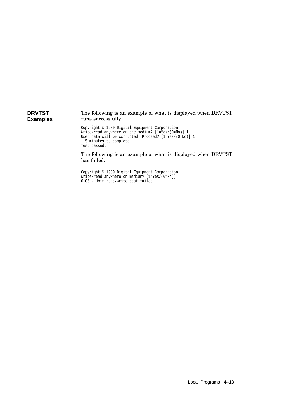#### **DRVTST Examples** The following is an example of what is displayed when DRVTST runs successfully.

```
Copyright © 1989 Digital Equipment Corporation
Write/read anywhere on the medium? [1=Yes/(0=No)] 1
User data will be corrupted. Proceed? [1=Yes/(0=No)] 1
 5 minutes to complete.
Test passed.
```
The following is an example of what is displayed when DRVTST has failed.

```
Copyright © 1989 Digital Equipment Corporation
Write/read anywhere on medium? [1=Yes/(0=No)]
0106 - Unit read/write test failed.
```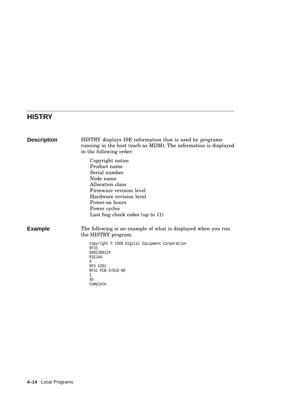# **HISTRY**

| <b>Description</b> | HISTRY displays ISE information that is used by programs<br>running in the host (such as MDM). The information is displayed<br>in the following order:                                                        |
|--------------------|---------------------------------------------------------------------------------------------------------------------------------------------------------------------------------------------------------------|
|                    | Copyright notice<br>Product name<br>Serial number<br>Node name<br>Allocation class<br>Firmware revision level<br>Hardware revision level<br>Power-on hours<br>Power cycles<br>Last bug check codes (up to 11) |
| <b>Example</b>     | The following is an example of what is displayed when you run<br>the HISTRY program.                                                                                                                          |
|                    | Copyright © 1989 Digital Equipment Corporation<br><b>RF31</b><br>EN92300124<br><b>R1EJAA</b><br>0<br>RFX X201<br>RF31 PCB-3/ECO-00<br>1<br>45<br>Complete.                                                    |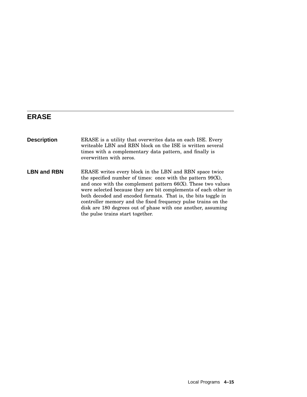# **ERASE**

| <b>Description</b> | ERASE is a utility that overwrites data on each ISE. Every<br>writeable LBN and RBN block on the ISE is written several<br>times with a complementary data pattern, and finally is<br>overwritten with zeros.                                                                                                                                                                                                                                                                                         |
|--------------------|-------------------------------------------------------------------------------------------------------------------------------------------------------------------------------------------------------------------------------------------------------------------------------------------------------------------------------------------------------------------------------------------------------------------------------------------------------------------------------------------------------|
| <b>LBN and RBN</b> | ERASE writes every block in the LBN and RBN space twice<br>the specified number of times: once with the pattern $99(X)$ ,<br>and once with the complement pattern $66(X)$ . These two values<br>were selected because they are bit complements of each other in<br>both decoded and encoded formats. That is, the bits toggle in<br>controller memory and the fixed frequency pulse trains on the<br>disk are 180 degrees out of phase with one another, assuming<br>the pulse trains start together. |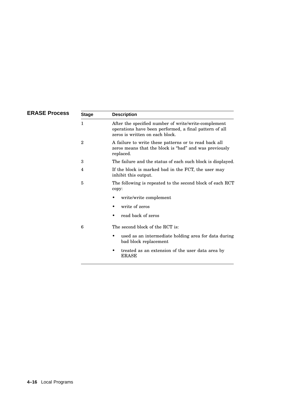| <b>ERASE Process</b> | <b>Stage</b>   | <b>Description</b>                                                                                                                                |
|----------------------|----------------|---------------------------------------------------------------------------------------------------------------------------------------------------|
|                      | 1              | After the specified number of write/write-complement<br>operations have been performed, a final pattern of all<br>zeros is written on each block. |
|                      | $\overline{2}$ | A failure to write these patterns or to read back all<br>zeros means that the block is "bad" and was previously<br>replaced.                      |
|                      | 3              | The failure and the status of each such block is displayed.                                                                                       |
|                      | 4              | If the block is marked bad in the FCT, the user may<br>inhibit this output.                                                                       |
|                      | 5              | The following is repeated to the second block of each RCT<br>copy:                                                                                |
|                      |                | write/write complement                                                                                                                            |
|                      |                | write of zeros<br>٠                                                                                                                               |
|                      |                | read back of zeros                                                                                                                                |
|                      | 6              | The second block of the RCT is:                                                                                                                   |
|                      |                | used as an intermediate holding area for data during<br>٠<br>bad block replacement                                                                |
|                      |                | treated as an extension of the user data area by<br>٠<br><b>ERASE</b>                                                                             |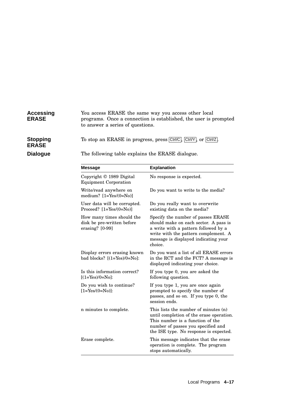#### **Accessing ERASE** You access ERASE the same way you access other local programs. Once a connection is established, the user is prompted to answer a series of questions.

**Stopping ERASE**

To stop an ERASE in progress, press Ctrl/C, Ctrl/Y, or Ctrl/Z.

**Dialogue** The following table explains the ERASE dialogue.

| <b>Message</b>                                                               | <b>Explanation</b>                                                                                                                                                                                             |
|------------------------------------------------------------------------------|----------------------------------------------------------------------------------------------------------------------------------------------------------------------------------------------------------------|
| Copyright $\odot$ 1989 Digital<br><b>Equipment Corporation</b>               | No response is expected.                                                                                                                                                                                       |
| Write/read anywhere on<br>medium? $[1 = Yes/(0 = No)]$                       | Do you want to write to the media?                                                                                                                                                                             |
| User data will be corrupted.<br>Proceed? $[1 = Yes/(0 = No)]$                | Do you really want to overwrite<br>existing data on the media?                                                                                                                                                 |
| How many times should the<br>disk be pre-written before<br>erasing? $[0-99]$ | Specify the number of passes ERASE<br>should make on each sector. A pass is<br>a write with a pattern followed by a<br>write with the pattern complement. A<br>message is displayed indicating your<br>choice. |
| Display errors erasing known<br>bad blocks? $[(1=Yes)/0=No]$ :               | Do you want a list of all ERASE errors<br>in the RCT and the FCT? A message is<br>displayed indicating your choice.                                                                                            |
| Is this information correct?<br>$[(1=Yes)/0=No]$ :                           | If you type 0, you are asked the<br>following question.                                                                                                                                                        |
| Do you wish to continue?<br>$[1 = Yes/(0 = No)]$ :                           | If you type 1, you are once again<br>prompted to specify the number of<br>passes, and so on. If you type 0, the<br>session ends.                                                                               |
| n minutes to complete.                                                       | This lists the number of minutes (n)<br>until completion of the erase operation.<br>This number is a function of the<br>number of passes you specified and<br>the ISE type. No response is expected.           |
| Erase complete.                                                              | This message indicates that the erase<br>operation is complete. The program<br>stops automatically.                                                                                                            |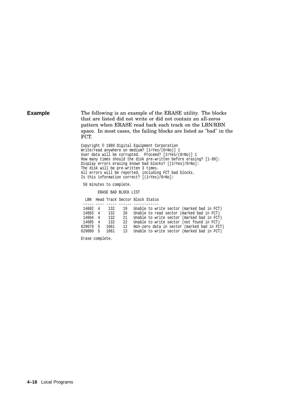### **Example** The following is an example of the ERASE utility. The blocks that are listed did not write or did not contain an all-zeros pattern when ERASE read back each track on the LBN/RBN space. In most cases, the failing blocks are listed as "bad" in the FCT.

Copyright © 1989 Digital Equipment Corporation Write/read anywhere on medium? [1=Yes/(0=No)] 1 User data will be corrupted. Proceed? [1=Yes/(0=No)] 1 How many times should the disk pre-written before erasing? [1-99]: Display errors erasing known bad blocks? [(1=Yes)/0=No]: The disk will be pre-written 3 times. All errors will be reported, including FCT bad blocks. Is this information correct? [(1=Yes)/0=No]:

58 minutes to complete.

ERASE BAD BLOCK LIST

LBN Head Track Sector Block Status

| 14602 4  |   | 132  | 19 | Unable to write sector (marked bad in FCT)  |
|----------|---|------|----|---------------------------------------------|
| 14603 4  |   | 132  | 20 | Unable to read sector (marked bad in FCT)   |
| 14604    | 4 | 132  | 21 | Unable to write sector (marked bad in FCT)  |
| 14605 4  |   | 132  | 22 | Unable to write sector (not found in FCT)   |
| 629079 5 |   | 1661 | 12 | Non-zero data in sector (marked bad in FCT) |
| 629080 5 |   | 1661 | 13 | Unable to write sector (marked bad in FCT)  |

Erase complete.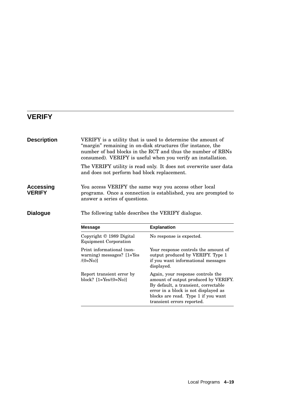# **VERIFY**

| <b>Description</b>         | VERIFY is a utility that is used to determine the amount of<br>"margin" remaining in on-disk structures (for instance, the<br>number of bad blocks in the RCT and thus the number of RBNs<br>consumed). VERIFY is useful when you verify an installation. |                                                                                                                                                                                                                                |  |  |
|----------------------------|-----------------------------------------------------------------------------------------------------------------------------------------------------------------------------------------------------------------------------------------------------------|--------------------------------------------------------------------------------------------------------------------------------------------------------------------------------------------------------------------------------|--|--|
|                            | and does not perform bad block replacement.                                                                                                                                                                                                               | The VERIFY utility is read only. It does not overwrite user data                                                                                                                                                               |  |  |
| Accessing<br><b>VERIFY</b> | answer a series of questions.                                                                                                                                                                                                                             | You access VERIFY the same way you access other local<br>programs. Once a connection is established, you are prompted to                                                                                                       |  |  |
| Dialogue                   | The following table describes the VERIFY dialogue.<br><b>Message</b>                                                                                                                                                                                      | <b>Explanation</b>                                                                                                                                                                                                             |  |  |
|                            | Copyright © 1989 Digital<br><b>Equipment Corporation</b>                                                                                                                                                                                                  | No response is expected.                                                                                                                                                                                                       |  |  |
|                            | Print informational (non-<br>warning) messages? $[1 = Yes]$<br>$/(0=N0)$                                                                                                                                                                                  | Your response controls the amount of<br>output produced by VERIFY. Type 1<br>if you want informational messages<br>displayed.                                                                                                  |  |  |
|                            | Report transient error by<br>block? $[1 = Yes/(0 = No)]$                                                                                                                                                                                                  | Again, your response controls the<br>amount of output produced by VERIFY.<br>By default, a transient, correctable<br>error in a block is not displayed as<br>blocks are read. Type 1 if you want<br>transient errors reported. |  |  |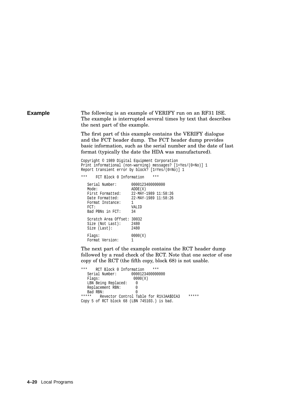**Example** The following is an example of VERIFY run on an RF31 ISE. The example is interrupted several times by text that describes the next part of the example.

> The first part of this example contains the VERIFY dialogue and the FCT header dump. The FCT header dump provides basic information, such as the serial number and the date of last format (typically the date the HDA was manufactured).

Copyright © 1989 Digital Equipment Corporation Print informational (non-warning) messages? [1=Yes/(0=No)] 1 Report transient error by block? [1=Yes/(0=No)] 1

\*\*\* FCT Block 0 Information \*\*\*

Serial Number: 0000123400000000<br>Mode: ADDE(X) Mode: ADDE(X)<br>First Formatted: 22-MAY-1 First Formatted: 22-MAY-1989 11:58:26<br>Date Formatted: 22-MAY-1989 11:58:26 22-MAY-1989 11:58:26 Format Instance: 1 FCT: VALID Bad PBNs in FCT: 34 Scratch Area Offset: 30032 Size (Not Last): 2480<br>Size (Last): 2480 Size (Last):  $Flags: 0000(X)$ Format Version: 1

The next part of the example contains the RCT header dump followed by a read check of the RCT. Note that one sector of one copy of the RCT (the fifth copy, block 68) is not usable.

```
*** RCT Block 0 Information ***
                     0000123400000000
  Flags: 0000(X)
  LBN Being Replaced: 0
  Replacement RBN: 0
Bad RBN: 0<br>***** Peyector Control T
      Revector Control Table for R1VJAA$DIA3 *****
Copy 5 of RCT block 68 (LBN 745103.) is bad.
```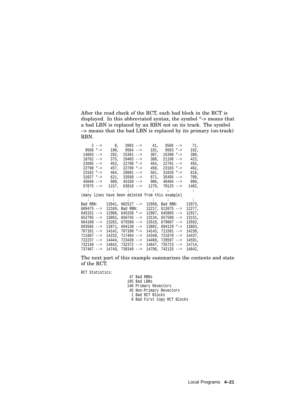After the read check of the RCT, each bad block in the RCT is displayed. In this abbreviated syntax, the symbol \*-> means that a bad LBN is replaced by an RBN not on its track. The symbol –> means that the bad LBN is replaced by its primary (on-track) RBN.

| $2 - -$                                          | 0 <sub>l</sub> | 2083 -->           |        | $41, 3569$ -->     | 71,    |
|--------------------------------------------------|----------------|--------------------|--------|--------------------|--------|
| $9566$ *->                                       | 190,           | $9564$ -->         | 191,   | $9563$ *->         | 192,   |
| 14603 -->                                        | 292,           | $15361 - -$        | 307,   | 15398 *->          | 308,   |
| $18762 - -$                                      | 375,           | 19403 -->          | 388,   | $21198$ -->        | 423,   |
| $22695$ -->                                      | 453,           | $22788$ *->        | 454,   | 22791<br>$--&$     | 455,   |
| $22790$ *->                                      | 457,           | 22789 *->          | 458,   | 23183 *->          | 462,   |
| 23182 *->                                        | 464,           | 28081 -->          | 561,   | $31026$ *->        | 619,   |
| $31027$ *->                                      | 621,           | $33589 - -$        | 671,   | $35495$ -->        | 709,   |
| $45046$ -->                                      | 900,           | $45339 - -$        | 906,   | $48484 - -$        | 969,   |
| $57875 - -$                                      | 1157,          | $63818$ -->        | 1276,  | $70125$ -->        | 1402,  |
|                                                  |                |                    |        |                    |        |
| (many lines have been deleted from this example) |                |                    |        |                    |        |
|                                                  |                |                    |        |                    |        |
| Bad RBN:                                         |                | $12041, 602527 --$ | 12050, | Bad RBN:           | 12073, |
| $609475$ -->                                     | 12189,         | Bad RBN:           | 12217, | $613875$ -->       | 12277, |
| 645331 -->                                       | 12906,         | $645330$ *->       | 12907, | $645885 - -$       | 12917, |
| $652795 - -$                                     |                | $13055, 656745 --$ |        |                    |        |
| $664108$ -->                                     |                |                    |        | $13134, 657589 --$ | 13151, |
|                                                  |                | $13282, 675509 --$ | 13510, | $679607 -->$       | 13592, |
| $693585 - -$                                     |                | 13871, 694130 -->  | 13882, | $694129$ *->       | 13883, |
| 707101 -->                                       |                | 14142, 707100 *->  | 14143, | 711501<br>$--&>$   | 14230, |
| $711607$ -->                                     | 14232,         | 717484 -->         | 14349, | $721878 - -$       | 14437, |
| 722237 -->                                       |                | $14444, 723439 --$ | 14468, | $729597 - -$       | 14591, |
| 732140 -->                                       |                | 14642, 732372 -->  | 14647, | 735723 -->         | 14714, |

The next part of this example summarizes the contents and state of the RCT.

RCT Statistics:

Bad RBNs

- Bad LBNs
- Primary Revectors
- Non-Primary Revectors
- Bad RCT Blocks
- Bad First Copy RCT Blocks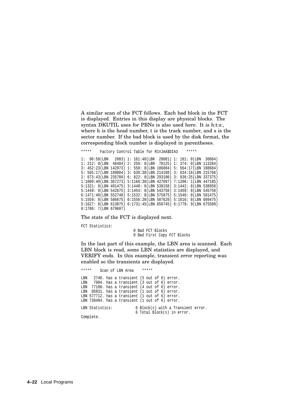A similar scan of the FCT follows. Each bad block in the FCT is displayed. Entries in this display are physical blocks. The syntax DKUTIL uses for PBNs is also used here. It is h:t:s:, where h is the head number, t is the track number, and s is the sector number. If the bad block is used by the disk format, the corresponding block number is displayed in parentheses.

\*\*\*\*\* Factory Control Table for R1VJAA\$DIA3 \*\*\*\*\*

1: 96:50(LBN 2083) 1: 161:48(LBN 28081) 1: 181: 0(LBN 36084) 1: 212: 0(LBN 48484) 2: 259: 8(LBN 70125) 1: 374: 0(LBN 113284) 3: 452:23(LBN 142973) 1: 558: 0(LBN 186884) 5: 564:17(LBN 188684) 5: 565:17(LBN 189084) 3: 630:38(LBN 214188) 3: 634:16(LBN 215766) 2: 673:43(LBN 235709) 6: 822: 0(LBN 293100) 3: 938:25(LBN 337375) 1:1009:40(LBN 367273) 5:1160:30(LBN 427097) 7:1208: 1(LBN 447185) 5:1321: 8(LBN 491475) 3:1440: 8(LBN 538158) 3:1442: 8(LBN 538958) 5:1449: 8(LBN 542675) 3:1454: 8(LBN 543758) 3:1459: 8(LBN 545758) 6:1471:40(LBN 552740) 5:1532: 8(LBN 575875) 5:1546: 8(LBN 581475) 5:1559: 8(LBN 586675) 0:1556:20(LBN 587620) 5:1616: 8(LBN 609475) 5:1627: 8(LBN 613875) 6:1731:45(LBN 656745) 6:1778: 9(LBN 675509) 0:1786: 7(LBN 679607)

The state of the FCT is displayed next.

FCT Statistics:

0 Bad FCT Blocks 0 Bad First Copy FCT Blocks

In the last part of this example, the LBN area is scanned. Each LBN block is read, some LBN statistics are displayed, and VERIFY ends. In this example, transient error reporting was enabled so the transients are displayed.

\*\*\*\*\* Scan of LBN Area LBN 2740. has a transient (5 out of 6) error. LBN 7904. has a transient (3 out of 6) error. LBN 77100. has a transient (4 out of 6) error.<br>LBN 95831. has a transient (1 out of 6) error. 95831. has a transient (1 out of 6) error. LBN 577712. has a transient (1 out of 6) error. LBN 730484. has a transient (1 out of 6) error. LBN Statistics: 6 Block(s) with a Transient error. 6 Total Block(s) in error.

Complete.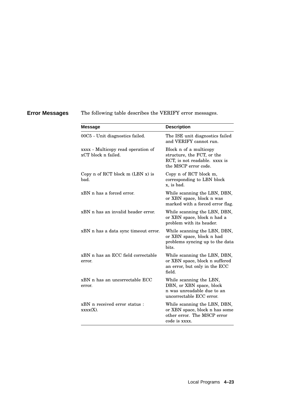**Error Messages** The following table describes the VERIFY error messages.

| <b>Message</b>                                            | <b>Description</b>                                                                                             |
|-----------------------------------------------------------|----------------------------------------------------------------------------------------------------------------|
| 00C5 - Unit diagnostics failed.                           | The ISE unit diagnostics failed<br>and VERIFY cannot run.                                                      |
| xxxx - Multicopy read operation of<br>xCT block n failed. | Block n of a multicopy<br>structure, the FCT, or the<br>RCT, is not readable. xxxx is<br>the MSCP error code.  |
| Copy n of RCT block $m$ (LBN $x$ ) is<br>bad.             | Copy n of RCT block m,<br>corresponding to LBN block<br>x, is bad.                                             |
| xBN n has a forced error.                                 | While scanning the LBN, DBN,<br>or XBN space, block n was<br>marked with a forced error flag.                  |
| xBN n has an invalid header error.                        | While scanning the LBN, DBN,<br>or XBN space, block n had a<br>problem with its header.                        |
| xBN n has a data sync timeout error.                      | While scanning the LBN, DBN,<br>or XBN space, block n had<br>problems syncing up to the data<br>hits.          |
| xBN n has an ECC field correctable<br>error.              | While scanning the LBN, DBN,<br>or XBN space, block n suffered<br>an error, but only in the ECC<br>field.      |
| xBN n has an uncorrectable ECC<br>error.                  | While scanning the LBN,<br>DBN, or XBN space, block<br>n was unreadable due to an<br>uncorrectable ECC error.  |
| xBN n received error status :<br>xxxx(X).                 | While scanning the LBN, DBN,<br>or XBN space, block n has some<br>other error. The MSCP error<br>code is xxxx. |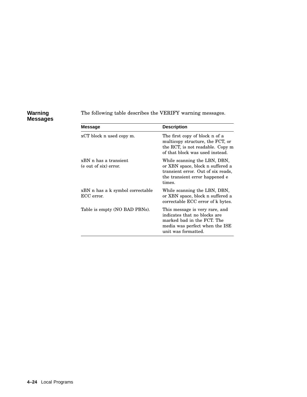### **Warning Messages**

The following table describes the VERIFY warning messages.

| Message                                        | <b>Description</b>                                                                                                                                    |
|------------------------------------------------|-------------------------------------------------------------------------------------------------------------------------------------------------------|
| xCT block n used copy m.                       | The first copy of block n of a<br>multicopy structure, the FCT, or<br>the RCT, is not readable. Copy m<br>of that block was used instead.             |
| xBN n has a transient<br>(e out of six) error. | While scanning the LBN, DBN,<br>or XBN space, block n suffered a<br>transient error. Out of six reads,<br>the transient error happened e<br>times.    |
| xBN n has a k symbol correctable<br>ECC error. | While scanning the LBN, DBN,<br>or XBN space, block n suffered a<br>correctable ECC error of k bytes.                                                 |
| Table is empty (NO BAD PBNs).                  | This message is very rare, and<br>indicates that no blocks are<br>marked bad in the FCT. The<br>media was perfect when the ISE<br>unit was formatted. |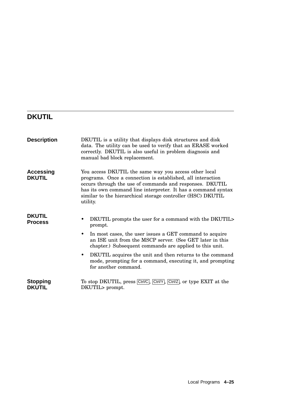# **DKUTIL**

| <b>Description</b>                | DKUTIL is a utility that displays disk structures and disk<br>data. The utility can be used to verify that an ERASE worked<br>correctly. DKUTIL is also useful in problem diagnosis and<br>manual bad block replacement.                                                                                                                                                                                                |
|-----------------------------------|-------------------------------------------------------------------------------------------------------------------------------------------------------------------------------------------------------------------------------------------------------------------------------------------------------------------------------------------------------------------------------------------------------------------------|
| <b>Accessing</b><br><b>DKUTIL</b> | You access DKUTIL the same way you access other local<br>programs. Once a connection is established, all interaction<br>occurs through the use of commands and responses. DKUTIL<br>has its own command line interpreter. It has a command syntax<br>similar to the hierarchical storage controller (HSC) DKUTIL<br>utility.                                                                                            |
| <b>DKUTIL</b><br><b>Process</b>   | DKUTIL prompts the user for a command with the DKUTIL><br>prompt.<br>In most cases, the user issues a GET command to acquire<br>٠<br>an ISE unit from the MSCP server. (See GET later in this<br>chapter.) Subsequent commands are applied to this unit.<br>DKUTIL acquires the unit and then returns to the command<br>$\bullet$<br>mode, prompting for a command, executing it, and prompting<br>for another command. |
| <b>Stopping</b><br><b>DKUTIL</b>  | To stop DKUTIL, press Ctrl/C, Ctrl/Y, Ctrl/Z, or type EXIT at the<br>DKUTIL> prompt.                                                                                                                                                                                                                                                                                                                                    |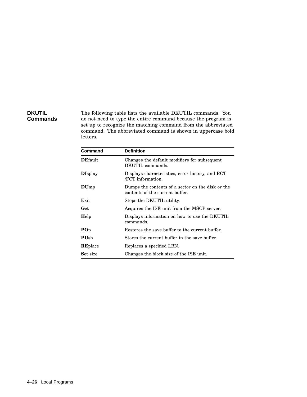## **DKUTIL Commands**

The following table lists the available DKUTIL commands. You do not need to type the entire command because the program is set up to recognize the matching command from the abbreviated command. The abbreviated command is shown in uppercase bold letters.

| Command         | <b>Definition</b>                                                                    |
|-----------------|--------------------------------------------------------------------------------------|
| <b>DEfault</b>  | Changes the default modifiers for subsequent<br>DKUTIL commands.                     |
| <b>DIsplay</b>  | Displays characteristics, error history, and RCT<br>/FCT information.                |
| DUmp            | Dumps the contents of a sector on the disk or the<br>contents of the current buffer. |
| Exit            | Stops the DKUTIL utility.                                                            |
| Get             | Acquires the ISE unit from the MSCP server.                                          |
| Help            | Displays information on how to use the DKUTIL<br>commands.                           |
| $\bf{POp}$      | Restores the save buffer to the current buffer.                                      |
| <b>PU</b> sh    | Stores the current buffer in the save buffer.                                        |
| <b>RE</b> place | Replaces a specified LBN.                                                            |
| Set size        | Changes the block size of the ISE unit.                                              |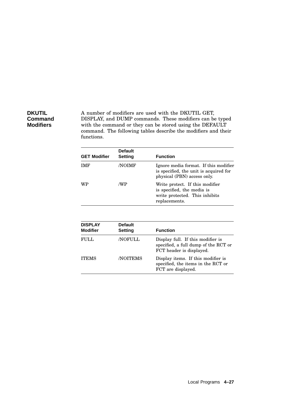## **DKUTIL Command Modifiers**

A number of modifiers are used with the DKUTIL GET, DISPLAY, and DUMP commands. These modifiers can be typed with the command or they can be stored using the DEFAULT command. The following tables describe the modifiers and their functions.

| <b>GET Modifier</b>               | <b>Default</b><br>Setting | <b>Function</b>                                                                                                  |  |
|-----------------------------------|---------------------------|------------------------------------------------------------------------------------------------------------------|--|
| IMF                               | /NOIMF                    | Ignore media format. If this modifier<br>is specified, the unit is acquired for<br>physical (PBN) access only.   |  |
| WP                                | /WP                       | Write protect. If this modifier<br>is specified, the media is<br>write protected. This inhibits<br>replacements. |  |
|                                   |                           |                                                                                                                  |  |
| <b>DISPLAY</b><br><b>Modifier</b> | <b>Default</b><br>Setting | <b>Function</b>                                                                                                  |  |
| FULL                              | <b>NOFULL</b>             | Display full. If this modifier is<br>specified, a full dump of the RCT or<br>FCT header is displayed.            |  |
| <b>ITEMS</b>                      | <b>NOITEMS</b>            | Display items. If this modifier is<br>specified, the items in the RCT or<br>FCT are displayed.                   |  |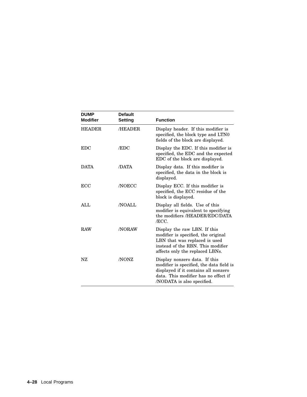| <b>DUMP</b><br><b>Modifier</b> | <b>Default</b><br><b>Setting</b> | <b>Function</b>                                                                                                                                                                         |
|--------------------------------|----------------------------------|-----------------------------------------------------------------------------------------------------------------------------------------------------------------------------------------|
| <b>HEADER</b>                  | /HEADER                          | Display header. If this modifier is<br>specified, the block type and LTN0<br>fields of the block are displayed.                                                                         |
| <b>EDC</b>                     | /EDC                             | Display the EDC. If this modifier is<br>specified, the EDC and the expected<br>EDC of the block are displayed.                                                                          |
| <b>DATA</b>                    | /DATA                            | Display data. If this modifier is<br>specified, the data in the block is<br>displayed.                                                                                                  |
| <b>ECC</b>                     | <b>NOECC</b>                     | Display ECC. If this modifier is<br>specified, the ECC residue of the<br>block is displayed.                                                                                            |
| AIJ.                           | <b>NOALL</b>                     | Display all fields. Use of this<br>modifier is equivalent to specifying<br>the modifiers /HEADER/EDC/DATA<br>/ECC.                                                                      |
| <b>RAW</b>                     | <b>NORAW</b>                     | Display the raw LBN. If this<br>modifier is specified, the original<br>LBN that was replaced is used<br>instead of the RBN. This modifier<br>affects only the replaced LBNs.            |
| NZ                             | /NONZ                            | Display nonzero data. If this<br>modifier is specified, the data field is<br>displayed if it contains all nonzero<br>data. This modifier has no effect if<br>/NODATA is also specified. |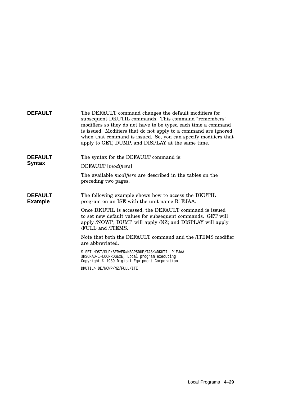| <b>DEFAULT</b>                   | The DEFAULT command changes the default modifiers for<br>subsequent DKUTIL commands. This command "remembers"<br>modifiers so they do not have to be typed each time a command<br>is issued. Modifiers that do not apply to a command are ignored<br>when that command is issued. So, you can specify modifiers that<br>apply to GET, DUMP, and DISPLAY at the same time. |
|----------------------------------|---------------------------------------------------------------------------------------------------------------------------------------------------------------------------------------------------------------------------------------------------------------------------------------------------------------------------------------------------------------------------|
| <b>DEFAULT</b>                   | The syntax for the DEFAULT command is:                                                                                                                                                                                                                                                                                                                                    |
| <b>Syntax</b>                    | DEFAULT [modifiers]                                                                                                                                                                                                                                                                                                                                                       |
|                                  | The available <i>modifiers</i> are described in the tables on the<br>preceding two pages.                                                                                                                                                                                                                                                                                 |
| <b>DEFAULT</b><br><b>Example</b> | The following example shows how to access the DKUTIL<br>program on an ISE with the unit name R1EJAA.                                                                                                                                                                                                                                                                      |
|                                  | Once DKUTIL is accessed, the DEFAULT command is issued<br>to set new default values for subsequent commands. GET will<br>apply /NOWP; DUMP will apply /NZ; and DISPLAY will apply<br>/FULL and /ITEMS.                                                                                                                                                                    |
|                                  | Note that both the DEFAULT command and the <i>ITEMS</i> modifier<br>are abbreviated.                                                                                                                                                                                                                                                                                      |
|                                  | \$ SET HOST/DUP/SERVER=MSCP\$DUP/TASK=DKUTIL R1EJAA<br>%HSCPAD-I-LOCPROGEXE, Local program executing<br>Copyright © 1989 Digital Equipment Corporation                                                                                                                                                                                                                    |
|                                  | DKUTIL> DE/NOWP/NZ/FULL/ITE                                                                                                                                                                                                                                                                                                                                               |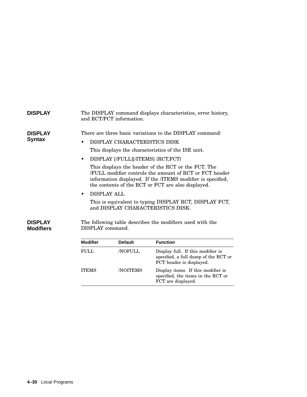| <b>DISPLAY</b>                     |                                              | and RCT/FCT information.                                          | The DISPLAY command displays characteristics, error history,                                                                                                                                                                                                                                                                                                                                                                                        |
|------------------------------------|----------------------------------------------|-------------------------------------------------------------------|-----------------------------------------------------------------------------------------------------------------------------------------------------------------------------------------------------------------------------------------------------------------------------------------------------------------------------------------------------------------------------------------------------------------------------------------------------|
| <b>DISPLAY</b><br><b>Syntax</b>    | $\bullet$<br><b>DISPLAY ALL</b><br>$\bullet$ | DISPLAY CHARACTERISTICS DISK<br>DISPLAY [/FULL][/ITEMS] {RCT,FCT} | There are three basic variations to the DISPLAY command:<br>This displays the characteristics of the ISE unit.<br>This displays the header of the RCT or the FCT. The<br>FULL modifier controls the amount of RCT or FCT header<br>information displayed. If the /ITEMS modifier is specified,<br>the contents of the RCT or FCT are also displayed.<br>This is equivalent to typing DISPLAY RCT, DISPLAY FCT,<br>and DISPLAY CHARACTERISTICS DISK. |
| <b>DISPLAY</b><br><b>Modifiers</b> | DISPLAY command.<br><b>Modifier</b>          | <b>Default</b>                                                    | The following table describes the modifiers used with the<br><b>Function</b>                                                                                                                                                                                                                                                                                                                                                                        |
|                                    | <b>FULL</b>                                  | <b>NOFULL</b>                                                     | Display full. If this modifier is<br>specified, a full dump of the RCT or<br>FCT header is displayed.                                                                                                                                                                                                                                                                                                                                               |
|                                    | <b>ITEMS</b>                                 | /NOITEMS                                                          | Display items. If this modifier is<br>specified, the items in the RCT or<br>FCT are displayed.                                                                                                                                                                                                                                                                                                                                                      |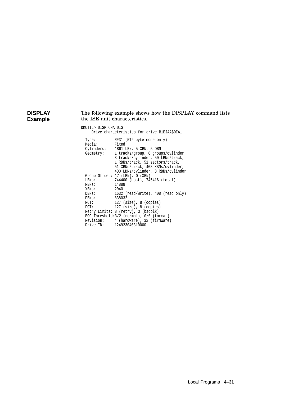#### **DISPLAY Example** The following example shows how the DISPLAY command lists the ISE unit characteristics.

#### DKUTIL> DISP CHA DIS

Drive characteristics for drive R1EJAA\$DIA1

| Type:<br>Media: | RF31 (512 byte mode only)<br>Fixed        |
|-----------------|-------------------------------------------|
| Cylinders:      | 1861 LBN, 5 XBN, 5 DBN                    |
| Geometry:       | 1 tracks/group, 8 groups/cylinder,        |
|                 | 8 tracks/cylinder, 50 LBNs/track,         |
|                 | 1 RBNs/track, 51 sectors/track,           |
|                 |                                           |
|                 | 51 XBNs/track, 408 XBNs/cylinder,         |
|                 | 400 LBNs/cylinder, 8 RBNs/cylinder        |
|                 | Group Offset: 17 (LBN), 0 (XBN)           |
| LBNs:           | 744400 (host), 745416 (total)             |
| RBNs:           | 14888                                     |
| XBNs:           | 2040                                      |
| DBNs:           | 1632 (read/write), 408 (read only)        |
| PBNs:           | 838032                                    |
| RCT:            | 127 (size), 8 (copies)                    |
| FCT:            | $127$ (size), 8 (copies)                  |
|                 | Retry Limits: 8 (retry), 3 (badblk)       |
|                 | ECC Threshold: 3/2 (normal), 0/0 (format) |
|                 | Revision: 4 (hardware), 32 (firmware)     |
|                 | Drive ID: 124923040310000                 |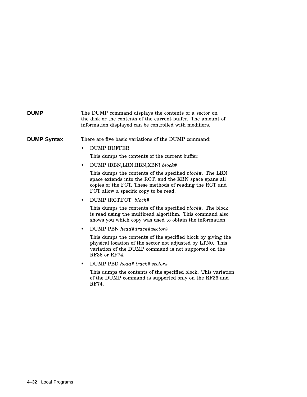## **DUMP** The DUMP command displays the contents of a sector on the disk or the contents of the current buffer. The amount of information displayed can be controlled with modifiers. **DUMP Syntax** There are five basic variations of the DUMP command: • DUMP BUFFER This dumps the contents of the current buffer. • DUMP {DBN,LBN,RBN,XBN} *block#* This dumps the contents of the specified *block#*. The LBN space extends into the RCT, and the XBN space spans all copies of the FCT. These methods of reading the RCT and FCT allow a specific copy to be read. • DUMP {RCT,FCT} *block#* This dumps the contents of the specified *block#*. The block is read using the multiread algorithm. This command also shows you which copy was used to obtain the information. • DUMP PBN *head#*:*track#*:*sector#* This dumps the contents of the specified block by giving the physical location of the sector not adjusted by LTN0. This variation of the DUMP command is not supported on the RF36 or RF74. • DUMP PBD *head#*:*track#*:*sector#* This dumps the contents of the specified block. This variation of the DUMP command is supported only on the RF36 and RF74.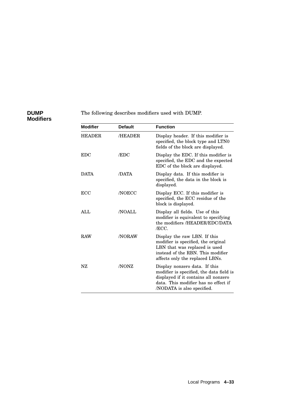## **DUMP Modifiers**

## The following describes modifiers used with DUMP.

| <b>Modifier</b> | <b>Default</b> | <b>Function</b>                                                                                                                                                                         |
|-----------------|----------------|-----------------------------------------------------------------------------------------------------------------------------------------------------------------------------------------|
| <b>HEADER</b>   | /HEADER        | Display header. If this modifier is<br>specified, the block type and LTN0<br>fields of the block are displayed.                                                                         |
| <b>EDC</b>      | /EDC           | Display the EDC. If this modifier is<br>specified, the EDC and the expected<br>EDC of the block are displayed.                                                                          |
| <b>DATA</b>     | /DATA          | Display data. If this modifier is<br>specified, the data in the block is<br>displayed.                                                                                                  |
| <b>ECC</b>      | <b>/NOECC</b>  | Display ECC. If this modifier is<br>specified, the ECC residue of the<br>block is displayed.                                                                                            |
| AIJ.            | /NOALL         | Display all fields. Use of this<br>modifier is equivalent to specifying<br>the modifiers /HEADER/EDC/DATA<br>/ECC.                                                                      |
| <b>RAW</b>      | /NORAW         | Display the raw LBN. If this<br>modifier is specified, the original<br>LBN that was replaced is used<br>instead of the RBN. This modifier<br>affects only the replaced LBNs.            |
| NZ              | /NONZ          | Display nonzero data. If this<br>modifier is specified, the data field is<br>displayed if it contains all nonzero<br>data. This modifier has no effect if<br>/NODATA is also specified. |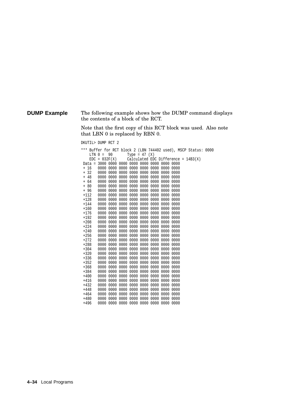### **DUMP Example** The following example shows how the DUMP command displays the contents of a block of the RCT.

Note that the first copy of this RCT block was used. Also note that LBN 0 is replaced by RBN 0.

DKUTIL> DUMP RCT 2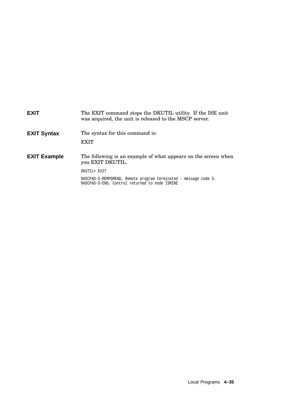| <b>EXIT</b>         | The EXIT command stops the DKUTIL utility. If the ISE unit<br>was acquired, the unit is released to the MSCP server. |
|---------------------|----------------------------------------------------------------------------------------------------------------------|
| <b>EXIT Syntax</b>  | The syntax for this command is:<br><b>EXIT</b>                                                                       |
| <b>EXIT Example</b> | The following is an example of what appears on the screen when<br>you EXIT DKUTIL.                                   |
|                     | DKUTIL> EXIT                                                                                                         |
|                     | %HSCPAD-S-REMPGMEND, Remote program terminated - message code 3.<br>%HSCPAD-S-END, Control returned to node ISMINE   |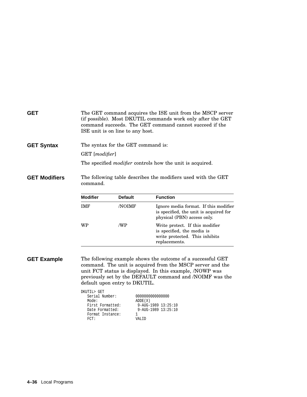| <b>GET</b>           | ISE unit is on line to any host.                                                                               |                | The GET command acquires the ISE unit from the MSCP server<br>(if possible). Most DKUTIL commands work only after the GET<br>command succeeds. The GET command cannot succeed if the                                                                                                                               |
|----------------------|----------------------------------------------------------------------------------------------------------------|----------------|--------------------------------------------------------------------------------------------------------------------------------------------------------------------------------------------------------------------------------------------------------------------------------------------------------------------|
| <b>GET Syntax</b>    | The syntax for the GET command is:                                                                             |                |                                                                                                                                                                                                                                                                                                                    |
|                      | GET [modifier]                                                                                                 |                |                                                                                                                                                                                                                                                                                                                    |
|                      |                                                                                                                |                | The specified <i>modifier</i> controls how the unit is acquired.                                                                                                                                                                                                                                                   |
| <b>GET Modifiers</b> | The following table describes the modifiers used with the GET<br>command.                                      |                |                                                                                                                                                                                                                                                                                                                    |
|                      | <b>Modifier</b>                                                                                                | <b>Default</b> | <b>Function</b>                                                                                                                                                                                                                                                                                                    |
|                      | <b>IMF</b>                                                                                                     | /NOIMF         | Ignore media format. If this modifier<br>is specified, the unit is acquired for<br>physical (PBN) access only.                                                                                                                                                                                                     |
|                      | WP                                                                                                             | /WP            | Write protect. If this modifier<br>is specified, the media is<br>write protected. This inhibits<br>replacements.                                                                                                                                                                                                   |
| <b>GET Example</b>   | default upon entry to DKUTIL.<br>DKUTIL> GET<br>Serial Number:<br>Mode:<br>First Formatted:<br>Date Formatted: | ADDE(X)        | The following example shows the outcome of a successful GET<br>command. The unit is acquired from the MSCP server and the<br>unit FCT status is displayed. In this example, /NOWP was<br>previously set by the DEFAULT command and /NOIMF was the<br>000000000000000<br>9-AUG-1989 13:25:10<br>9-AUG-1989 13:25:10 |

Format Instance: 1 FCT: VALID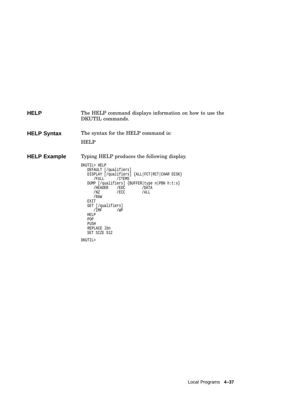| <b>HELP</b>         | The HELP command displays information on how to use the<br>DKUTIL commands.                                                                                                                                                                                                                                                                                |
|---------------------|------------------------------------------------------------------------------------------------------------------------------------------------------------------------------------------------------------------------------------------------------------------------------------------------------------------------------------------------------------|
| <b>HELP Syntax</b>  | The syntax for the HELP command is:<br><b>HELP</b>                                                                                                                                                                                                                                                                                                         |
| <b>HELP Example</b> | Typing HELP produces the following display.                                                                                                                                                                                                                                                                                                                |
|                     | DKUTIL> HELP<br>DEFAULT [/qualifiers]<br>DISPLAY [/qualifiers] {ALL FCT RCT CHAR DISK}<br>/FULL<br>/ITEMS<br>DUMP [/qualifiers] $\{BUFFER   type n   PBN h:t:s\}$<br>/HEADER<br>/EDC<br>/DATA<br>$/$ ECC<br>/NZ<br>/ALL<br>/RAW<br>EXIT<br>GET [/qualifiers]<br>/IMF<br>/WP<br><b>HELP</b><br><b>POP</b><br>PUSH<br>REPLACE 1bn<br>SET SIZE 512<br>DKUTIL> |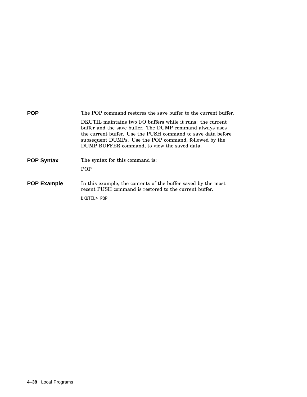| POP                | The POP command restores the save buffer to the current buffer.                                                                                                                                                                                                                                   |
|--------------------|---------------------------------------------------------------------------------------------------------------------------------------------------------------------------------------------------------------------------------------------------------------------------------------------------|
|                    | DKUTIL maintains two I/O buffers while it runs: the current<br>buffer and the save buffer. The DUMP command always uses<br>the current buffer. Use the PUSH command to save data before<br>subsequent DUMPs. Use the POP command, followed by the<br>DUMP BUFFER command, to view the saved data. |
| <b>POP Syntax</b>  | The syntax for this command is:                                                                                                                                                                                                                                                                   |
|                    | <b>POP</b>                                                                                                                                                                                                                                                                                        |
| <b>POP Example</b> | In this example, the contents of the buffer saved by the most<br>recent PUSH command is restored to the current buffer.<br>POP <thttp pop<="" th=""></thttp>                                                                                                                                      |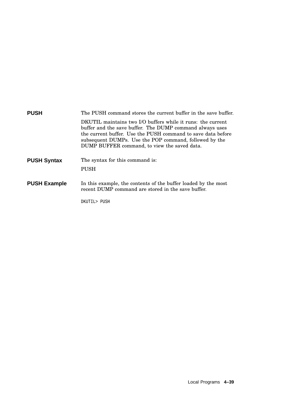| <b>PUSH</b>         | The PUSH command stores the current buffer in the save buffer.                                                                                                                                                                                                                                    |
|---------------------|---------------------------------------------------------------------------------------------------------------------------------------------------------------------------------------------------------------------------------------------------------------------------------------------------|
|                     | DKUTIL maintains two I/O buffers while it runs: the current<br>buffer and the save buffer. The DUMP command always uses<br>the current buffer. Use the PUSH command to save data before<br>subsequent DUMPs. Use the POP command, followed by the<br>DUMP BUFFER command, to view the saved data. |
| <b>PUSH Syntax</b>  | The syntax for this command is:<br><b>PUSH</b>                                                                                                                                                                                                                                                    |
| <b>PUSH Example</b> | In this example, the contents of the buffer loaded by the most<br>recent DUMP command are stored in the save buffer.                                                                                                                                                                              |
|                     | DKUTIL> PUSH                                                                                                                                                                                                                                                                                      |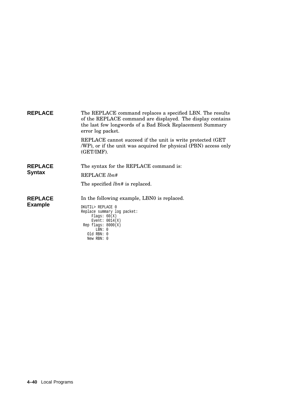| <b>REPLACE</b>                   | The REPLACE command replaces a specified LBN. The results<br>of the REPLACE command are displayed. The display contains<br>the last few longwords of a Bad Block Replacement Summary<br>error log packet. |
|----------------------------------|-----------------------------------------------------------------------------------------------------------------------------------------------------------------------------------------------------------|
|                                  | REPLACE cannot succeed if the unit is write protected (GET)<br>/WP), or if the unit was acquired for physical (PBN) access only<br>(GET/IMF).                                                             |
| <b>REPLACE</b><br><b>Syntax</b>  | The syntax for the REPLACE command is:<br>REPLACE lbn#<br>The specified <i>lbn#</i> is replaced.                                                                                                          |
| <b>REPLACE</b><br><b>Example</b> | In the following example, LBN0 is replaced.<br>DKUTIL> REPLACE 0<br>Replace summary log packet:<br>Flags: $60(X)$<br>Event: $0014(X)$<br>Rep flags: $8000(X)$<br>LBN: 0<br>$old$ RBN: $0$<br>New RBN: 0   |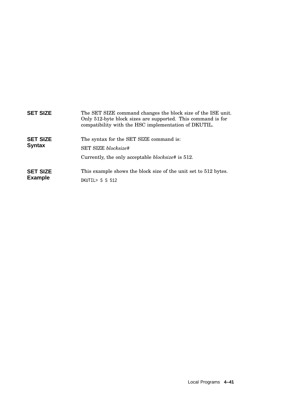| <b>SET SIZE</b>                   | The SET SIZE command changes the block size of the ISE unit.<br>Only 512-byte block sizes are supported. This command is for<br>compatibility with the HSC implementation of DKUTIL. |
|-----------------------------------|--------------------------------------------------------------------------------------------------------------------------------------------------------------------------------------|
| <b>SET SIZE</b><br><b>Syntax</b>  | The syntax for the SET SIZE command is:<br><b>SET SIZE</b> blocksize#<br>Currently, the only acceptable <i>blocksize</i> # is 512.                                                   |
| <b>SET SIZE</b><br><b>Example</b> | This example shows the block size of the unit set to 512 bytes.<br>DKUTIL> S S 512                                                                                                   |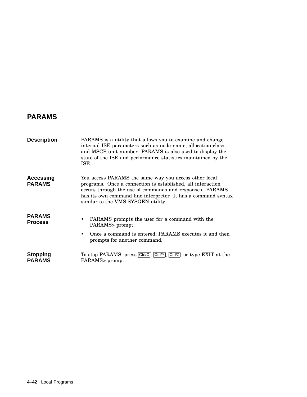## **PARAMS**

| <b>Description</b>         | PARAMS is a utility that allows you to examine and change<br>internal ISE parameters such as node name, allocation class,<br>and MSCP unit number. PARAMS is also used to display the<br>state of the ISE and performance statistics maintained by the<br>ISE.                          |
|----------------------------|-----------------------------------------------------------------------------------------------------------------------------------------------------------------------------------------------------------------------------------------------------------------------------------------|
| Accessing<br><b>PARAMS</b> | You access PARAMS the same way you access other local<br>programs. Once a connection is established, all interaction<br>occurs through the use of commands and responses. PARAMS<br>has its own command line interpreter. It has a command syntax<br>similar to the VMS SYSGEN utility. |
| PARAMS<br>Process          | PARAMS prompts the user for a command with the<br>٠<br>PARAMS> prompt.<br>Once a command is entered, PARAMS executes it and then<br>prompts for another command.                                                                                                                        |
| Stopping<br><b>PARAMS</b>  | To stop PARAMS, press Ctrl/C, Ctrl/Y, Ctrl/Z, or type EXIT at the<br>PARAMS> prompt.                                                                                                                                                                                                    |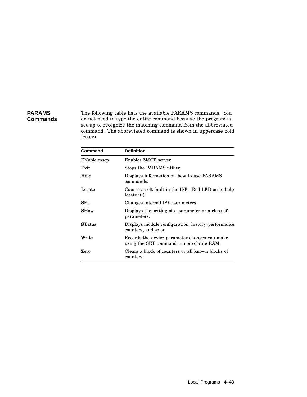## **PARAMS Commands**

The following table lists the available PARAMS commands. You do not need to type the entire command because the program is set up to recognize the matching command from the abbreviated command. The abbreviated command is shown in uppercase bold letters.

| Command       | <b>Definition</b>                                                                          |
|---------------|--------------------------------------------------------------------------------------------|
| ENable mscp   | Enables MSCP server.                                                                       |
| Exit          | Stops the PARAMS utility.                                                                  |
| Help          | Displays information on how to use PARAMS<br>commands.                                     |
| Locate        | Causes a soft fault in the ISE. (Red LED on to help<br>locate it.)                         |
| SEt           | Changes internal ISE parameters.                                                           |
| SHow          | Displays the setting of a parameter or a class of<br>parameters.                           |
| <b>STatus</b> | Displays module configuration, history, performance<br>counters, and so on.                |
| Write         | Records the device parameter changes you make<br>using the SET command in nonvolatile RAM. |
| Zero          | Clears a block of counters or all known blocks of<br>counters.                             |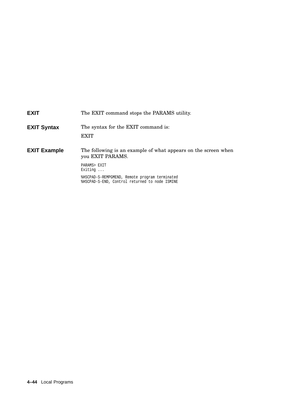# **EXIT** The EXIT command stops the PARAMS utility. **EXIT Syntax** The syntax for the EXIT command is: **EXIT EXIT Example** The following is an example of what appears on the screen when you EXIT PARAMS. PARAMS> EXIT Exiting ... %HSCPAD-S-REMPGMEND, Remote program terminated %HSCPAD-S-END, Control returned to node ISMINE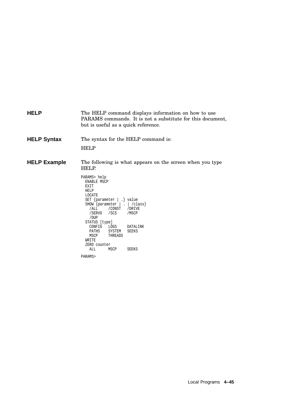**HELP** The HELP command displays information on how to use PARAMS commands. It is not a substitute for this document, but is useful as a quick reference. **HELP Syntax** The syntax for the HELP command is: HELP **HELP Example** The following is what appears on the screen when you type HELP. PARAMS> help ENABLE MSCP EXIT HELP LOCATE SET {parameter | .} value SHOW {parameter | . | /class} /ALL /CONST /DRIVE /SERVO /SCS /MSCP /DUP STATUS [type] CONFIG LOGS DATALINK<br>PATHS SYSTEM SEEKS PATHS SYSTEM<br>MSCP THREADS THREADS WRITE ZERO counter<br>ALL MS MSCP SEEKS

PARAMS>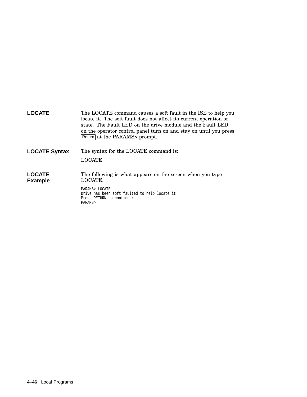| <b>LOCATE</b>                   | The LOCATE command causes a soft fault in the ISE to help you<br>locate it. The soft fault does not affect its current operation or<br>state. The Fault LED on the drive module and the Fault LED<br>on the operator control panel turn on and stay on until you press<br>Return at the PARAMS prompt. |
|---------------------------------|--------------------------------------------------------------------------------------------------------------------------------------------------------------------------------------------------------------------------------------------------------------------------------------------------------|
| <b>LOCATE Syntax</b>            | The syntax for the LOCATE command is:<br><b>LOCATE</b>                                                                                                                                                                                                                                                 |
| <b>LOCATE</b><br><b>Example</b> | The following is what appears on the screen when you type<br>LOCATE.                                                                                                                                                                                                                                   |
|                                 | PARAMS> LOCATE<br>Drive has been soft faulted to help locate it<br>Press RETURN to continue:<br>PARAMS>                                                                                                                                                                                                |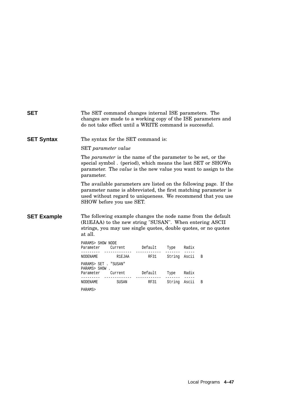| <b>SET</b>         |                                                                                                                                                                                                                                 | The SET command changes internal ISE parameters. The<br>do not take effect until a WRITE command is successful. |  |  |  | changes are made to a working copy of the ISE parameters and                                                                    |
|--------------------|---------------------------------------------------------------------------------------------------------------------------------------------------------------------------------------------------------------------------------|-----------------------------------------------------------------------------------------------------------------|--|--|--|---------------------------------------------------------------------------------------------------------------------------------|
| <b>SET Syntax</b>  |                                                                                                                                                                                                                                 | The syntax for the SET command is:                                                                              |  |  |  |                                                                                                                                 |
|                    | <b>SET</b> parameter value                                                                                                                                                                                                      |                                                                                                                 |  |  |  |                                                                                                                                 |
|                    | The parameter is the name of the parameter to be set, or the<br>special symbol . (period), which means the last SET or SHOWn<br>parameter. The <i>value</i> is the new value you want to assign to the<br>parameter.            |                                                                                                                 |  |  |  |                                                                                                                                 |
|                    | The available parameters are listed on the following page. If the<br>parameter name is abbreviated, the first matching parameter is<br>used without regard to uniqueness. We recommend that you use<br>SHOW before you use SET. |                                                                                                                 |  |  |  |                                                                                                                                 |
| <b>SET Example</b> | at all.                                                                                                                                                                                                                         | (R1EJAA) to the new string "SUSAN". When entering ASCII                                                         |  |  |  | The following example changes the node name from the default<br>strings, you may use single quotes, double quotes, or no quotes |
|                    | PARAMS> SHOW NODE                                                                                                                                                                                                               | Parameter Current Default Type Radix                                                                            |  |  |  |                                                                                                                                 |
|                    |                                                                                                                                                                                                                                 | NODENAME RIEJAA RF31 String Ascii                                                                               |  |  |  | B                                                                                                                               |
|                    | PARAMS> SET . "SUSAN"<br>PARAMS> SHOW.                                                                                                                                                                                          |                                                                                                                 |  |  |  |                                                                                                                                 |
|                    |                                                                                                                                                                                                                                 | Parameter Current Default Type Radix                                                                            |  |  |  |                                                                                                                                 |
|                    |                                                                                                                                                                                                                                 | NODENAME SUSAN RF31 String Ascii                                                                                |  |  |  | B                                                                                                                               |
|                    | PARAMS>                                                                                                                                                                                                                         |                                                                                                                 |  |  |  |                                                                                                                                 |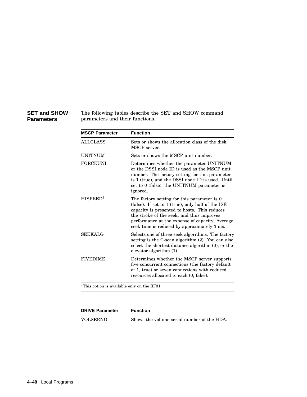#### **SET and SHOW Parameters**

The following tables describe the SET and SHOW command parameters and their functions.

| <b>MSCP Parameter</b> | <b>Function</b>                                                                                                                                                                                                                                                                                 |
|-----------------------|-------------------------------------------------------------------------------------------------------------------------------------------------------------------------------------------------------------------------------------------------------------------------------------------------|
| <b>ALLCLASS</b>       | Sets or shows the allocation class of the disk<br>MSCP server.                                                                                                                                                                                                                                  |
| <b>UNITNUM</b>        | Sets or shows the MSCP unit number.                                                                                                                                                                                                                                                             |
| <b>FORCEUNI</b>       | Determines whether the parameter UNITNUM<br>or the DSSI node ID is used as the MSCP unit<br>number. The factory setting for this parameter<br>is 1 (true), and the DSSI node ID is used. Until<br>set to 0 (false), the UNITNUM parameter is<br>ignored.                                        |
| HISPERD <sup>1</sup>  | The factory setting for this parameter is 0<br>(false). If set to 1 (true), only half of the ISE<br>capacity is presented to hosts. This reduces<br>the stroke of the seek, and thus improves<br>performance at the expense of capacity. Average<br>seek time is reduced by approximately 3 ms. |
| SEEKALG               | Selects one of three seek algorithms. The factory<br>setting is the C-scan algorithm (2). You can also<br>select the shortest distance algorithm (0), or the<br>elevator algorithm (1).                                                                                                         |
| <b>FIVEDIME</b>       | Determines whether the MSCP server supports<br>five concurrent connections (the factory default<br>of 1, true) or seven connections with reduced<br>resources allocated to each $(0, false)$ .                                                                                                  |

 $^1\mathrm{This}$  option is available only on the RF31.

| <b>DRIVE Parameter</b> | <b>Function</b>                            |
|------------------------|--------------------------------------------|
| VOLSERNO               | Shows the volume serial number of the HDA. |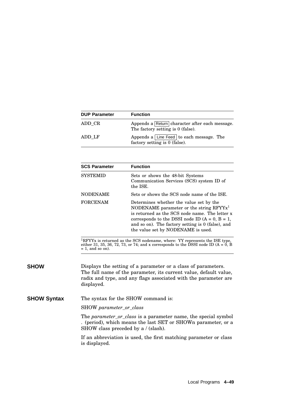| <b>DUP Parameter</b> | <b>Function</b>                                                                     |
|----------------------|-------------------------------------------------------------------------------------|
| ADD CR               | Appends a Return character after each message.<br>The factory setting is 0 (false). |
| ADD LF               | Appends a Line Feed to each message. The<br>factory setting is 0 (false).           |

| <b>SCS Parameter</b> | <b>Function</b>                                                                                                                                                                                                                                                                         |
|----------------------|-----------------------------------------------------------------------------------------------------------------------------------------------------------------------------------------------------------------------------------------------------------------------------------------|
| <b>SYSTEMID</b>      | Sets or shows the 48-bit Systems<br>Communication Services (SCS) system ID of<br>the ISE.                                                                                                                                                                                               |
| <b>NODENAME</b>      | Sets or shows the SCS node name of the ISE.                                                                                                                                                                                                                                             |
| <b>FORCENAM</b>      | Determines whether the value set by the<br>NODENAME parameter or the string $RFYYx1$<br>is returned as the SCS node name. The letter x<br>corresponds to the DSSI node ID $(A = 0, B = 1,$<br>and so on). The factory setting is $0$ (false), and<br>the value set by NODENAME is used. |

 ${}^{1}$ RFYYx is returned as the SCS nodename, where: YY represents the ISE type, either 31, 35, 36, 72, 73, or 74; and x corresponds to the DSSI node ID (A = 0, B)  $= 1$ , and so on).

**SHOW** Displays the setting of a parameter or a class of parameters. The full name of the parameter, its current value, default value, radix and type, and any flags associated with the parameter are displayed.

**SHOW Syntax** The syntax for the SHOW command is:

SHOW *parameter\_or\_class*

The *parameter\_or\_class* is a parameter name, the special symbol . (period), which means the last SET or SHOWn parameter, or a SHOW class preceded by a / (slash).

If an abbreviation is used, the first matching parameter or class is displayed.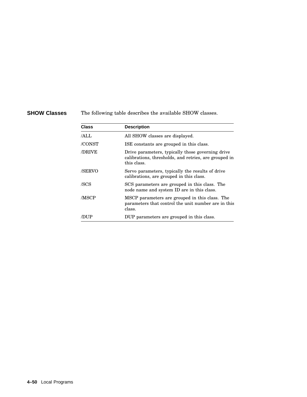**SHOW Classes** The following table describes the available SHOW classes.

| <b>Class</b> | <b>Description</b>                                                                                                        |
|--------------|---------------------------------------------------------------------------------------------------------------------------|
| /ALL         | All SHOW classes are displayed.                                                                                           |
| /CONST       | ISE constants are grouped in this class.                                                                                  |
| /DRIVE       | Drive parameters, typically those governing drive<br>calibrations, thresholds, and retries, are grouped in<br>this class. |
| /SERVO       | Servo parameters, typically the results of drive<br>calibrations, are grouped in this class.                              |
| /SCS         | SCS parameters are grouped in this class. The<br>node name and system ID are in this class.                               |
| /MSCP        | MSCP parameters are grouped in this class. The<br>parameters that control the unit number are in this<br>class.           |
|              | DUP parameters are grouped in this class.                                                                                 |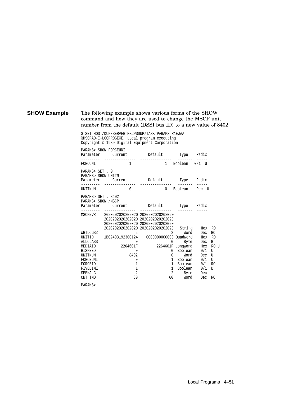#### **SHOW Example** The following example shows various forms of the SHOW command and how they are used to change the MSCP unit number from the default (DSSI bus ID) to a new value of 8402.

\$ SET HOST/DUP/SERVER=MSCP\$DUP/TASK=PARAMS R1EJAA %HSCPAD-I-LOCPROGEXE, Local program executing Copyright © 1989 Digital Equipment Corporation

| Parameter                                                                                                                                                | PARAMS> SHOW FORCEUNI<br>Current                                                                                                                                                                                                                            | Default                                                                                                              | Type                                                                                                            | Radix                                                                                                                                                                                                         |
|----------------------------------------------------------------------------------------------------------------------------------------------------------|-------------------------------------------------------------------------------------------------------------------------------------------------------------------------------------------------------------------------------------------------------------|----------------------------------------------------------------------------------------------------------------------|-----------------------------------------------------------------------------------------------------------------|---------------------------------------------------------------------------------------------------------------------------------------------------------------------------------------------------------------|
| FORCUNI                                                                                                                                                  | 1                                                                                                                                                                                                                                                           |                                                                                                                      | 1 Boolean                                                                                                       | $0/1$ U                                                                                                                                                                                                       |
| PARAMS> SET . 0<br>PARAMS> SHOW UNITN<br>Parameter                                                                                                       | Current                                                                                                                                                                                                                                                     | Default                                                                                                              | Type                                                                                                            | Radix                                                                                                                                                                                                         |
| <b>UNITNUM</b>                                                                                                                                           | $\Omega$                                                                                                                                                                                                                                                    |                                                                                                                      | 0 Boolean                                                                                                       | Dec U                                                                                                                                                                                                         |
| PARAMS> SET . 8402<br>PARAMS> SHOW /MSCP<br>Parameter                                                                                                    | Current                                                                                                                                                                                                                                                     | Default                                                                                                              | Type Radix                                                                                                      |                                                                                                                                                                                                               |
| MSCPNVR<br>WRTLOGSZ<br><b>INITID</b><br><b>ALLCLASS</b><br>MEDIAID<br><b>HISPEED</b><br>UNITNUM<br>FORCEUNI<br>FORCEID<br>FIVEDIME<br>SEEKALG<br>CNT TMO | 2020202020202020 2020202020202020<br>2020202020202020 2020202020202020<br>2020202020202020 2020202020202020<br>2020202020202020 2020202020202020<br>2<br>1B02403192300124<br>0<br>2264601F<br>0<br>8402<br>0<br>1<br>$\overline{1}$<br>$\overline{2}$<br>60 | 2<br>0000000000000 Quadword Hex RO<br>0<br>0<br>$\mathbf{1}$<br>$\mathbf{1}$<br>$\mathbf{1}$<br>$\overline{2}$<br>60 | String<br>Word<br>Byte<br>2264601F Longword<br>Boolean<br>Word<br>Boolean<br>Boolean<br>Boolean<br>Byte<br>Word | Hex<br>R0<br>R <sub>0</sub><br>Dec<br>B<br>Dec<br>Hex<br>RO U<br>0/1<br>$\overline{U}$<br>Dec<br>$\overline{U}$<br>0/1<br>$\overline{U}$<br>0/1<br>R <sub>0</sub><br>0/1<br>B<br>Dec<br>Dec<br>R <sub>0</sub> |

PARAMS>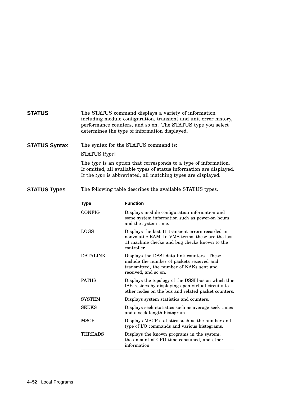#### **STATUS** The STATUS command displays a variety of information including module configuration, transient and unit error history, performance counters, and so on. The STATUS type you select determines the type of information displayed.

**STATUS Syntax** The syntax for the STATUS command is:

#### STATUS [*type*]

The *type* is an option that corresponds to a type of information. If omitted, all available types of status information are displayed. If the *type* is abbreviated, all matching types are displayed.

**STATUS Types** The following table describes the available STATUS types.

| Type            | <b>Function</b>                                                                                                                                                        |
|-----------------|------------------------------------------------------------------------------------------------------------------------------------------------------------------------|
| CONFIG          | Displays module configuration information and<br>some system information such as power-on hours<br>and the system time.                                                |
| <b>LOGS</b>     | Displays the last 11 transient errors recorded in<br>nonvolatile RAM. In VMS terms, these are the last<br>11 machine checks and bug checks known to the<br>controller. |
| <b>DATALINK</b> | Displays the DSSI data link counters. These<br>include the number of packets received and<br>transmitted, the number of NAKs sent and<br>received, and so on.          |
| <b>PATHS</b>    | Displays the topology of the DSSI bus on which this<br>ISE resides by displaying open virtual circuits to<br>other nodes on the bus and related packet counters.       |
| <b>SYSTEM</b>   | Displays system statistics and counters.                                                                                                                               |
| <b>SEEKS</b>    | Displays seek statistics such as average seek times<br>and a seek length histogram.                                                                                    |
| <b>MSCP</b>     | Displays MSCP statistics such as the number and<br>type of I/O commands and various histograms.                                                                        |
| THREADS         | Displays the known programs in the system,<br>the amount of CPU time consumed, and other<br>information.                                                               |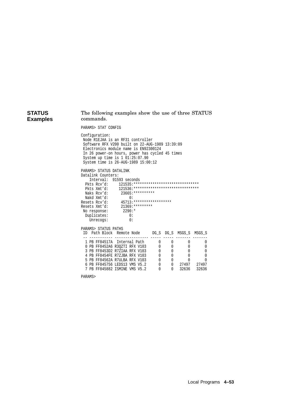#### **STATUS Examples** The following examples show the use of three STATUS commands.

PARAMS> STAT CONFIG

Configuration: Node R1EJAA is an RF31 controller Software RFX V200 built on 22-AUG-1989 13:39:09 Electronics module name is EN92300124 In 26 power-on hours, power has cycled 45 times System up time is 1 01:25:07.90 System time is 26-AUG-1989 15:00:12

| PARAMS> STATUS DATALINK |                                                      |
|-------------------------|------------------------------------------------------|
| Datalink Counters:      |                                                      |
|                         | Interval: 91593 seconds                              |
| Pkts Rcv'd:             | $121535:*******************************************$ |
| Pkts Xmt'd:             | 121536: ********************************             |
| Naks Rcv'd:             | $23665$ : **********                                 |
| Nakd Xmt'd:             | 0:                                                   |
| Resets Rcv'd:           | $45713:*************************$                    |
| Resets Xmt'd:           | $21369:********$                                     |
| No response:            | $2290:$ *                                            |
| Duplicates:             | 0:                                                   |
| Unrecogs:               | 0:                                                   |
|                         |                                                      |
| DAPAMES CTATIIC         | פר⊿תם                                                |

|  | ID Path Block Remote Node     |  |  |  | DG S DG S MSGS S MSGS S |
|--|-------------------------------|--|--|--|-------------------------|
|  |                               |  |  |  |                         |
|  | 1 PB FF84517A Internal Path   |  |  |  |                         |
|  | 0 PB FF8452A6 R30ZTI RFX V103 |  |  |  |                         |
|  | 3 PB FF8453D2 R7ZIAA RFX V103 |  |  |  |                         |
|  | 4 PB FF8454FE R7ZJBA RFX V103 |  |  |  |                         |
|  | 5 PB FF84562A R7ULBA RFX V103 |  |  |  |                         |

6 PB FF845756 LEDS13 VMS V5.2 0 0 27497 27497 7 PB FF845882 ISMINE VMS V5.2 0 0 32636 32636

PARAMS>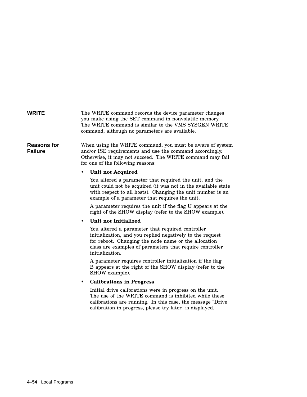#### **WRITE** The WRITE command records the device parameter changes you make using the SET command in nonvolatile memory. The WRITE command is similar to the VMS SYSGEN WRITE command, although no parameters are available.

**Reasons for Failure** When using the WRITE command, you must be aware of system and/or ISE requirements and use the command accordingly. Otherwise, it may not succeed. The WRITE command may fail for one of the following reasons:

#### • **Unit not Acquired**

You altered a parameter that required the unit, and the unit could not be acquired (it was not in the available state with respect to all hosts). Changing the unit number is an example of a parameter that requires the unit.

A parameter requires the unit if the flag U appears at the right of the SHOW display (refer to the SHOW example).

#### • **Unit not Initialized**

You altered a parameter that required controller initialization, and you replied negatively to the request for reboot. Changing the node name or the allocation class are examples of parameters that require controller initialization.

A parameter requires controller initialization if the flag B appears at the right of the SHOW display (refer to the SHOW example).

#### • **Calibrations in Progress**

Initial drive calibrations were in progress on the unit. The use of the WRITE command is inhibited while these calibrations are running. In this case, the message "Drive calibration in progress, please try later" is displayed.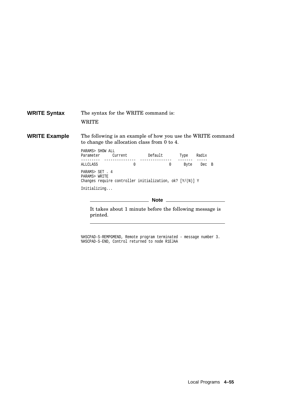| <b>WRITE Syntax</b>  | WRITE                                                                                          | The syntax for the WRITE command is:                                                                        |  |              |  |  |  |
|----------------------|------------------------------------------------------------------------------------------------|-------------------------------------------------------------------------------------------------------------|--|--------------|--|--|--|
| <b>WRITE Example</b> |                                                                                                | The following is an example of how you use the WRITE command<br>to change the allocation class from 0 to 4. |  |              |  |  |  |
|                      | PARAMS> SHOW ALL                                                                               | Parameter Current Default Type Radix                                                                        |  |              |  |  |  |
|                      | ALLCLASS                                                                                       | $\begin{array}{c} \n\end{array}$                                                                            |  | 0 Byte Dec B |  |  |  |
|                      | PARAMS> SET . 4<br>PARAMS> WRITE<br>Changes require controller initialization, ok? $[Y/(N)]$ Y |                                                                                                             |  |              |  |  |  |
|                      | Initializing                                                                                   |                                                                                                             |  |              |  |  |  |
|                      | Note $\qquad \qquad \qquad$                                                                    |                                                                                                             |  |              |  |  |  |
|                      | printed.                                                                                       | It takes about 1 minute before the following message is                                                     |  |              |  |  |  |

%HSCPAD-S-REMPGMEND, Remote program terminated - message number 3. %HSCPAD-S-END, Control returned to node R1EJAA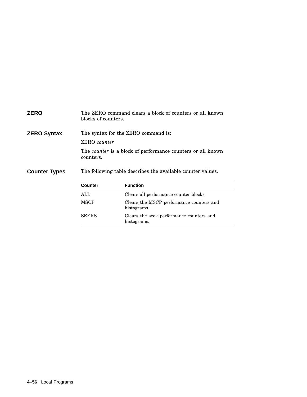| <b>ZERO</b>          |                | The ZERO command clears a block of counters or all known<br>blocks of counters. |  |  |  |  |
|----------------------|----------------|---------------------------------------------------------------------------------|--|--|--|--|
| <b>ZERO Syntax</b>   |                | The syntax for the ZERO command is:                                             |  |  |  |  |
|                      |                | <b>ZERO</b> counter                                                             |  |  |  |  |
|                      | counters.      | The <i>counter</i> is a block of performance counters or all known              |  |  |  |  |
| <b>Counter Types</b> |                | The following table describes the available counter values.                     |  |  |  |  |
|                      | <b>Counter</b> | <b>Function</b>                                                                 |  |  |  |  |
|                      | ALL            | Clears all performance counter blocks.                                          |  |  |  |  |
|                      | <b>MSCP</b>    | Clears the MSCP performance counters and<br>histograms.                         |  |  |  |  |
|                      | <b>SEEKS</b>   | Clears the seek performance counters and<br>histograms.                         |  |  |  |  |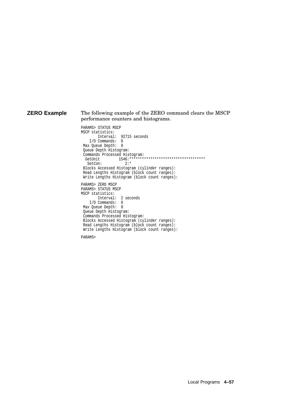#### **ZERO Example** The following example of the ZERO command clears the MSCP performance counters and histograms.

PARAMS> STATUS MSCP MSCP statistics: Interval: 92715 seconds I/O Commands: 0 Max Queue Depth: 0 Queue Depth Histogram: Commands Processed Histogram:<br>GetUnit 1546:\*\*\*\*\*\*\*\* GetUnit 1546:\*\*\*\*\*\*\*\*\*\*\*\*\*\*\*\*\*\*\*\*\*\*\*\*\*\*\*\*\*\*\*\*\*\*\*\* SetCon: Blocks Accessed Histogram (cylinder ranges): Read Lengths Histogram (block count ranges): Write Lengths Histogram (block count ranges): PARAMS> ZERO MSCP PARAMS> STATUS MSCP MSCP statistics: Interval: 2 seconds I/O Commands: 0 Max Queue Depth: 0 Queue Depth Histogram: Commands Processed Histogram: Blocks Accessed Histogram (cylinder ranges): Read Lengths Histogram (block count ranges): Write Lengths Histogram (block count ranges):

PARAMS>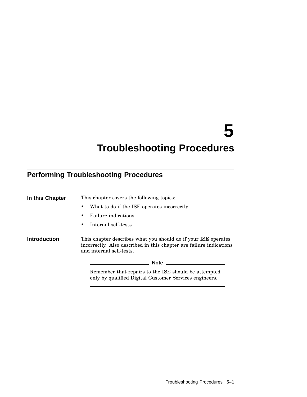# **5**

# **Troubleshooting Procedures**

## **Performing Troubleshooting Procedures**

| In this Chapter     | This chapter covers the following topics:                                                                                                                         |  |
|---------------------|-------------------------------------------------------------------------------------------------------------------------------------------------------------------|--|
|                     | What to do if the ISE operates incorrectly<br>٠                                                                                                                   |  |
|                     | <b>Failure indications</b><br>٠                                                                                                                                   |  |
|                     | Internal self-tests<br>$\bullet$                                                                                                                                  |  |
| <b>Introduction</b> | This chapter describes what you should do if your ISE operates<br>incorrectly. Also described in this chapter are failure indications<br>and internal self-tests. |  |
|                     | Note $\qquad \qquad$                                                                                                                                              |  |
|                     | Remember that repairs to the ISE should be attempted<br>only by qualified Digital Customer Services engineers.                                                    |  |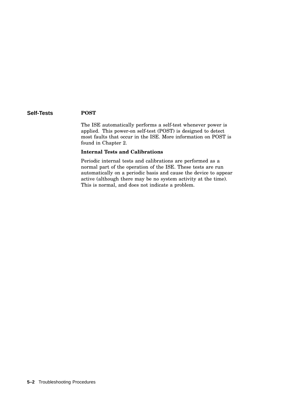#### **Self-Tests POST**

The ISE automatically performs a self-test whenever power is applied. This power-on self-test (POST) is designed to detect most faults that occur in the ISE. More information on POST is found in Chapter 2.

#### **Internal Tests and Calibrations**

Periodic internal tests and calibrations are performed as a normal part of the operation of the ISE. These tests are run automatically on a periodic basis and cause the device to appear active (although there may be no system activity at the time). This is normal, and does not indicate a problem.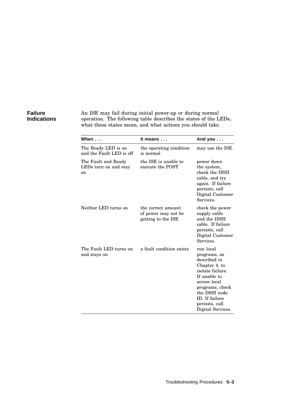#### **Failure Indications**

An ISE may fail during initial power-up or during normal operation. The following table describes the states of the LEDs, what these states mean, and what actions you should take.

| When $\dots$                                                  | It means                                                        | And you $\dots$                                                                                                                                                                                             |
|---------------------------------------------------------------|-----------------------------------------------------------------|-------------------------------------------------------------------------------------------------------------------------------------------------------------------------------------------------------------|
| The Ready LED is on<br>and the Fault LED is off               | the operating condition<br>is normal                            | may use the ISE.                                                                                                                                                                                            |
| The Fault and Ready<br>LEDs turn on and stay<br><sub>on</sub> | the ISE is unable to<br>execute the POST                        | power down<br>the system,<br>check the DSSI<br>cable, and try<br>again. If failure<br>persists, call<br>Digital Customer<br>Services.                                                                       |
| Neither LED turns on                                          | the correct amount<br>of power may not be<br>getting to the ISE | check the power<br>supply cable<br>and the DSSI<br>cable. If failure<br>persists, call<br>Digital Customer<br>Services.                                                                                     |
| The Fault LED turns on<br>and stays on                        | a fault condition exists                                        | run local<br>programs, as<br>described in<br>Chapter 4, to<br>isolate failure.<br>If unable to<br>access local<br>programs, check<br>the DSSI node<br>ID. If failure<br>persists, call<br>Digital Services. |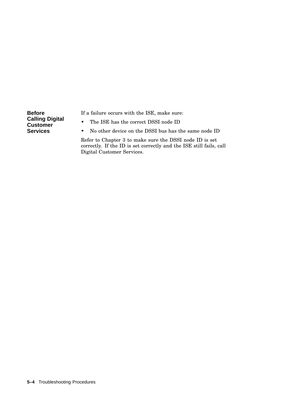**Before Calling Digital Customer Services**

If a failure occurs with the ISE, make sure:

- The ISE has the correct DSSI node ID
- No other device on the DSSI bus has the same node ID

Refer to Chapter 3 to make sure the DSSI node ID is set correctly. If the ID is set correctly and the ISE still fails, call Digital Customer Services.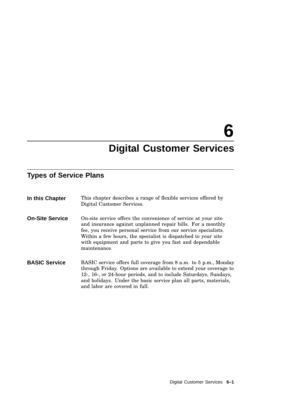# **6**

# **Digital Customer Services**

## **Types of Service Plans**

| In this Chapter        | This chapter describes a range of flexible services offered by<br>Digital Customer Services.                                                                                                                                                                                                                                                  |
|------------------------|-----------------------------------------------------------------------------------------------------------------------------------------------------------------------------------------------------------------------------------------------------------------------------------------------------------------------------------------------|
| <b>On-Site Service</b> | On-site service offers the convenience of service at your site<br>and insurance against unplanned repair bills. For a monthly<br>fee, you receive personal service from our service specialists.<br>Within a few hours, the specialist is dispatched to your site<br>with equipment and parts to give you fast and dependable<br>maintenance. |
| <b>BASIC Service</b>   | BASIC service offers full coverage from 8 a.m. to 5 p.m., Monday<br>through Friday. Options are available to extend your coverage to<br>12-, 16-, or 24-hour periods, and to include Saturdays, Sundays,<br>and holidays. Under the basic service plan all parts, materials,<br>and labor are covered in full.                                |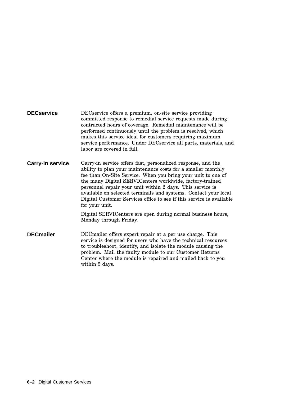| <b>DECservice</b>       | DECservice offers a premium, on-site service providing<br>committed response to remedial service requests made during<br>contracted hours of coverage. Remedial maintenance will be<br>performed continuously until the problem is resolved, which<br>makes this service ideal for customers requiring maximum<br>service performance. Under DECservice all parts, materials, and<br>labor are covered in full.                                                                    |
|-------------------------|------------------------------------------------------------------------------------------------------------------------------------------------------------------------------------------------------------------------------------------------------------------------------------------------------------------------------------------------------------------------------------------------------------------------------------------------------------------------------------|
| <b>Carry-In service</b> | Carry-in service offers fast, personalized response, and the<br>ability to plan your maintenance costs for a smaller monthly<br>fee than On-Site Service. When you bring your unit to one of<br>the many Digital SERVICenters worldwide, factory-trained<br>personnel repair your unit within 2 days. This service is<br>available on selected terminals and systems. Contact your local<br>Digital Customer Services office to see if this service is available<br>for your unit. |
|                         | Digital SERVICenters are open during normal business hours,<br>Monday through Friday.                                                                                                                                                                                                                                                                                                                                                                                              |
| <b>DECmailer</b>        | DEC mailer offers expert repair at a per use charge. This<br>service is designed for users who have the technical resources<br>to troubleshoot, identify, and isolate the module causing the<br>problem. Mail the faulty module to our Customer Returns<br>Center where the module is repaired and mailed back to you<br>within 5 days.                                                                                                                                            |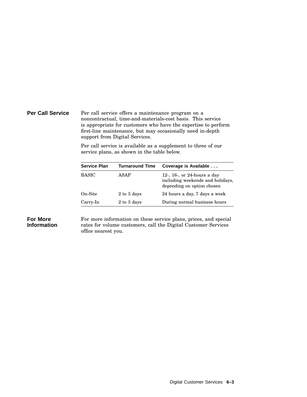#### **Per Call Service** Per call service offers a maintenance program on a noncontractual, time-and-materials-cost basis. This service is appropriate for customers who have the expertise to perform first-line maintenance, but may occasionally need in-depth support from Digital Services.

Per call service is available as a supplement to three of our service plans, as shown in the table below.

| <b>Service Plan</b> | <b>Turnaround Time</b> | Coverage is Available                                                                         |
|---------------------|------------------------|-----------------------------------------------------------------------------------------------|
| <b>BASIC</b>        | ASAP                   | 12-, 16-, or 24-hours a day<br>including weekends and holidays.<br>depending on option chosen |
| On-Site             | 2 to 3 days            | 24 hours a day, 7 days a week                                                                 |
| Carry-In            | 2 to 3 days            | During normal business hours                                                                  |

#### **For More Information**

For more information on these service plans, prices, and special rates for volume customers, call the Digital Customer Services office nearest you.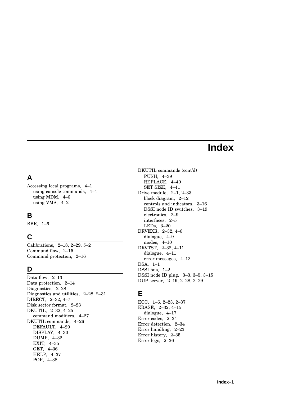## **Index**

## **A**

Accessing local programs, 4–1 using console commands, 4–4 using MDM, 4–6 using VMS, 4–2

#### **B**

BBR, 1–6

## **C**

Calibrations, 2–18, 2–29, 5–2 Command flow, 2–15 Command protection, 2–16

#### **D**

Data flow, 2–13 Data protection, 2–14 Diagnostics, 2–28 Diagnostics and utilities, 2–28, 2–31 DIRECT, 2–32, 4–7 Disk sector format, 2–23 DKUTIL, 2–32, 4–25 command modifiers, 4–27 DKUTIL commands, 4–26 DEFAULT, 4–29 DISPLAY, 4–30 DUMP, 4–32 EXIT, 4–35 GET, 4–36 HELP, 4–37 POP, 4–38

DKUTIL commands (cont'd) PUSH, 4–39 REPLACE, 4–40 SET SIZE, 4–41 Drive module, 2–1, 2–33 block diagram, 2–12 controls and indicators, 3–16 DSSI node ID switches, 3–19 electronics, 2–9 interfaces, 2–5 LEDs, 3–20 DRVEXR, 2–32, 4–8 dialogue, 4–9 modes, 4–10 DRVTST, 2–32, 4–11 dialogue, 4–11 error messages, 4–12 DSA, 1–1 DSSI bus, 1–2 DSSI node ID plug, 3–3, 3–5, 3–15 DUP server, 2–19, 2–28, 2–29

#### **E**

ECC, 1–6, 2–23, 2–37 ERASE, 2–32, 4–15 dialogue, 4–17 Error codes, 2–34 Error detection, 2–34 Error handling, 2–23 Error history, 2–35 Error logs, 2–36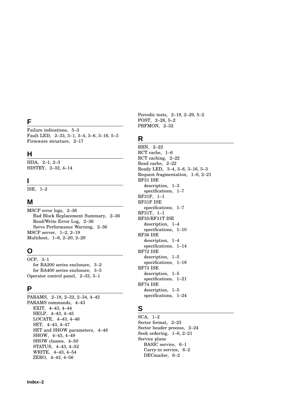## **F**

Failure indications, 5–3 Fault LED, 2–33, 3–1, 3–4, 3–6, 3–16, 5–3 Firmware structure, 2–17

#### **H**

HDA, 2–1, 2–3 HISTRY, 2–32, 4–14

#### **I**

ISE, 1–2

#### **M**

MSCP error logs, 2–36 Bad Block Replacement Summary, 2–36 Read/Write Error Log, 2–36 Servo Performance Warning, 2–36 MSCP server, 1–2, 2–19 Multihost, 1–6, 2–20, 2–29

#### **O**

OCP, 3–1 for BA200 series enclosure, 3–2 for BA400 series enclosure, 3–5 Operator control panel, 2–33, 3–1

## **P**

PARAMS, 2–18, 2–32, 2–34, 4–42 PARAMS commands, 4–43 EXIT, 4–43, 4–44 HELP, 4–43, 4–45 LOCATE, 4–43, 4–46 SET, 4–43, 4–47 SET and SHOW parameters, 4–48 SHOW, 4–43, 4–49 SHOW classes, 4–50 STATUS, 4–43, 4–52 WRITE, 4–43, 4–54 ZERO, 4–43, 4–56

Periodic tests, 2–18, 2–29, 5–2 POST, 2–28, 5–2 PRFMON, 2–32

#### **R**

RBN, 2–22 RCT cache, 1–6 RCT caching, 2–22 Read cache, 2–22 Ready LED, 3–4, 3–6, 3–16, 5–3 Request fragmentation, 1–6, 2–21 RF31 ISE description, 1–3 specifications, 1–7 RF31F, 1–1 RF31F ISE specifications, 1–7 RF31T, 1–1 RF35/RF31T ISE description, 1–4 specifications, 1–10 RF36 ISE description, 1–4 specifications, 1–14 RF72 ISE description, 1–5 specifications, 1–18 RF73 ISE description, 1–5 specifications, 1–21 RF74 ISE description, 1–5 specifications, 1–24

#### **S**

SCA, 1–2 Sector format, 2–23 Sector header process, 2–24 Seek ordering, 1–6, 2–21 Service plans BASIC service, 6–1 Carry-in service, 6–2 DECmailer, 6–2